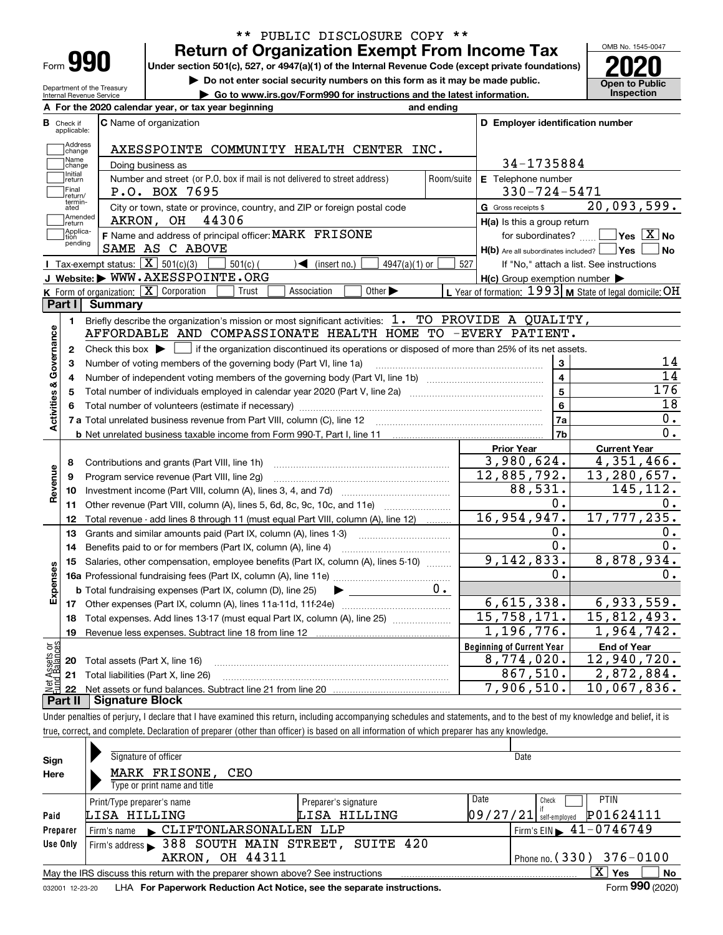| ⊦orm |  |
|------|--|

Department of the Treasury Internal Revenue Service

# **Return of Organization Exempt From Income Tax** \*\* PUBLIC DISCLOSURE COPY \*\*

**Under section 501(c), 527, or 4947(a)(1) of the Internal Revenue Code (except private foundations) 2020**

**| Do not enter social security numbers on this form as it may be made public.**

**| Go to www.irs.gov/Form990 for instructions and the latest information. Inspection**



|                         |                         | A For the 2020 calendar year, or tax year beginning                                                                                         | and ending     |                                                     |                                                           |
|-------------------------|-------------------------|---------------------------------------------------------------------------------------------------------------------------------------------|----------------|-----------------------------------------------------|-----------------------------------------------------------|
| В                       | Check if<br>applicable: | <b>C</b> Name of organization                                                                                                               |                | D Employer identification number                    |                                                           |
|                         | Address<br>change       | AXESSPOINTE COMMUNITY HEALTH CENTER INC.                                                                                                    |                |                                                     |                                                           |
|                         | Name<br>change          | Doing business as                                                                                                                           |                | 34-1735884                                          |                                                           |
|                         | Initial<br>return       | Number and street (or P.O. box if mail is not delivered to street address)                                                                  | Room/suite     | E Telephone number                                  |                                                           |
|                         | Final<br>return/        | P.O. BOX 7695                                                                                                                               |                | $330 - 724 - 5471$                                  |                                                           |
|                         | termin-<br>ated         | City or town, state or province, country, and ZIP or foreign postal code                                                                    |                | G Gross receipts \$                                 | 20,093,599.                                               |
|                         | Amended<br>return       | AKRON, OH<br>44306                                                                                                                          |                | $H(a)$ is this a group return                       |                                                           |
|                         | Applica-<br>tion        | F Name and address of principal officer: MARK FRISONE                                                                                       |                | for subordinates?                                   | $\boxed{\phantom{1}}$ Yes $\boxed{\mathrm{X}}$ No         |
|                         | pending                 | SAME AS C ABOVE                                                                                                                             |                | $H(b)$ Are all subordinates included? $\Box$ Yes    | No                                                        |
|                         |                         | Tax-exempt status: $\boxed{\mathbf{X}}$ 501(c)(3)<br>$501(c)$ (<br>$\sqrt{\frac{1}{1}}$ (insert no.)<br>$4947(a)(1)$ or                     | 527            |                                                     | If "No," attach a list. See instructions                  |
|                         |                         | J Website: WWW.AXESSPOINTE.ORG                                                                                                              |                | $H(c)$ Group exemption number $\blacktriangleright$ |                                                           |
|                         |                         | K Form of organization: $\boxed{\mathbf{X}}$ Corporation<br>Association<br>Other $\blacktriangleright$<br>Trust                             |                |                                                     | L Year of formation: $1993$ M State of legal domicile: OH |
|                         | Part I                  | Summary                                                                                                                                     |                |                                                     |                                                           |
|                         | 1.                      | Briefly describe the organization's mission or most significant activities: $1.$ TO PROVIDE A QUALITY,                                      |                |                                                     |                                                           |
|                         |                         | AFFORDABLE AND COMPASSIONATE HEALTH HOME TO -EVERY PATIENT.                                                                                 |                |                                                     |                                                           |
| Activities & Governance | $\mathbf{2}$            | Check this box $\blacktriangleright$ $\Box$ if the organization discontinued its operations or disposed of more than 25% of its net assets. |                |                                                     |                                                           |
|                         | 3                       | Number of voting members of the governing body (Part VI, line 1a)                                                                           |                | 3                                                   | 14                                                        |
|                         | 4                       |                                                                                                                                             | $\overline{4}$ | $\overline{14}$                                     |                                                           |
|                         | 5                       |                                                                                                                                             | 5              | 176                                                 |                                                           |
|                         | 6                       |                                                                                                                                             | 6              | 18                                                  |                                                           |
|                         |                         |                                                                                                                                             |                | 7a                                                  | $0$ .                                                     |
|                         |                         |                                                                                                                                             |                | 7 <sub>b</sub>                                      | $0$ .                                                     |
|                         |                         |                                                                                                                                             |                | <b>Prior Year</b>                                   | <b>Current Year</b>                                       |
|                         | 8                       | Contributions and grants (Part VIII, line 1h)                                                                                               |                | 3,980,624.                                          | 4,351,466.                                                |
| Revenue                 | 9                       | Program service revenue (Part VIII, line 2g)                                                                                                |                | $\overline{12}$ , 885, 792.                         | 13,280,657.                                               |
|                         | 10                      |                                                                                                                                             |                | 88,531.                                             | 145, 112.                                                 |
|                         | 11                      | Other revenue (Part VIII, column (A), lines 5, 6d, 8c, 9c, 10c, and 11e)                                                                    |                | 0.                                                  | О.                                                        |
|                         | 12                      | Total revenue - add lines 8 through 11 (must equal Part VIII, column (A), line 12)                                                          |                | 16,954,947.                                         | 17,777,235.                                               |
|                         | 13                      | Grants and similar amounts paid (Part IX, column (A), lines 1-3)                                                                            |                | 0.                                                  | Ο.                                                        |
|                         | 14                      | Benefits paid to or for members (Part IX, column (A), line 4)                                                                               |                | 0.                                                  | $\overline{0}$ .                                          |
|                         | 15                      | Salaries, other compensation, employee benefits (Part IX, column (A), lines 5-10)                                                           |                | 9,142,833.                                          | 8,878,934.                                                |
| Expenses                |                         |                                                                                                                                             |                | 0.                                                  | О.                                                        |
|                         |                         | <b>b</b> Total fundraising expenses (Part IX, column (D), line 25)<br>$\blacktriangleright$ and $\blacktriangleright$                       | 0.             |                                                     |                                                           |
|                         |                         |                                                                                                                                             |                | 6,615,338.                                          | 6,933,559.                                                |
|                         | 18                      | Total expenses. Add lines 13-17 (must equal Part IX, column (A), line 25)                                                                   |                | 15,758,171.                                         | 15,812,493.                                               |
|                         |                         |                                                                                                                                             |                | 1, 196, 776.                                        | 1,964,742.                                                |
|                         | 19                      |                                                                                                                                             |                |                                                     |                                                           |
|                         |                         |                                                                                                                                             |                | <b>Beginning of Current Year</b>                    | <b>End of Year</b>                                        |
|                         |                         | <b>20</b> Total assets (Part X, line 16)                                                                                                    |                | 8,774,020.                                          |                                                           |
| ăğ<br>ssets             |                         | 21 Total liabilities (Part X, line 26)                                                                                                      |                | 867,510.<br>7,906,510.                              | 12,940,720.<br>2,872,884.<br>10,067,836.                  |

Under penalties of perjury, I declare that I have examined this return, including accompanying schedules and statements, and to the best of my knowledge and belief, it is true, correct, and complete. Declaration of preparer (other than officer) is based on all information of which preparer has any knowledge.

| Sign            | Signature of officer                                                            |                      | Date                                        |
|-----------------|---------------------------------------------------------------------------------|----------------------|---------------------------------------------|
| Here            | MARK FRISONE,<br>CEO                                                            |                      |                                             |
|                 | Type or print name and title                                                    |                      |                                             |
|                 | Print/Type preparer's name                                                      | Preparer's signature | Date<br><b>PTIN</b><br>Check                |
| Paid            | LISA HILLING                                                                    | LISA HILLING         | P01624111<br> 09/27/21 <br>self-emploved    |
| Preparer        | Firm's name CLIFTONLARSONALLEN LLP                                              |                      | Firm's EIN $\blacktriangleright$ 41-0746749 |
| Use Only        | Firm's address > 388 SOUTH MAIN STREET, SUITE 420                               |                      |                                             |
|                 | <b>AKRON, OH 44311</b>                                                          |                      | Phone no. $(330)$ $376 - 0100$              |
|                 | May the IRS discuss this return with the preparer shown above? See instructions |                      | X.<br>No<br>Yes                             |
| 032001 12-23-20 | LHA For Paperwork Reduction Act Notice, see the separate instructions.          |                      | Form 990 (2020)                             |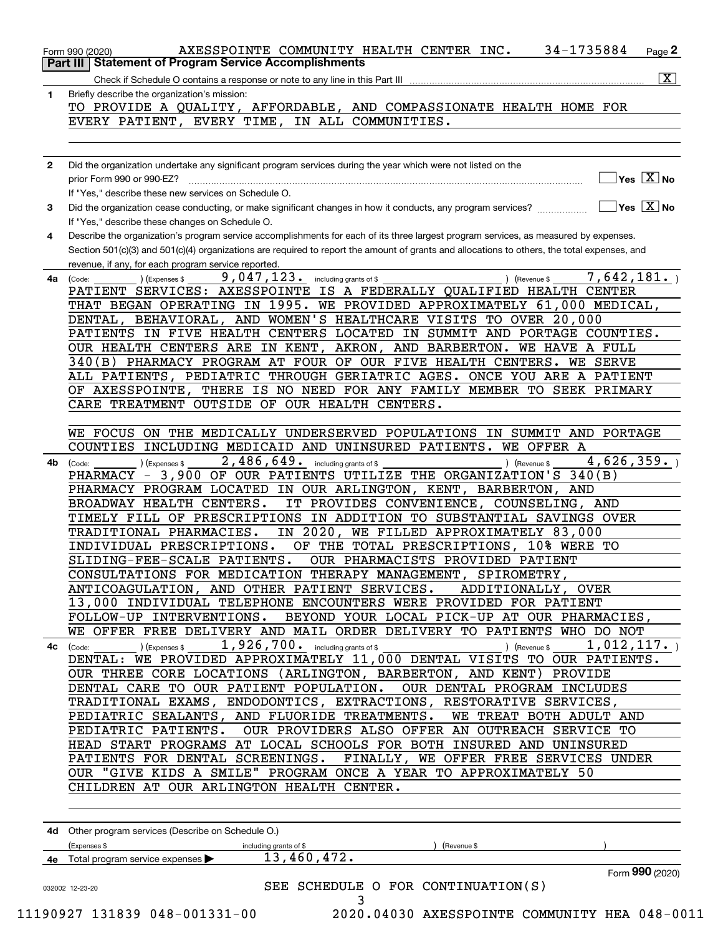|              | 34-1735884<br>AXESSPOINTE COMMUNITY HEALTH CENTER INC.<br>Page $2$<br>Form 990 (2020)                                                                                                                                                                                          |
|--------------|--------------------------------------------------------------------------------------------------------------------------------------------------------------------------------------------------------------------------------------------------------------------------------|
| Part III     | <b>Statement of Program Service Accomplishments</b>                                                                                                                                                                                                                            |
|              | $\boxed{\text{X}}$                                                                                                                                                                                                                                                             |
| 1            | Briefly describe the organization's mission:                                                                                                                                                                                                                                   |
|              | TO PROVIDE A QUALITY, AFFORDABLE, AND COMPASSIONATE HEALTH HOME FOR                                                                                                                                                                                                            |
|              | EVERY PATIENT, EVERY TIME, IN ALL COMMUNITIES.                                                                                                                                                                                                                                 |
|              |                                                                                                                                                                                                                                                                                |
| $\mathbf{2}$ | Did the organization undertake any significant program services during the year which were not listed on the                                                                                                                                                                   |
|              | $\sqrt{}$ Yes $\sqrt{}$ $\overline{\rm X}$ No<br>prior Form 990 or 990-EZ?                                                                                                                                                                                                     |
|              | If "Yes," describe these new services on Schedule O.                                                                                                                                                                                                                           |
| 3            | $\overline{\ }$ Yes $\overline{\phantom{X}}$ No                                                                                                                                                                                                                                |
|              | If "Yes," describe these changes on Schedule O.                                                                                                                                                                                                                                |
| 4            | Describe the organization's program service accomplishments for each of its three largest program services, as measured by expenses.                                                                                                                                           |
|              | Section 501(c)(3) and 501(c)(4) organizations are required to report the amount of grants and allocations to others, the total expenses, and                                                                                                                                   |
| 4a           | revenue, if any, for each program service reported.<br>9,047,123.<br>7,642,181.<br>(Expenses \$<br>including grants of \$<br>) (Revenue \$<br>(Code:                                                                                                                           |
|              | PATIENT SERVICES: AXESSPOINTE IS A FEDERALLY QUALIFIED HEALTH CENTER                                                                                                                                                                                                           |
|              | THAT BEGAN OPERATING IN 1995. WE PROVIDED APPROXIMATELY 61,000 MEDICAL,                                                                                                                                                                                                        |
|              | DENTAL, BEHAVIORAL, AND WOMEN'S HEALTHCARE VISITS TO OVER 20,000                                                                                                                                                                                                               |
|              | PATIENTS IN FIVE HEALTH CENTERS LOCATED IN SUMMIT AND PORTAGE COUNTIES.                                                                                                                                                                                                        |
|              | OUR HEALTH CENTERS ARE IN KENT,<br>AKRON, AND BARBERTON.<br>WE HAVE A FULL                                                                                                                                                                                                     |
|              | 340(B) PHARMACY PROGRAM AT FOUR OF OUR FIVE HEALTH CENTERS.<br><b>WE SERVE</b>                                                                                                                                                                                                 |
|              | ALL PATIENTS, PEDIATRIC THROUGH GERIATRIC AGES. ONCE YOU ARE A PATIENT                                                                                                                                                                                                         |
|              | THERE IS NO NEED FOR ANY FAMILY MEMBER TO SEEK PRIMARY<br>OF AXESSPOINTE,<br>CARE TREATMENT OUTSIDE OF OUR HEALTH CENTERS.                                                                                                                                                     |
|              |                                                                                                                                                                                                                                                                                |
|              | WE FOCUS ON THE MEDICALLY UNDERSERVED POPULATIONS IN SUMMIT AND PORTAGE                                                                                                                                                                                                        |
|              | COUNTIES<br>INCLUDING MEDICAID AND UNINSURED PATIENTS. WE OFFER A                                                                                                                                                                                                              |
| 4b           | 2,486,649. including grants of \$<br>4,626,359.<br>) (Revenue \$<br>(Expenses \$<br>(Code:                                                                                                                                                                                     |
|              | PHARMACY - 3,900 OF OUR PATIENTS UTILIZE THE ORGANIZATION'S 340(B)                                                                                                                                                                                                             |
|              | PHARMACY PROGRAM LOCATED IN OUR ARLINGTON, KENT, BARBERTON, AND                                                                                                                                                                                                                |
|              | BROADWAY HEALTH CENTERS.<br>IT PROVIDES CONVENIENCE, COUNSELING, AND                                                                                                                                                                                                           |
|              | TIMELY FILL OF PRESCRIPTIONS IN ADDITION TO SUBSTANTIAL SAVINGS OVER                                                                                                                                                                                                           |
|              | IN 2020, WE FILLED APPROXIMATELY 83,000<br>TRADITIONAL PHARMACIES.<br>INDIVIDUAL PRESCRIPTIONS.<br>OF THE TOTAL PRESCRIPTIONS, 10% WERE TO                                                                                                                                     |
|              | OUR PHARMACISTS PROVIDED PATIENT<br>SLIDING-FEE-SCALE PATIENTS.                                                                                                                                                                                                                |
|              | CONSULTATIONS FOR MEDICATION THERAPY MANAGEMENT, SPIROMETRY,                                                                                                                                                                                                                   |
|              | ANTICOAGULATION, AND OTHER PATIENT SERVICES.<br>ADDITIONALLY, OVER                                                                                                                                                                                                             |
|              | 13,000 INDIVIDUAL TELEPHONE ENCOUNTERS WERE PROVIDED FOR PATIENT                                                                                                                                                                                                               |
|              | BEYOND YOUR LOCAL PICK-UP AT OUR PHARMACIES,<br>FOLLOW-UP INTERVENTIONS.                                                                                                                                                                                                       |
|              | WE OFFER FREE DELIVERY AND MAIL ORDER DELIVERY TO PATIENTS WHO DO NOT                                                                                                                                                                                                          |
| 4с           | $1,926,700$ a including grants of \$<br>1,012,117.<br>$\begin{pmatrix} \text{Code:} & \text{I} & \text{I} \end{pmatrix}$ $\begin{pmatrix} \text{Expenses $} \end{pmatrix}$<br>$\overline{)}$ (Revenue \$ $\overline{)}$<br><u> 1990 - Jan Barbara Barat, politik politik (</u> |
|              | DENTAL: WE PROVIDED APPROXIMATELY 11,000 DENTAL VISITS TO OUR PATIENTS.<br>OUR THREE CORE LOCATIONS (ARLINGTON, BARBERTON, AND KENT) PROVIDE                                                                                                                                   |
|              | DENTAL CARE TO OUR PATIENT POPULATION.<br>OUR DENTAL PROGRAM INCLUDES                                                                                                                                                                                                          |
|              | TRADITIONAL EXAMS, ENDODONTICS, EXTRACTIONS, RESTORATIVE SERVICES,                                                                                                                                                                                                             |
|              | WE TREAT BOTH ADULT AND<br>PEDIATRIC SEALANTS, AND FLUORIDE TREATMENTS.                                                                                                                                                                                                        |
|              | PEDIATRIC PATIENTS. OUR PROVIDERS ALSO OFFER AN OUTREACH SERVICE TO                                                                                                                                                                                                            |
|              | HEAD START PROGRAMS AT LOCAL SCHOOLS FOR BOTH INSURED AND UNINSURED                                                                                                                                                                                                            |
|              | PATIENTS FOR DENTAL SCREENINGS. FINALLY, WE OFFER FREE SERVICES UNDER                                                                                                                                                                                                          |
|              | OUR "GIVE KIDS A SMILE" PROGRAM ONCE A YEAR TO APPROXIMATELY 50                                                                                                                                                                                                                |
|              | CHILDREN AT OUR ARLINGTON HEALTH CENTER.                                                                                                                                                                                                                                       |
|              |                                                                                                                                                                                                                                                                                |
|              | 4d Other program services (Describe on Schedule O.)                                                                                                                                                                                                                            |
|              | (Expenses \$<br>(Revenue \$<br>including grants of \$                                                                                                                                                                                                                          |
|              | 13,460,472.<br>4e Total program service expenses                                                                                                                                                                                                                               |
|              | Form 990 (2020)                                                                                                                                                                                                                                                                |
|              | SEE SCHEDULE O FOR CONTINUATION(S)<br>032002 12-23-20                                                                                                                                                                                                                          |
|              | 3                                                                                                                                                                                                                                                                              |

| 11190927 131839 048-001331-0 |  |  |  |  |
|------------------------------|--|--|--|--|
|------------------------------|--|--|--|--|

0 2020.04030 AXESSPOINTE COMMUNITY HEA 048-0011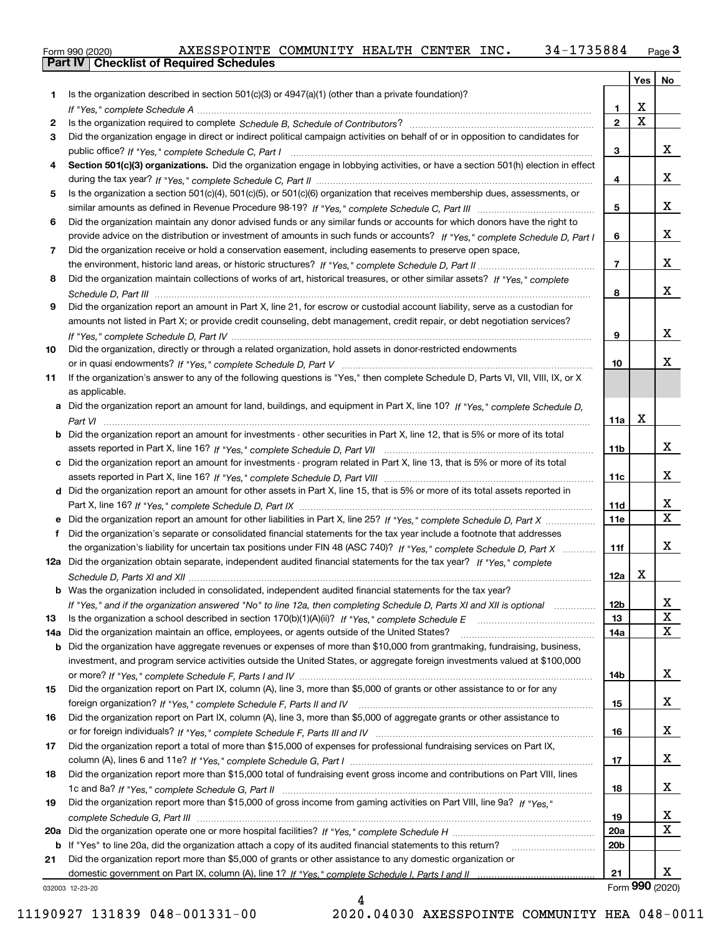|  | Form 990 (2020) |
|--|-----------------|

|     |                                                                                                                                   |                 | Yes                     | No                      |
|-----|-----------------------------------------------------------------------------------------------------------------------------------|-----------------|-------------------------|-------------------------|
| 1   | Is the organization described in section $501(c)(3)$ or $4947(a)(1)$ (other than a private foundation)?                           |                 |                         |                         |
|     |                                                                                                                                   | 1.              | X                       |                         |
| 2   |                                                                                                                                   | $\overline{2}$  | $\overline{\mathbf{x}}$ |                         |
| 3   | Did the organization engage in direct or indirect political campaign activities on behalf of or in opposition to candidates for   |                 |                         |                         |
|     |                                                                                                                                   | 3               |                         | х                       |
| 4   | Section 501(c)(3) organizations. Did the organization engage in lobbying activities, or have a section 501(h) election in effect  |                 |                         |                         |
|     |                                                                                                                                   | 4               |                         | х                       |
| 5   | Is the organization a section 501(c)(4), 501(c)(5), or 501(c)(6) organization that receives membership dues, assessments, or      |                 |                         |                         |
|     |                                                                                                                                   | 5               |                         | х                       |
| 6   | Did the organization maintain any donor advised funds or any similar funds or accounts for which donors have the right to         |                 |                         |                         |
|     | provide advice on the distribution or investment of amounts in such funds or accounts? If "Yes," complete Schedule D, Part I      | 6               |                         | x                       |
| 7   | Did the organization receive or hold a conservation easement, including easements to preserve open space,                         |                 |                         | x                       |
|     |                                                                                                                                   | $\overline{7}$  |                         |                         |
| 8   | Did the organization maintain collections of works of art, historical treasures, or other similar assets? If "Yes," complete      |                 |                         | x                       |
|     |                                                                                                                                   | 8               |                         |                         |
| 9   | Did the organization report an amount in Part X, line 21, for escrow or custodial account liability, serve as a custodian for     |                 |                         |                         |
|     | amounts not listed in Part X; or provide credit counseling, debt management, credit repair, or debt negotiation services?         | 9               |                         | х                       |
| 10  | Did the organization, directly or through a related organization, hold assets in donor-restricted endowments                      |                 |                         |                         |
|     |                                                                                                                                   | 10              |                         | x                       |
| 11  | If the organization's answer to any of the following questions is "Yes," then complete Schedule D, Parts VI, VIII, VIII, IX, or X |                 |                         |                         |
|     | as applicable.                                                                                                                    |                 |                         |                         |
|     | a Did the organization report an amount for land, buildings, and equipment in Part X, line 10? If "Yes," complete Schedule D,     |                 |                         |                         |
|     |                                                                                                                                   | 11a             | X                       |                         |
|     | Did the organization report an amount for investments - other securities in Part X, line 12, that is 5% or more of its total      |                 |                         |                         |
|     |                                                                                                                                   | 11 <sub>b</sub> |                         | x                       |
| c   | Did the organization report an amount for investments - program related in Part X, line 13, that is 5% or more of its total       |                 |                         |                         |
|     |                                                                                                                                   | 11c             |                         | x                       |
|     | d Did the organization report an amount for other assets in Part X, line 15, that is 5% or more of its total assets reported in   |                 |                         |                         |
|     |                                                                                                                                   | 11d             |                         | x                       |
|     | Did the organization report an amount for other liabilities in Part X, line 25? If "Yes," complete Schedule D, Part X             | 11e             |                         | $\overline{\mathbf{X}}$ |
|     | Did the organization's separate or consolidated financial statements for the tax year include a footnote that addresses           |                 |                         |                         |
|     | the organization's liability for uncertain tax positions under FIN 48 (ASC 740)? If "Yes," complete Schedule D, Part X            | 11f             |                         | x                       |
|     | 12a Did the organization obtain separate, independent audited financial statements for the tax year? If "Yes," complete           |                 |                         |                         |
|     |                                                                                                                                   | 12a             | х                       |                         |
|     | <b>b</b> Was the organization included in consolidated, independent audited financial statements for the tax year?                |                 |                         |                         |
|     | If "Yes," and if the organization answered "No" to line 12a, then completing Schedule D, Parts XI and XII is optional             | 12b             |                         | Δ,                      |
| 13  |                                                                                                                                   | 13              |                         | $\mathbf X$             |
| 14a | Did the organization maintain an office, employees, or agents outside of the United States?                                       | 14a             |                         | X                       |
| b   | Did the organization have aggregate revenues or expenses of more than \$10,000 from grantmaking, fundraising, business,           |                 |                         |                         |
|     | investment, and program service activities outside the United States, or aggregate foreign investments valued at \$100,000        |                 |                         |                         |
|     |                                                                                                                                   | 14b             |                         | x                       |
| 15  | Did the organization report on Part IX, column (A), line 3, more than \$5,000 of grants or other assistance to or for any         |                 |                         |                         |
|     |                                                                                                                                   | 15              |                         | x                       |
| 16  | Did the organization report on Part IX, column (A), line 3, more than \$5,000 of aggregate grants or other assistance to          |                 |                         |                         |
|     |                                                                                                                                   | 16              |                         | x                       |
| 17  | Did the organization report a total of more than \$15,000 of expenses for professional fundraising services on Part IX,           |                 |                         | x                       |
|     |                                                                                                                                   | 17              |                         |                         |
| 18  | Did the organization report more than \$15,000 total of fundraising event gross income and contributions on Part VIII, lines      |                 |                         | x                       |
|     | Did the organization report more than \$15,000 of gross income from gaming activities on Part VIII, line 9a? If "Yes."            | 18              |                         |                         |
| 19  |                                                                                                                                   | 19              |                         | x                       |
| 20a |                                                                                                                                   | 20a             |                         | $\mathbf X$             |
| b   | If "Yes" to line 20a, did the organization attach a copy of its audited financial statements to this return?                      | 20 <sub>b</sub> |                         |                         |
| 21  | Did the organization report more than \$5,000 of grants or other assistance to any domestic organization or                       |                 |                         |                         |
|     |                                                                                                                                   | 21              |                         | x                       |
|     | 032003 12-23-20                                                                                                                   |                 | Form 990 (2020)         |                         |

032003 12-23-20

4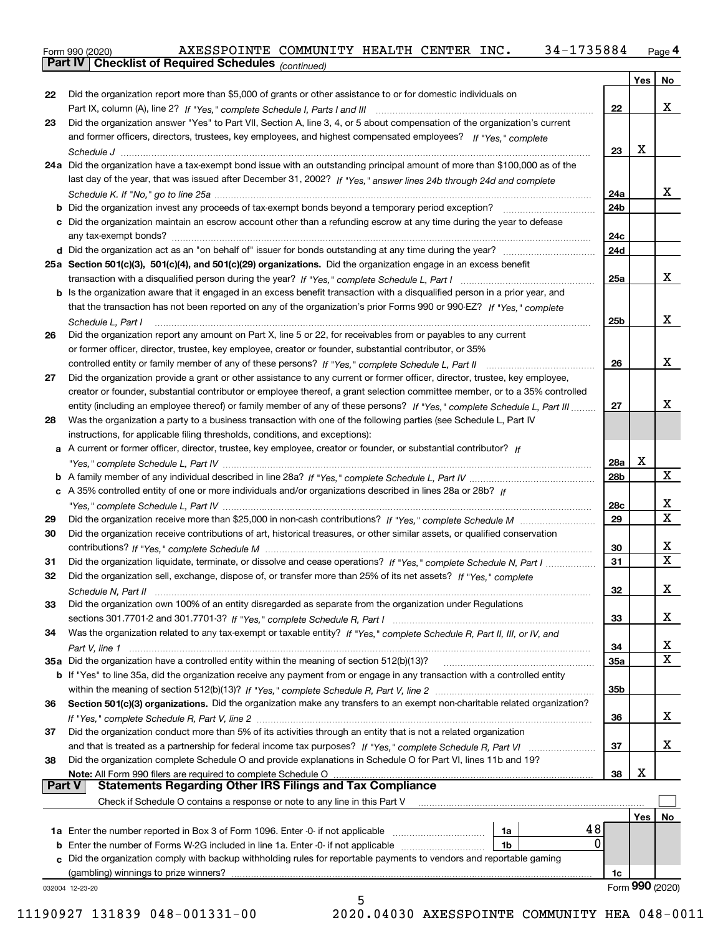Form 990 (2020) AXESSPOINTE COMMUNITY HEALTH CENTER INC**.** 34–1735884 <sub>Page</sub> 4<br>**Part IV | Checklist of Required Schedules** <sub>(continued)</sub>

*(continued)*

|               |                                                                                                                                     |           | Yes | No                           |
|---------------|-------------------------------------------------------------------------------------------------------------------------------------|-----------|-----|------------------------------|
| 22            | Did the organization report more than \$5,000 of grants or other assistance to or for domestic individuals on                       |           |     |                              |
|               |                                                                                                                                     | 22        |     | x                            |
| 23            | Did the organization answer "Yes" to Part VII, Section A, line 3, 4, or 5 about compensation of the organization's current          |           |     |                              |
|               | and former officers, directors, trustees, key employees, and highest compensated employees? If "Yes." complete                      |           |     |                              |
|               |                                                                                                                                     | 23        | X   |                              |
|               | 24a Did the organization have a tax-exempt bond issue with an outstanding principal amount of more than \$100,000 as of the         |           |     |                              |
|               | last day of the year, that was issued after December 31, 2002? If "Yes," answer lines 24b through 24d and complete                  |           |     |                              |
|               |                                                                                                                                     | 24a       |     | x                            |
|               | <b>b</b> Did the organization invest any proceeds of tax-exempt bonds beyond a temporary period exception?                          | 24b       |     |                              |
|               | c Did the organization maintain an escrow account other than a refunding escrow at any time during the year to defease              |           |     |                              |
|               |                                                                                                                                     | 24c       |     |                              |
|               |                                                                                                                                     | 24d       |     |                              |
|               | 25a Section 501(c)(3), 501(c)(4), and 501(c)(29) organizations. Did the organization engage in an excess benefit                    |           |     |                              |
|               |                                                                                                                                     | 25a       |     | X                            |
|               | <b>b</b> Is the organization aware that it engaged in an excess benefit transaction with a disqualified person in a prior year, and |           |     |                              |
|               | that the transaction has not been reported on any of the organization's prior Forms 990 or 990-EZ? If "Yes," complete               |           |     |                              |
|               | Schedule L, Part I                                                                                                                  | 25b       |     | x                            |
| 26            | Did the organization report any amount on Part X, line 5 or 22, for receivables from or payables to any current                     |           |     |                              |
|               | or former officer, director, trustee, key employee, creator or founder, substantial contributor, or 35%                             |           |     |                              |
|               | controlled entity or family member of any of these persons? If "Yes," complete Schedule L, Part II                                  | 26        |     | x                            |
| 27            | Did the organization provide a grant or other assistance to any current or former officer, director, trustee, key employee,         |           |     |                              |
|               | creator or founder, substantial contributor or employee thereof, a grant selection committee member, or to a 35% controlled         |           |     |                              |
|               | entity (including an employee thereof) or family member of any of these persons? If "Yes," complete Schedule L, Part III            | 27        |     | х                            |
| 28            | Was the organization a party to a business transaction with one of the following parties (see Schedule L, Part IV                   |           |     |                              |
|               | instructions, for applicable filing thresholds, conditions, and exceptions):                                                        |           |     |                              |
| а             | A current or former officer, director, trustee, key employee, creator or founder, or substantial contributor? If                    |           |     |                              |
|               |                                                                                                                                     | 28a       | X   |                              |
|               |                                                                                                                                     | 28b       |     | X                            |
|               | c A 35% controlled entity of one or more individuals and/or organizations described in lines 28a or 28b? If                         |           |     |                              |
|               |                                                                                                                                     | 28c       |     | х<br>$\overline{\mathbf{x}}$ |
| 29            |                                                                                                                                     | 29        |     |                              |
| 30            | Did the organization receive contributions of art, historical treasures, or other similar assets, or qualified conservation         |           |     |                              |
|               |                                                                                                                                     | 30        |     | х<br>$\overline{\mathbf{x}}$ |
| 31            | Did the organization liquidate, terminate, or dissolve and cease operations? If "Yes," complete Schedule N, Part I                  | 31        |     |                              |
| 32            | Did the organization sell, exchange, dispose of, or transfer more than 25% of its net assets? If "Yes," complete                    |           |     |                              |
|               |                                                                                                                                     | 32        |     | х                            |
| 33            | Did the organization own 100% of an entity disregarded as separate from the organization under Regulations                          |           |     |                              |
|               |                                                                                                                                     | 33        |     | x                            |
| 34            | Was the organization related to any tax-exempt or taxable entity? If "Yes," complete Schedule R, Part II, III, or IV, and           |           |     | х                            |
|               | 35a Did the organization have a controlled entity within the meaning of section 512(b)(13)?                                         | 34<br>35a |     | $\mathbf X$                  |
|               | b If "Yes" to line 35a, did the organization receive any payment from or engage in any transaction with a controlled entity         |           |     |                              |
|               |                                                                                                                                     | 35b       |     |                              |
| 36            | Section 501(c)(3) organizations. Did the organization make any transfers to an exempt non-charitable related organization?          |           |     |                              |
|               |                                                                                                                                     | 36        |     | x                            |
| 37            | Did the organization conduct more than 5% of its activities through an entity that is not a related organization                    |           |     |                              |
|               |                                                                                                                                     | 37        |     | x                            |
| 38            | Did the organization complete Schedule O and provide explanations in Schedule O for Part VI, lines 11b and 19?                      |           |     |                              |
|               | Note: All Form 990 filers are required to complete Schedule O                                                                       | 38        | x   |                              |
| <b>Part V</b> | <b>Statements Regarding Other IRS Filings and Tax Compliance</b>                                                                    |           |     |                              |
|               | Check if Schedule O contains a response or note to any line in this Part V                                                          |           |     |                              |
|               |                                                                                                                                     |           | Yes | No                           |
|               | 48<br>1a                                                                                                                            |           |     |                              |
| b             | 0<br>Enter the number of Forms W-2G included in line 1a. Enter -0- if not applicable<br>1b                                          |           |     |                              |
|               | c Did the organization comply with backup withholding rules for reportable payments to vendors and reportable gaming                |           |     |                              |
|               |                                                                                                                                     | 1c        |     |                              |
|               | 032004 12-23-20                                                                                                                     |           |     | Form 990 (2020)              |
|               | 5                                                                                                                                   |           |     |                              |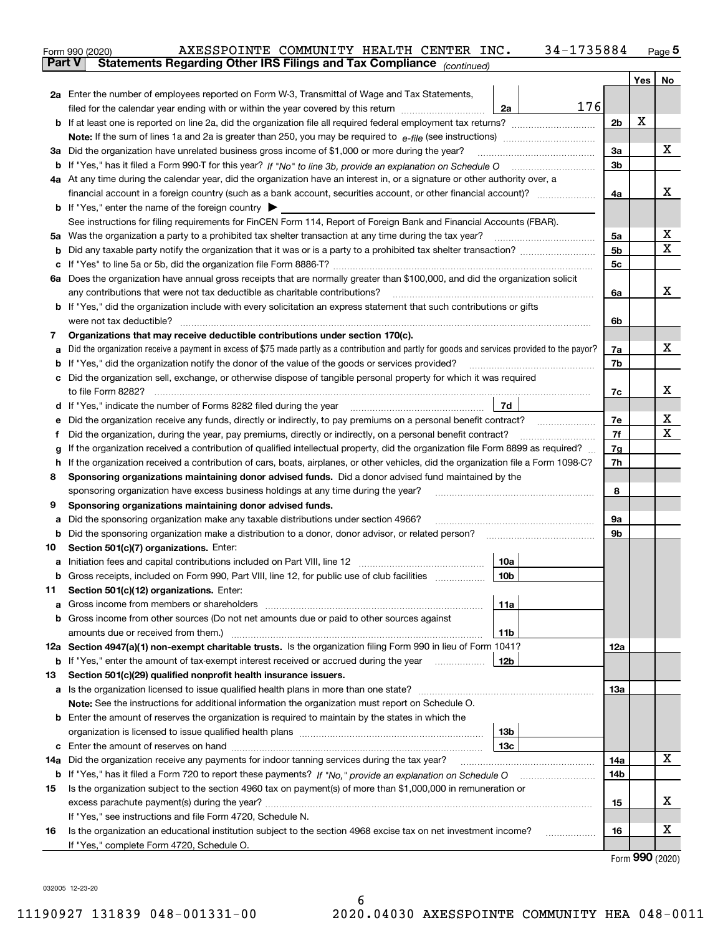|    |                                                                                                                                                                                                                                      |                |     | $Page$ <sup>5</sup> |
|----|--------------------------------------------------------------------------------------------------------------------------------------------------------------------------------------------------------------------------------------|----------------|-----|---------------------|
|    | Statements Regarding Other IRS Filings and Tax Compliance (continued)<br>Part V                                                                                                                                                      |                |     |                     |
|    |                                                                                                                                                                                                                                      |                | Yes | No                  |
|    | 2a Enter the number of employees reported on Form W-3, Transmittal of Wage and Tax Statements,                                                                                                                                       |                |     |                     |
|    | 176<br>filed for the calendar year ending with or within the year covered by this return <i>manumumumum</i><br>2a                                                                                                                    |                |     |                     |
|    |                                                                                                                                                                                                                                      | 2 <sub>b</sub> | х   |                     |
|    |                                                                                                                                                                                                                                      |                |     |                     |
|    | 3a Did the organization have unrelated business gross income of \$1,000 or more during the year?                                                                                                                                     | 3a             |     | x                   |
|    |                                                                                                                                                                                                                                      | 3b             |     |                     |
|    | 4a At any time during the calendar year, did the organization have an interest in, or a signature or other authority over, a                                                                                                         |                |     |                     |
|    | financial account in a foreign country (such as a bank account, securities account, or other financial account)?                                                                                                                     | 4a             |     | x                   |
|    | <b>b</b> If "Yes," enter the name of the foreign country $\blacktriangleright$                                                                                                                                                       |                |     |                     |
|    | See instructions for filing requirements for FinCEN Form 114, Report of Foreign Bank and Financial Accounts (FBAR).                                                                                                                  |                |     |                     |
|    |                                                                                                                                                                                                                                      | 5а             |     | Х                   |
| b  |                                                                                                                                                                                                                                      | 5b             |     | x                   |
| с  |                                                                                                                                                                                                                                      | 5c             |     |                     |
|    | 6a Does the organization have annual gross receipts that are normally greater than \$100,000, and did the organization solicit                                                                                                       |                |     |                     |
|    | any contributions that were not tax deductible as charitable contributions?                                                                                                                                                          | 6a             |     | x                   |
|    | <b>b</b> If "Yes," did the organization include with every solicitation an express statement that such contributions or gifts                                                                                                        |                |     |                     |
|    |                                                                                                                                                                                                                                      | 6b             |     |                     |
| 7  | Organizations that may receive deductible contributions under section 170(c).                                                                                                                                                        |                |     |                     |
| а  | Did the organization receive a payment in excess of \$75 made partly as a contribution and partly for goods and services provided to the payor?                                                                                      | 7a             |     | x                   |
| b  | If "Yes," did the organization notify the donor of the value of the goods or services provided?                                                                                                                                      | 7b             |     |                     |
| c  | Did the organization sell, exchange, or otherwise dispose of tangible personal property for which it was required                                                                                                                    |                |     |                     |
|    |                                                                                                                                                                                                                                      | 7c             |     | x                   |
|    | 7d<br>d If "Yes," indicate the number of Forms 8282 filed during the year [11] [11] No. 2010 [12] Henry Marian Marian Marian Marian Marian Marian Marian Marian Marian Marian Marian Marian Marian Marian Marian Marian Marian Maria |                |     |                     |
| е  | Did the organization receive any funds, directly or indirectly, to pay premiums on a personal benefit contract?                                                                                                                      | 7е             |     | х                   |
| f  | Did the organization, during the year, pay premiums, directly or indirectly, on a personal benefit contract?                                                                                                                         | 7f             |     | х                   |
| g  | If the organization received a contribution of qualified intellectual property, did the organization file Form 8899 as required?                                                                                                     | 7g             |     |                     |
| h. | If the organization received a contribution of cars, boats, airplanes, or other vehicles, did the organization file a Form 1098-C?                                                                                                   | 7h             |     |                     |
| 8  | Sponsoring organizations maintaining donor advised funds. Did a donor advised fund maintained by the                                                                                                                                 |                |     |                     |
|    | sponsoring organization have excess business holdings at any time during the year?                                                                                                                                                   | 8              |     |                     |
| 9  | Sponsoring organizations maintaining donor advised funds.                                                                                                                                                                            |                |     |                     |
| а  | Did the sponsoring organization make any taxable distributions under section 4966?                                                                                                                                                   | 9а             |     |                     |
| b  | Did the sponsoring organization make a distribution to a donor, donor advisor, or related person?                                                                                                                                    | 9b             |     |                     |
| 10 | Section 501(c)(7) organizations. Enter:                                                                                                                                                                                              |                |     |                     |
| а  | 10a<br> 10b                                                                                                                                                                                                                          |                |     |                     |
|    | Gross receipts, included on Form 990, Part VIII, line 12, for public use of club facilities                                                                                                                                          |                |     |                     |
| 11 | Section 501(c)(12) organizations. Enter:                                                                                                                                                                                             |                |     |                     |
| а  | Gross income from members or shareholders<br>11a                                                                                                                                                                                     |                |     |                     |
|    | b Gross income from other sources (Do not net amounts due or paid to other sources against                                                                                                                                           |                |     |                     |
|    | 11b<br>12a Section 4947(a)(1) non-exempt charitable trusts. Is the organization filing Form 990 in lieu of Form 1041?                                                                                                                | 12a            |     |                     |
|    | <b>b</b> If "Yes," enter the amount of tax-exempt interest received or accrued during the year <i>manument</i><br>12b                                                                                                                |                |     |                     |
| 13 | Section 501(c)(29) qualified nonprofit health insurance issuers.                                                                                                                                                                     |                |     |                     |
| а  | Is the organization licensed to issue qualified health plans in more than one state?                                                                                                                                                 | 13а            |     |                     |
|    | Note: See the instructions for additional information the organization must report on Schedule O.                                                                                                                                    |                |     |                     |
| b  | Enter the amount of reserves the organization is required to maintain by the states in which the                                                                                                                                     |                |     |                     |
|    | 13b                                                                                                                                                                                                                                  |                |     |                     |
| c  | 13 <sub>c</sub>                                                                                                                                                                                                                      |                |     |                     |
|    | 14a Did the organization receive any payments for indoor tanning services during the tax year?                                                                                                                                       | 14a            |     | x                   |
|    | <b>b</b> If "Yes," has it filed a Form 720 to report these payments? If "No," provide an explanation on Schedule O                                                                                                                   | 14b            |     |                     |
| 15 | Is the organization subject to the section 4960 tax on payment(s) of more than \$1,000,000 in remuneration or                                                                                                                        |                |     |                     |
|    |                                                                                                                                                                                                                                      | 15             |     | x                   |
|    | If "Yes," see instructions and file Form 4720, Schedule N.                                                                                                                                                                           |                |     |                     |
| 16 | Is the organization an educational institution subject to the section 4968 excise tax on net investment income?                                                                                                                      | 16             |     | x                   |
|    | If "Yes," complete Form 4720, Schedule O.                                                                                                                                                                                            |                |     |                     |

Form (2020) **990**

032005 12-23-20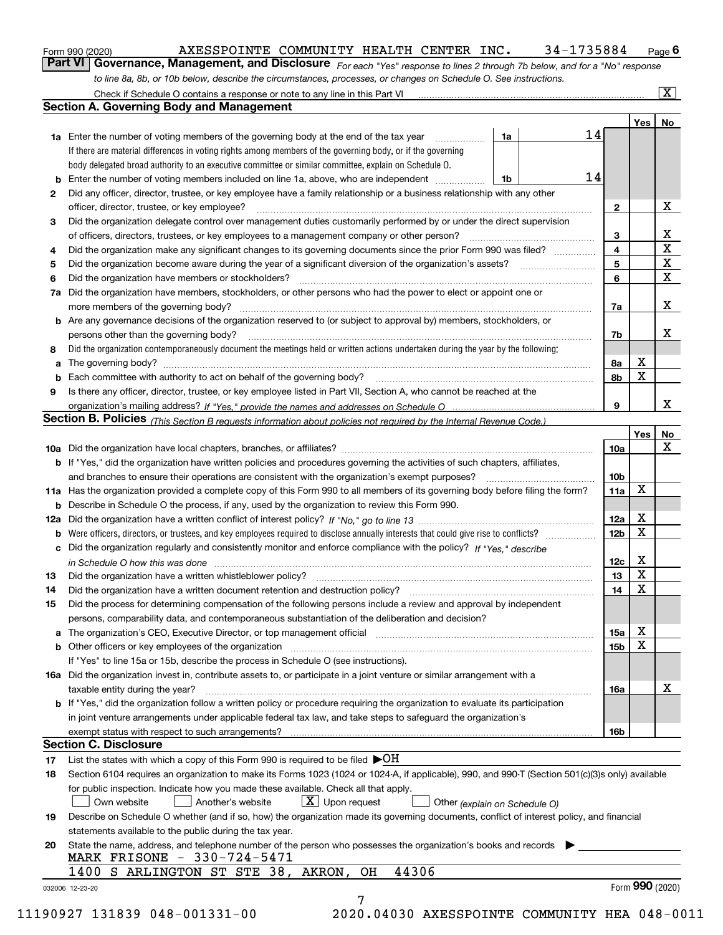|  | Form 990 (2020) |
|--|-----------------|
|  |                 |

## $_{\rm Form\ 990\ (2020)}$  AXESSPOINTE COMMUNITY HEALTH CENTER INC.  $134$ – $1735884$   $_{\rm Page}$

orm 990 (2020) \_\_\_\_\_\_\_\_\_\_\_\_\_\_AXESSPOINTE\_COMMUNITY\_HEALTH\_CENTER\_INC *.\_\_\_\_\_34-1735884\_\_\_ <sub>Page</sub> 6*<br>Part VI | Governance, Management, and Disclosure <sub>For each "Yes" response to lines 2 through 7b below, and for a "No" res</sub> *to line 8a, 8b, or 10b below, describe the circumstances, processes, or changes on Schedule O. See instructions.*

|                 |                                                                                                                                                                                                                                |    | 14 |                         | Yes <sub>1</sub> | No                      |
|-----------------|--------------------------------------------------------------------------------------------------------------------------------------------------------------------------------------------------------------------------------|----|----|-------------------------|------------------|-------------------------|
|                 | 1a Enter the number of voting members of the governing body at the end of the tax year                                                                                                                                         | 1a |    |                         |                  |                         |
|                 | If there are material differences in voting rights among members of the governing body, or if the governing<br>body delegated broad authority to an executive committee or similar committee, explain on Schedule O.           |    |    |                         |                  |                         |
|                 | Enter the number of voting members included on line 1a, above, who are independent                                                                                                                                             |    | 14 |                         |                  |                         |
| b               |                                                                                                                                                                                                                                | 1b |    |                         |                  |                         |
| 2               | Did any officer, director, trustee, or key employee have a family relationship or a business relationship with any other<br>officer, director, trustee, or key employee?                                                       |    |    | $\mathbf{2}$            |                  | X                       |
|                 | Did the organization delegate control over management duties customarily performed by or under the direct supervision                                                                                                          |    |    |                         |                  |                         |
| З               | of officers, directors, trustees, or key employees to a management company or other person?                                                                                                                                    |    |    | 3                       |                  | X                       |
|                 | Did the organization make any significant changes to its governing documents since the prior Form 990 was filed?                                                                                                               |    |    | $\overline{\mathbf{4}}$ |                  | $\overline{\mathbf{x}}$ |
| 4<br>5          |                                                                                                                                                                                                                                |    |    | 5                       |                  | $\overline{\mathbf{x}}$ |
| 6               | Did the organization have members or stockholders?                                                                                                                                                                             |    |    | 6                       |                  | $\mathbf X$             |
|                 | Did the organization have members, stockholders, or other persons who had the power to elect or appoint one or                                                                                                                 |    |    |                         |                  |                         |
| 7a              |                                                                                                                                                                                                                                |    |    |                         |                  | X                       |
|                 |                                                                                                                                                                                                                                |    |    | 7a                      |                  |                         |
|                 | <b>b</b> Are any governance decisions of the organization reserved to (or subject to approval by) members, stockholders, or                                                                                                    |    |    |                         |                  | X                       |
|                 | persons other than the governing body?                                                                                                                                                                                         |    |    | 7b                      |                  |                         |
| 8               | Did the organization contemporaneously document the meetings held or written actions undertaken during the year by the following:                                                                                              |    |    |                         | X                |                         |
| a               |                                                                                                                                                                                                                                |    |    | 8а                      |                  |                         |
| b               |                                                                                                                                                                                                                                |    |    | 8b                      | х                |                         |
| 9               | Is there any officer, director, trustee, or key employee listed in Part VII, Section A, who cannot be reached at the                                                                                                           |    |    |                         |                  |                         |
|                 |                                                                                                                                                                                                                                |    |    | 9                       |                  | X                       |
|                 | Section B. Policies (This Section B requests information about policies not required by the Internal Revenue Code.)                                                                                                            |    |    |                         |                  |                         |
|                 |                                                                                                                                                                                                                                |    |    |                         | Yes              | No<br>X                 |
|                 |                                                                                                                                                                                                                                |    |    | 10a                     |                  |                         |
|                 | <b>b</b> If "Yes," did the organization have written policies and procedures governing the activities of such chapters, affiliates,                                                                                            |    |    |                         |                  |                         |
|                 |                                                                                                                                                                                                                                |    |    | 10 <sub>b</sub>         |                  |                         |
|                 | 11a Has the organization provided a complete copy of this Form 990 to all members of its governing body before filing the form?                                                                                                |    |    | 11a                     | X                |                         |
|                 | <b>b</b> Describe in Schedule O the process, if any, used by the organization to review this Form 990.                                                                                                                         |    |    |                         |                  |                         |
|                 |                                                                                                                                                                                                                                |    |    | 12a                     | X                |                         |
|                 | <b>b</b> Were officers, directors, or trustees, and key employees required to disclose annually interests that could give rise to conflicts?                                                                                   |    |    | 12 <sub>b</sub>         | х                |                         |
|                 | c Did the organization regularly and consistently monitor and enforce compliance with the policy? If "Yes." describe                                                                                                           |    |    |                         |                  |                         |
|                 | in Schedule O how this was done manufactured and continuum control of the Schedule O how this was done manufactured and continuum control of the Schedule O how this was done                                                  |    |    | 12c                     | X                |                         |
| 13              |                                                                                                                                                                                                                                |    |    | 13                      | X                |                         |
| 14              |                                                                                                                                                                                                                                |    |    | 14                      | X                |                         |
| 15              | Did the process for determining compensation of the following persons include a review and approval by independent                                                                                                             |    |    |                         |                  |                         |
|                 | persons, comparability data, and contemporaneous substantiation of the deliberation and decision?                                                                                                                              |    |    |                         |                  |                         |
|                 | a The organization's CEO, Executive Director, or top management official manufactured content content of the organization's CEO, Executive Director, or top management official manufactured content of the state of the state |    |    | 15a                     | X                |                         |
|                 |                                                                                                                                                                                                                                |    |    | 15b                     | X                |                         |
|                 | If "Yes" to line 15a or 15b, describe the process in Schedule O (see instructions).                                                                                                                                            |    |    |                         |                  |                         |
|                 | 16a Did the organization invest in, contribute assets to, or participate in a joint venture or similar arrangement with a                                                                                                      |    |    |                         |                  |                         |
|                 | taxable entity during the year?                                                                                                                                                                                                |    |    | 16a                     |                  | X                       |
|                 | b If "Yes," did the organization follow a written policy or procedure requiring the organization to evaluate its participation                                                                                                 |    |    |                         |                  |                         |
|                 | in joint venture arrangements under applicable federal tax law, and take steps to safequard the organization's                                                                                                                 |    |    |                         |                  |                         |
|                 | exempt status with respect to such arrangements?                                                                                                                                                                               |    |    | 16b                     |                  |                         |
|                 | <b>Section C. Disclosure</b>                                                                                                                                                                                                   |    |    |                         |                  |                         |
| 17              | List the states with which a copy of this Form 990 is required to be filed $\blacktriangleright$ OH                                                                                                                            |    |    |                         |                  |                         |
| 18              | Section 6104 requires an organization to make its Forms 1023 (1024 or 1024-A, if applicable), 990, and 990-T (Section 501(c)(3)s only) available                                                                               |    |    |                         |                  |                         |
|                 | for public inspection. Indicate how you made these available. Check all that apply.                                                                                                                                            |    |    |                         |                  |                         |
|                 | $X$ Upon request<br>Own website<br>Another's website<br>Other (explain on Schedule O)                                                                                                                                          |    |    |                         |                  |                         |
| 19              | Describe on Schedule O whether (and if so, how) the organization made its governing documents, conflict of interest policy, and financial                                                                                      |    |    |                         |                  |                         |
|                 | statements available to the public during the tax year.                                                                                                                                                                        |    |    |                         |                  |                         |
| 20              | State the name, address, and telephone number of the person who possesses the organization's books and records                                                                                                                 |    |    |                         |                  |                         |
|                 | MARK FRISONE - 330-724-5471                                                                                                                                                                                                    |    |    |                         |                  |                         |
|                 | 44306<br>1400 S ARLINGTON ST STE 38, AKRON,<br>OН                                                                                                                                                                              |    |    |                         |                  |                         |
| 032006 12-23-20 |                                                                                                                                                                                                                                |    |    |                         | Form 990 (2020)  |                         |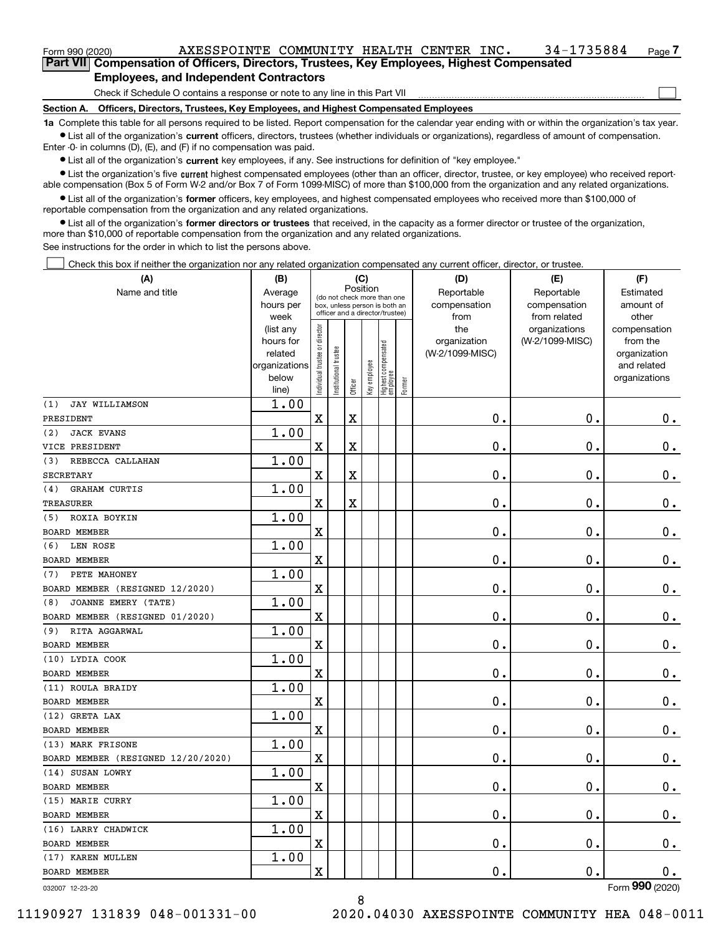| Form 990 (2020) |                                                                                            |  | AXESSPOINTE COMMUNITY HEALTH CENTER INC. |  | 34-1735884 | Page 7 |
|-----------------|--------------------------------------------------------------------------------------------|--|------------------------------------------|--|------------|--------|
|                 | Part VII Compensation of Officers, Directors, Trustees, Key Employees, Highest Compensated |  |                                          |  |            |        |

**Employees, and Independent Contractors**

Check if Schedule O contains a response or note to any line in this Part VII

**Section A. Officers, Directors, Trustees, Key Employees, and Highest Compensated Employees**

**1a**  Complete this table for all persons required to be listed. Report compensation for the calendar year ending with or within the organization's tax year. **•** List all of the organization's current officers, directors, trustees (whether individuals or organizations), regardless of amount of compensation.

 $\mathcal{L}^{\text{max}}$ 

Enter -0- in columns (D), (E), and (F) if no compensation was paid.

 $\bullet$  List all of the organization's  $\,$ current key employees, if any. See instructions for definition of "key employee."

**•** List the organization's five current highest compensated employees (other than an officer, director, trustee, or key employee) who received reportable compensation (Box 5 of Form W-2 and/or Box 7 of Form 1099-MISC) of more than \$100,000 from the organization and any related organizations.

**•** List all of the organization's former officers, key employees, and highest compensated employees who received more than \$100,000 of reportable compensation from the organization and any related organizations.

**former directors or trustees**  ¥ List all of the organization's that received, in the capacity as a former director or trustee of the organization, more than \$10,000 of reportable compensation from the organization and any related organizations.

See instructions for the order in which to list the persons above.

Check this box if neither the organization nor any related organization compensated any current officer, director, or trustee.  $\mathcal{L}^{\text{max}}$ 

| (A)                                | (B)                    |                                |                                                                  | (C)      |              |                                   |        | (D)                 | (E)                              | (F)                      |
|------------------------------------|------------------------|--------------------------------|------------------------------------------------------------------|----------|--------------|-----------------------------------|--------|---------------------|----------------------------------|--------------------------|
| Name and title                     | Average                |                                | (do not check more than one                                      | Position |              |                                   |        | Reportable          | Reportable                       | Estimated                |
|                                    | hours per              |                                | box, unless person is both an<br>officer and a director/trustee) |          |              |                                   |        | compensation        | compensation                     | amount of                |
|                                    | week                   |                                |                                                                  |          |              |                                   |        | from                | from related                     | other                    |
|                                    | (list any<br>hours for |                                |                                                                  |          |              |                                   |        | the<br>organization | organizations<br>(W-2/1099-MISC) | compensation<br>from the |
|                                    | related                |                                |                                                                  |          |              |                                   |        | (W-2/1099-MISC)     |                                  | organization             |
|                                    | organizations          |                                | trustee                                                          |          |              |                                   |        |                     |                                  | and related              |
|                                    | below                  | Individual trustee or director |                                                                  |          | Key employee |                                   |        |                     |                                  | organizations            |
|                                    | line)                  |                                | Institutional t                                                  | Officer  |              | Highest compensated<br>  employee | Former |                     |                                  |                          |
| <b>JAY WILLIAMSON</b><br>(1)       | 1.00                   |                                |                                                                  |          |              |                                   |        |                     |                                  |                          |
| PRESIDENT                          |                        | $\mathbf X$                    |                                                                  | Χ        |              |                                   |        | $\mathbf 0$ .       | 0.                               | 0.                       |
| <b>JACK EVANS</b><br>(2)           | 1.00                   |                                |                                                                  |          |              |                                   |        |                     |                                  |                          |
| VICE PRESIDENT                     |                        | $\mathbf X$                    |                                                                  | X        |              |                                   |        | 0.                  | 0.                               | 0.                       |
| REBECCA CALLAHAN<br>(3)            | 1.00                   |                                |                                                                  |          |              |                                   |        |                     |                                  |                          |
| <b>SECRETARY</b>                   |                        | $\mathbf X$                    |                                                                  | X        |              |                                   |        | $\mathbf 0$ .       | 0.                               | $0_{.}$                  |
| <b>GRAHAM CURTIS</b><br>(4)        | 1.00                   |                                |                                                                  |          |              |                                   |        |                     |                                  |                          |
| <b>TREASURER</b>                   |                        | $\mathbf X$                    |                                                                  | X        |              |                                   |        | $\mathbf 0$ .       | 0.                               | $0_{.}$                  |
| ROXIA BOYKIN<br>(5)                | 1.00                   |                                |                                                                  |          |              |                                   |        |                     |                                  |                          |
| BOARD MEMBER                       |                        | $\mathbf X$                    |                                                                  |          |              |                                   |        | $\mathbf 0$ .       | 0.                               | $\mathbf 0$ .            |
| LEN ROSE<br>(6)                    | 1.00                   |                                |                                                                  |          |              |                                   |        |                     |                                  |                          |
| BOARD MEMBER                       |                        | $\mathbf X$                    |                                                                  |          |              |                                   |        | 0.                  | 0.                               | 0.                       |
| PETE MAHONEY<br>(7)                | 1.00                   |                                |                                                                  |          |              |                                   |        |                     |                                  |                          |
| BOARD MEMBER (RESIGNED 12/2020)    |                        | $\mathbf X$                    |                                                                  |          |              |                                   |        | $\mathbf 0$ .       | 0.                               | $0_{.}$                  |
| JOANNE EMERY (TATE)<br>(8)         | 1.00                   |                                |                                                                  |          |              |                                   |        |                     |                                  |                          |
| BOARD MEMBER (RESIGNED 01/2020)    |                        | $\mathbf X$                    |                                                                  |          |              |                                   |        | $\mathbf 0$ .       | 0.                               | $\mathbf 0$ .            |
| RITA AGGARWAL<br>(9)               | 1.00                   |                                |                                                                  |          |              |                                   |        |                     |                                  |                          |
| BOARD MEMBER                       |                        | $\mathbf X$                    |                                                                  |          |              |                                   |        | 0.                  | 0.                               | 0.                       |
| (10) LYDIA COOK                    | 1.00                   |                                |                                                                  |          |              |                                   |        |                     |                                  |                          |
| BOARD MEMBER                       |                        | $\mathbf X$                    |                                                                  |          |              |                                   |        | 0.                  | 0.                               | 0.                       |
| (11) ROULA BRAIDY                  | 1.00                   |                                |                                                                  |          |              |                                   |        |                     |                                  |                          |
| <b>BOARD MEMBER</b>                |                        | $\mathbf X$                    |                                                                  |          |              |                                   |        | $\mathbf 0$ .       | 0.                               | $\mathbf 0$ .            |
| (12) GRETA LAX                     | 1.00                   |                                |                                                                  |          |              |                                   |        |                     |                                  |                          |
| <b>BOARD MEMBER</b>                |                        | $\mathbf X$                    |                                                                  |          |              |                                   |        | $\mathbf 0$ .       | 0.                               | 0.                       |
| (13) MARK FRISONE                  | 1.00                   |                                |                                                                  |          |              |                                   |        |                     |                                  |                          |
| BOARD MEMBER (RESIGNED 12/20/2020) |                        | $\mathbf X$                    |                                                                  |          |              |                                   |        | $\mathbf 0$ .       | $\mathbf 0$ .                    | $\mathbf 0$ .            |
| (14) SUSAN LOWRY                   | 1.00                   |                                |                                                                  |          |              |                                   |        |                     |                                  |                          |
| BOARD MEMBER                       |                        | $\overline{\mathbf{X}}$        |                                                                  |          |              |                                   |        | 0.                  | 0.                               | $\mathbf 0$ .            |
| (15) MARIE CURRY                   | 1.00                   |                                |                                                                  |          |              |                                   |        |                     |                                  |                          |
| <b>BOARD MEMBER</b>                |                        | $\mathbf X$                    |                                                                  |          |              |                                   |        | $\mathbf 0$ .       | $\mathbf 0$ .                    | $\mathbf 0$ .            |
| (16) LARRY CHADWICK                | 1.00                   |                                |                                                                  |          |              |                                   |        |                     |                                  |                          |
| <b>BOARD MEMBER</b>                |                        | $\mathbf X$                    |                                                                  |          |              |                                   |        | $\mathbf 0$ .       | $\mathbf 0$ .                    | 0.                       |
| (17) KAREN MULLEN                  | 1.00                   |                                |                                                                  |          |              |                                   |        |                     |                                  |                          |
| <b>BOARD MEMBER</b>                |                        | $\mathbf X$                    |                                                                  |          |              |                                   |        | $\mathbf 0$ .       | О.                               | $0$ .                    |
| 032007 12-23-20                    |                        |                                |                                                                  |          |              |                                   |        |                     |                                  | Form 990 (2020)          |

032007 12-23-20

11190927 131839 048-001331-00 2020.04030 AXESSPOINTE COMMUNITY HEA 048-0011

8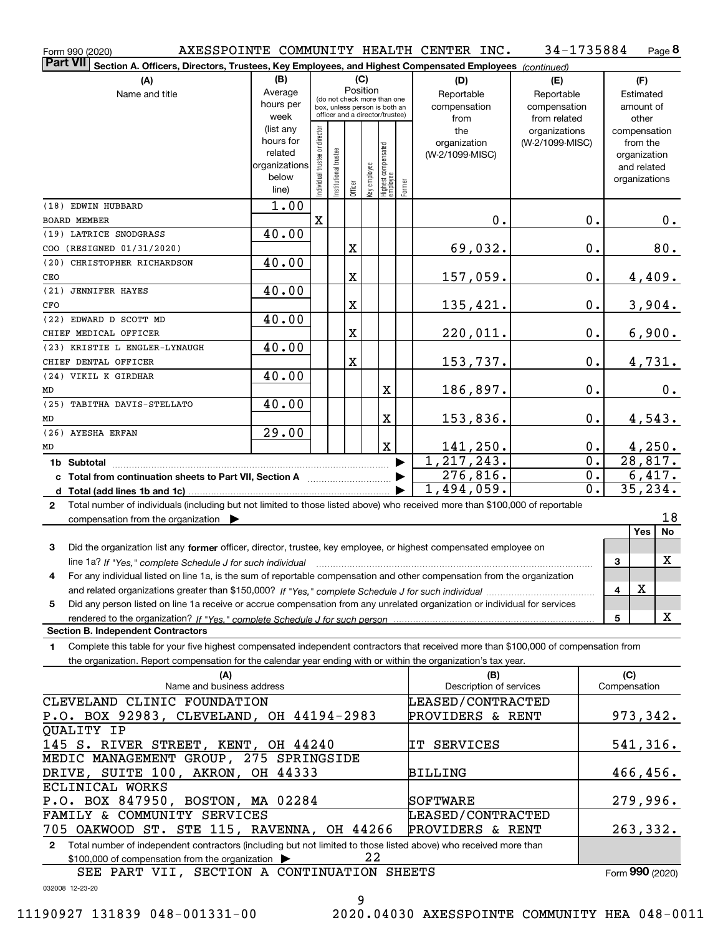| Form 990 (2020)                                                                                                                                                                                                                                                     |                                                                              |                                |                       |                                                                          |     |                                                 |        | AXESSPOINTE COMMUNITY HEALTH CENTER INC.       | 34-1735884                                       |                  |                     |                                                                                   | Page 8                |
|---------------------------------------------------------------------------------------------------------------------------------------------------------------------------------------------------------------------------------------------------------------------|------------------------------------------------------------------------------|--------------------------------|-----------------------|--------------------------------------------------------------------------|-----|-------------------------------------------------|--------|------------------------------------------------|--------------------------------------------------|------------------|---------------------|-----------------------------------------------------------------------------------|-----------------------|
| <b>Part VII</b><br>Section A. Officers, Directors, Trustees, Key Employees, and Highest Compensated Employees (continued)                                                                                                                                           |                                                                              |                                |                       |                                                                          |     |                                                 |        |                                                |                                                  |                  |                     |                                                                                   |                       |
| (A)<br>Name and title                                                                                                                                                                                                                                               | (B)<br>Average<br>hours per                                                  |                                |                       | Position<br>(do not check more than one<br>box, unless person is both an | (C) |                                                 |        | (D)<br>Reportable<br>compensation              | (E)<br>Reportable<br>compensation                |                  |                     | (F)<br>Estimated<br>amount of                                                     |                       |
|                                                                                                                                                                                                                                                                     | week<br>(list any<br>hours for<br>related<br>organizations<br>below<br>line) | Individual trustee or director | Institutional trustee | officer and a director/trustee)<br>Officer                               |     | key employee<br>Highest compensated<br>employee | Former | from<br>the<br>organization<br>(W-2/1099-MISC) | from related<br>organizations<br>(W-2/1099-MISC) |                  |                     | other<br>compensation<br>from the<br>organization<br>and related<br>organizations |                       |
| (18) EDWIN HUBBARD                                                                                                                                                                                                                                                  | 1.00                                                                         |                                |                       |                                                                          |     |                                                 |        |                                                |                                                  |                  |                     |                                                                                   |                       |
| <b>BOARD MEMBER</b>                                                                                                                                                                                                                                                 |                                                                              | $\mathbf x$                    |                       |                                                                          |     |                                                 |        | 0.                                             |                                                  | 0.               |                     |                                                                                   | 0.                    |
| (19) LATRICE SNODGRASS                                                                                                                                                                                                                                              | 40.00                                                                        |                                |                       |                                                                          |     |                                                 |        |                                                |                                                  |                  |                     |                                                                                   |                       |
| COO (RESIGNED 01/31/2020)<br>(20) CHRISTOPHER RICHARDSON                                                                                                                                                                                                            | 40.00                                                                        |                                |                       | X                                                                        |     |                                                 |        | 69,032.                                        |                                                  | 0.               |                     |                                                                                   | 80.                   |
| CEO                                                                                                                                                                                                                                                                 |                                                                              |                                |                       | X                                                                        |     |                                                 |        | 157,059.                                       |                                                  | $0$ .            |                     |                                                                                   | 4,409.                |
| (21) JENNIFER HAYES                                                                                                                                                                                                                                                 | 40.00                                                                        |                                |                       |                                                                          |     |                                                 |        |                                                |                                                  |                  |                     |                                                                                   |                       |
| CFO                                                                                                                                                                                                                                                                 |                                                                              |                                |                       | X                                                                        |     |                                                 |        | 135,421.                                       |                                                  | 0.               |                     |                                                                                   | 3,904.                |
| (22) EDWARD D SCOTT MD                                                                                                                                                                                                                                              | 40.00                                                                        |                                |                       |                                                                          |     |                                                 |        |                                                |                                                  |                  |                     |                                                                                   |                       |
| CHIEF MEDICAL OFFICER                                                                                                                                                                                                                                               |                                                                              |                                |                       | X                                                                        |     |                                                 |        | 220,011.                                       |                                                  | 0.               |                     |                                                                                   | 6,900.                |
| (23) KRISTIE L ENGLER-LYNAUGH                                                                                                                                                                                                                                       | 40.00                                                                        |                                |                       |                                                                          |     |                                                 |        |                                                |                                                  |                  |                     |                                                                                   |                       |
| CHIEF DENTAL OFFICER                                                                                                                                                                                                                                                |                                                                              |                                |                       | X                                                                        |     |                                                 |        | 153,737.                                       |                                                  | 0.               |                     |                                                                                   | 4,731.                |
| (24) VIKIL K GIRDHAR                                                                                                                                                                                                                                                | 40.00                                                                        |                                |                       |                                                                          |     | X                                               |        |                                                |                                                  | 0.               |                     |                                                                                   |                       |
| MD<br>(25) TABITHA DAVIS-STELLATO                                                                                                                                                                                                                                   | 40.00                                                                        |                                |                       |                                                                          |     |                                                 |        | 186,897.                                       |                                                  |                  |                     |                                                                                   | 0.                    |
| MD                                                                                                                                                                                                                                                                  |                                                                              |                                |                       |                                                                          |     | X                                               |        | 153,836.                                       |                                                  | 0.               |                     |                                                                                   | 4,543.                |
| (26) AYESHA ERFAN                                                                                                                                                                                                                                                   | 29.00                                                                        |                                |                       |                                                                          |     |                                                 |        |                                                |                                                  |                  |                     |                                                                                   |                       |
| MD                                                                                                                                                                                                                                                                  |                                                                              |                                |                       |                                                                          |     | $\mathbf X$                                     |        | 141, 250.                                      |                                                  | $0$ .            |                     |                                                                                   | 4,250.                |
|                                                                                                                                                                                                                                                                     |                                                                              |                                |                       |                                                                          |     |                                                 | ▶      | 1, 217, 243.                                   |                                                  | $\overline{0}$ . |                     |                                                                                   | $\overline{28,817}$ . |
| c Total from continuation sheets to Part VII, Section A <i>manumeraness</i>                                                                                                                                                                                         |                                                                              |                                |                       |                                                                          |     |                                                 |        | 276,816.                                       |                                                  | 0.               |                     |                                                                                   | 6,417.                |
|                                                                                                                                                                                                                                                                     |                                                                              |                                |                       |                                                                          |     |                                                 |        | $\overline{1,494,059}$ .                       |                                                  | $\overline{0}$ . |                     |                                                                                   | 35, 234.              |
| Total number of individuals (including but not limited to those listed above) who received more than \$100,000 of reportable<br>$\mathbf{2}$<br>compensation from the organization $\blacktriangleright$                                                            |                                                                              |                                |                       |                                                                          |     |                                                 |        |                                                |                                                  |                  |                     |                                                                                   | 18                    |
|                                                                                                                                                                                                                                                                     |                                                                              |                                |                       |                                                                          |     |                                                 |        |                                                |                                                  |                  |                     | Yes                                                                               | No                    |
| 3<br>Did the organization list any former officer, director, trustee, key employee, or highest compensated employee on                                                                                                                                              |                                                                              |                                |                       |                                                                          |     |                                                 |        |                                                |                                                  |                  | 3                   |                                                                                   | X                     |
| line 1a? If "Yes," complete Schedule J for such individual manufactured contained and the Ves," complete Schedule J for such individual<br>For any individual listed on line 1a, is the sum of reportable compensation and other compensation from the organization |                                                                              |                                |                       |                                                                          |     |                                                 |        |                                                |                                                  |                  |                     |                                                                                   |                       |
|                                                                                                                                                                                                                                                                     |                                                                              |                                |                       |                                                                          |     |                                                 |        |                                                |                                                  |                  | 4                   | х                                                                                 |                       |
| Did any person listed on line 1a receive or accrue compensation from any unrelated organization or individual for services<br>5                                                                                                                                     |                                                                              |                                |                       |                                                                          |     |                                                 |        |                                                |                                                  |                  |                     |                                                                                   |                       |
|                                                                                                                                                                                                                                                                     |                                                                              |                                |                       |                                                                          |     |                                                 |        |                                                |                                                  |                  | 5                   |                                                                                   | X                     |
| <b>Section B. Independent Contractors</b>                                                                                                                                                                                                                           |                                                                              |                                |                       |                                                                          |     |                                                 |        |                                                |                                                  |                  |                     |                                                                                   |                       |
| Complete this table for your five highest compensated independent contractors that received more than \$100,000 of compensation from<br>1                                                                                                                           |                                                                              |                                |                       |                                                                          |     |                                                 |        |                                                |                                                  |                  |                     |                                                                                   |                       |
| the organization. Report compensation for the calendar year ending with or within the organization's tax year.                                                                                                                                                      |                                                                              |                                |                       |                                                                          |     |                                                 |        |                                                |                                                  |                  |                     |                                                                                   |                       |
| (A)<br>Name and business address                                                                                                                                                                                                                                    |                                                                              |                                |                       |                                                                          |     |                                                 |        | (B)<br>Description of services                 |                                                  |                  | (C)<br>Compensation |                                                                                   |                       |
| CLEVELAND CLINIC FOUNDATION                                                                                                                                                                                                                                         |                                                                              |                                |                       |                                                                          |     |                                                 |        | <b>LEASED/CONTRACTED</b>                       |                                                  |                  |                     |                                                                                   |                       |
| P.O. BOX 92983, CLEVELAND, OH 44194-2983                                                                                                                                                                                                                            |                                                                              |                                |                       |                                                                          |     |                                                 |        | PROVIDERS & RENT                               |                                                  |                  |                     |                                                                                   | 973,342.              |
| QUALITY IP                                                                                                                                                                                                                                                          |                                                                              |                                |                       |                                                                          |     |                                                 |        |                                                |                                                  |                  |                     |                                                                                   |                       |
| 145 S. RIVER STREET, KENT, OH 44240                                                                                                                                                                                                                                 |                                                                              |                                |                       |                                                                          |     |                                                 |        | IT SERVICES                                    |                                                  |                  |                     |                                                                                   | <u>541,316.</u>       |
| MEDIC MANAGEMENT GROUP, 275 SPRINGSIDE                                                                                                                                                                                                                              |                                                                              |                                |                       |                                                                          |     |                                                 |        |                                                |                                                  |                  |                     |                                                                                   |                       |
| DRIVE, SUITE 100, AKRON, OH 44333                                                                                                                                                                                                                                   |                                                                              |                                |                       |                                                                          |     |                                                 |        | <b>BILLING</b>                                 |                                                  |                  |                     |                                                                                   | 466,456.              |
| ECLINICAL WORKS<br>P.O. BOX 847950, BOSTON, MA 02284                                                                                                                                                                                                                |                                                                              |                                |                       |                                                                          |     |                                                 |        | SOFTWARE                                       |                                                  |                  |                     |                                                                                   | 279,996.              |
| FAMILY & COMMUNITY SERVICES                                                                                                                                                                                                                                         |                                                                              |                                |                       |                                                                          |     |                                                 |        | LEASED/CONTRACTED                              |                                                  |                  |                     |                                                                                   |                       |
| 705 OAKWOOD ST. STE 115, RAVENNA, OH 44266                                                                                                                                                                                                                          |                                                                              |                                |                       |                                                                          |     |                                                 |        | PROVIDERS & RENT                               |                                                  |                  |                     |                                                                                   | 263,332.              |
| Total number of independent contractors (including but not limited to those listed above) who received more than<br>$\mathbf{2}$                                                                                                                                    |                                                                              |                                |                       |                                                                          |     |                                                 |        |                                                |                                                  |                  |                     |                                                                                   |                       |
| \$100,000 of compensation from the organization                                                                                                                                                                                                                     |                                                                              |                                |                       |                                                                          | 22  |                                                 |        |                                                |                                                  |                  |                     |                                                                                   |                       |

SEE PART VII, SECTION A CONTINUATION SHEETS

Form (2020) **990**

032008 12-23-20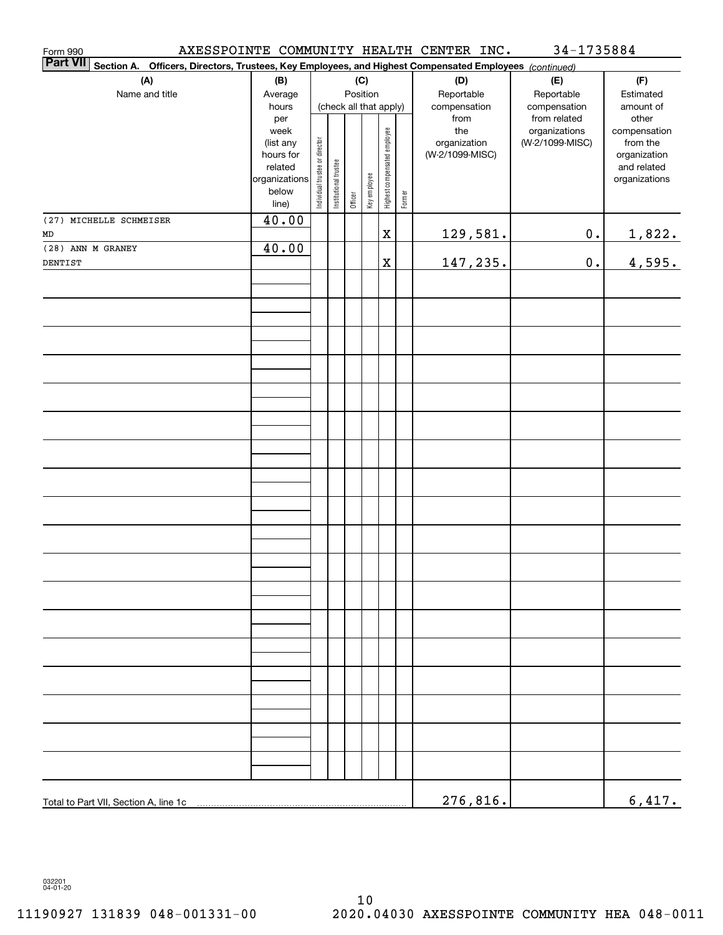| Form 990<br><b>Part VII</b>                                                                               |                                                                                     |                                |                       |         |              |                                                                  |  | AXESSPOINTE COMMUNITY HEALTH CENTER INC.                       | 34-1735884                                                       |                                                                                                |
|-----------------------------------------------------------------------------------------------------------|-------------------------------------------------------------------------------------|--------------------------------|-----------------------|---------|--------------|------------------------------------------------------------------|--|----------------------------------------------------------------|------------------------------------------------------------------|------------------------------------------------------------------------------------------------|
| Section A.<br>Officers, Directors, Trustees, Key Employees, and Highest Compensated Employees (continued) |                                                                                     |                                |                       |         |              |                                                                  |  |                                                                |                                                                  |                                                                                                |
| (A)                                                                                                       | (B)                                                                                 |                                |                       |         | (C)          |                                                                  |  | (D)                                                            | (E)                                                              | (F)                                                                                            |
| Name and title                                                                                            | Average                                                                             |                                |                       |         | Position     |                                                                  |  | Reportable                                                     | Reportable                                                       | Estimated                                                                                      |
|                                                                                                           | hours<br>per<br>week<br>(list any<br>hours for<br>related<br>organizations<br>below | Individual trustee or director | Institutional trustee | Officer | Key employee | (check all that apply)<br>Highest compensated employee<br>Former |  | compensation<br>from<br>the<br>organization<br>(W-2/1099-MISC) | compensation<br>from related<br>organizations<br>(W-2/1099-MISC) | amount of<br>other<br>compensation<br>from the<br>organization<br>and related<br>organizations |
| (27) MICHELLE SCHMEISER                                                                                   | line)<br>40.00                                                                      |                                |                       |         |              |                                                                  |  |                                                                |                                                                  |                                                                                                |
| MD                                                                                                        |                                                                                     |                                |                       |         |              | $\rm X$                                                          |  | <u>129,581.</u>                                                | $\mathbf 0$ .                                                    | <u>1,822.</u>                                                                                  |
| (28) ANN M GRANEY                                                                                         | 40.00                                                                               |                                |                       |         |              |                                                                  |  |                                                                |                                                                  |                                                                                                |
| DENTIST                                                                                                   |                                                                                     |                                |                       |         |              | $\mathbf X$                                                      |  | 147,235.                                                       | $\mathbf 0$ .                                                    | 4,595.                                                                                         |
|                                                                                                           |                                                                                     |                                |                       |         |              |                                                                  |  |                                                                |                                                                  |                                                                                                |
|                                                                                                           |                                                                                     |                                |                       |         |              |                                                                  |  |                                                                |                                                                  |                                                                                                |
|                                                                                                           |                                                                                     |                                |                       |         |              |                                                                  |  |                                                                |                                                                  |                                                                                                |
|                                                                                                           |                                                                                     |                                |                       |         |              |                                                                  |  |                                                                |                                                                  |                                                                                                |
|                                                                                                           |                                                                                     |                                |                       |         |              |                                                                  |  |                                                                |                                                                  |                                                                                                |
|                                                                                                           |                                                                                     |                                |                       |         |              |                                                                  |  |                                                                |                                                                  |                                                                                                |
|                                                                                                           |                                                                                     |                                |                       |         |              |                                                                  |  |                                                                |                                                                  |                                                                                                |
|                                                                                                           |                                                                                     |                                |                       |         |              |                                                                  |  |                                                                |                                                                  |                                                                                                |
|                                                                                                           |                                                                                     |                                |                       |         |              |                                                                  |  |                                                                |                                                                  |                                                                                                |
|                                                                                                           |                                                                                     |                                |                       |         |              |                                                                  |  |                                                                |                                                                  |                                                                                                |
|                                                                                                           |                                                                                     |                                |                       |         |              |                                                                  |  |                                                                |                                                                  |                                                                                                |
|                                                                                                           |                                                                                     |                                |                       |         |              |                                                                  |  |                                                                |                                                                  |                                                                                                |
|                                                                                                           |                                                                                     |                                |                       |         |              |                                                                  |  |                                                                |                                                                  |                                                                                                |
|                                                                                                           |                                                                                     |                                |                       |         |              |                                                                  |  |                                                                |                                                                  |                                                                                                |
|                                                                                                           |                                                                                     |                                |                       |         |              |                                                                  |  |                                                                |                                                                  |                                                                                                |
|                                                                                                           |                                                                                     |                                |                       |         |              |                                                                  |  |                                                                |                                                                  |                                                                                                |
|                                                                                                           |                                                                                     |                                |                       |         |              |                                                                  |  |                                                                |                                                                  |                                                                                                |
|                                                                                                           |                                                                                     |                                |                       |         |              |                                                                  |  |                                                                |                                                                  |                                                                                                |
|                                                                                                           |                                                                                     |                                |                       |         |              |                                                                  |  |                                                                |                                                                  |                                                                                                |
| Total to Part VII, Section A, line 1c                                                                     |                                                                                     |                                |                       |         |              |                                                                  |  | 276,816.                                                       |                                                                  | 6,417.                                                                                         |

032201 04-01-20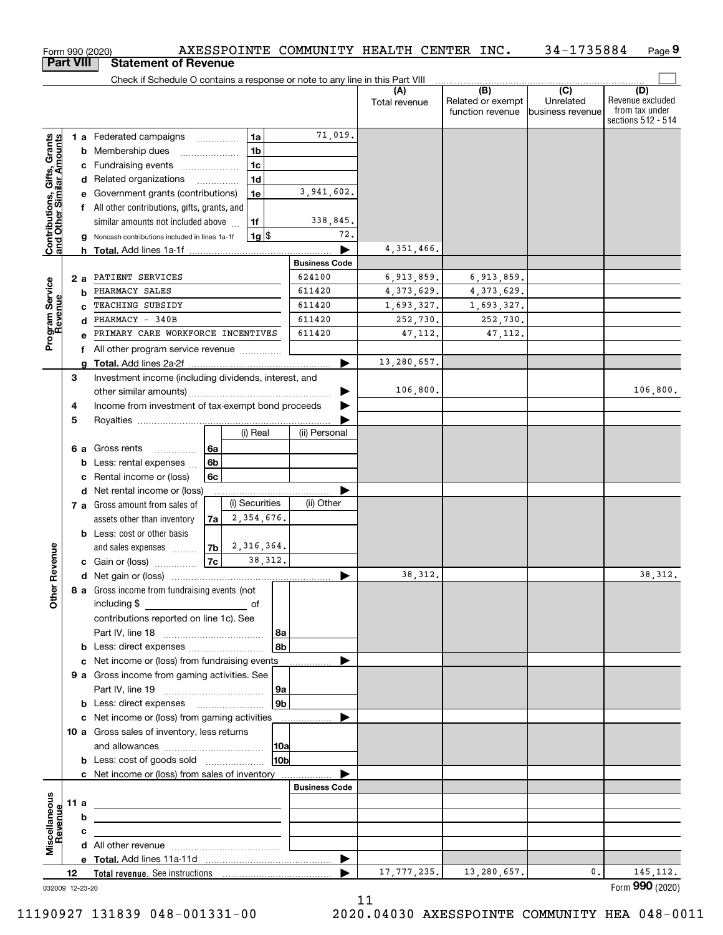|                                                           |                  | AXESSPOINTE COMMUNITY HEALTH CENTER INC.<br>Form 990 (2020)                                                                                                                                                                    |                                |               |                                       | 34-1735884                    | Page 9                                                   |
|-----------------------------------------------------------|------------------|--------------------------------------------------------------------------------------------------------------------------------------------------------------------------------------------------------------------------------|--------------------------------|---------------|---------------------------------------|-------------------------------|----------------------------------------------------------|
|                                                           | <b>Part VIII</b> | <b>Statement of Revenue</b>                                                                                                                                                                                                    |                                |               |                                       |                               |                                                          |
|                                                           |                  | Check if Schedule O contains a response or note to any line in this Part VIII                                                                                                                                                  |                                | (A)           | (B)                                   | $\overline{C}$                | (D)                                                      |
|                                                           |                  |                                                                                                                                                                                                                                |                                | Total revenue | Related or exempt<br>function revenue | Unrelated<br>business revenue | Revenue excluded<br>from tax under<br>sections 512 - 514 |
|                                                           |                  | 1a<br>1 a Federated campaigns                                                                                                                                                                                                  | 71,019.                        |               |                                       |                               |                                                          |
| Contributions, Gifts, Grants<br>and Other Similar Amounts |                  | 1 <sub>b</sub><br>Membership dues<br>b                                                                                                                                                                                         |                                |               |                                       |                               |                                                          |
|                                                           |                  | 1 <sub>c</sub><br>Fundraising events                                                                                                                                                                                           |                                |               |                                       |                               |                                                          |
|                                                           |                  | 1 <sub>d</sub><br>Related organizations<br>d<br>$\overline{\phantom{a}}$                                                                                                                                                       |                                |               |                                       |                               |                                                          |
|                                                           |                  | Government grants (contributions)<br>1e                                                                                                                                                                                        | 3,941,602.                     |               |                                       |                               |                                                          |
|                                                           |                  | f All other contributions, gifts, grants, and                                                                                                                                                                                  |                                |               |                                       |                               |                                                          |
|                                                           |                  | similar amounts not included above<br>1f                                                                                                                                                                                       | 338,845.                       |               |                                       |                               |                                                          |
|                                                           |                  | $1g$ \$<br>Noncash contributions included in lines 1a-1f<br>a                                                                                                                                                                  | 72.                            |               |                                       |                               |                                                          |
|                                                           |                  |                                                                                                                                                                                                                                |                                | 4, 351, 466.  |                                       |                               |                                                          |
|                                                           |                  | PATIENT SERVICES                                                                                                                                                                                                               | <b>Business Code</b><br>624100 | 6,913,859.    | 6,913,859.                            |                               |                                                          |
|                                                           | 2a               | PHARMACY SALES<br>b                                                                                                                                                                                                            | 611420                         | 4, 373, 629.  | 4,373,629.                            |                               |                                                          |
|                                                           |                  | TEACHING SUBSIDY                                                                                                                                                                                                               | 611420                         | 1,693,327.    | 1,693,327.                            |                               |                                                          |
|                                                           |                  | PHARMACY - 340B                                                                                                                                                                                                                | 611420                         | 252,730.      | 252,730.                              |                               |                                                          |
| Program Service<br>Revenue                                |                  | PRIMARY CARE WORKFORCE INCENTIVES                                                                                                                                                                                              | 611420                         | 47, 112.      | 47, 112.                              |                               |                                                          |
|                                                           |                  | f All other program service revenue                                                                                                                                                                                            |                                |               |                                       |                               |                                                          |
|                                                           |                  | g                                                                                                                                                                                                                              |                                | 13,280,657.   |                                       |                               |                                                          |
|                                                           | 3                | Investment income (including dividends, interest, and                                                                                                                                                                          |                                |               |                                       |                               |                                                          |
|                                                           |                  |                                                                                                                                                                                                                                |                                | 106,800.      |                                       |                               | 106,800.                                                 |
|                                                           | 4                | Income from investment of tax-exempt bond proceeds                                                                                                                                                                             |                                |               |                                       |                               |                                                          |
|                                                           | 5                |                                                                                                                                                                                                                                |                                |               |                                       |                               |                                                          |
|                                                           |                  | (i) Real                                                                                                                                                                                                                       | (ii) Personal                  |               |                                       |                               |                                                          |
|                                                           | 6а               | 6a<br>Gross rents<br>.<br>6b                                                                                                                                                                                                   |                                |               |                                       |                               |                                                          |
|                                                           |                  | Less: rental expenses<br>b<br>6c<br>Rental income or (loss)<br>с                                                                                                                                                               |                                |               |                                       |                               |                                                          |
|                                                           |                  | Net rental income or (loss)<br>d                                                                                                                                                                                               |                                |               |                                       |                               |                                                          |
|                                                           |                  | (i) Securities<br>7 a Gross amount from sales of                                                                                                                                                                               | (ii) Other                     |               |                                       |                               |                                                          |
|                                                           |                  | 2,354,676.<br>7a<br>assets other than inventory                                                                                                                                                                                |                                |               |                                       |                               |                                                          |
|                                                           |                  | <b>b</b> Less: cost or other basis                                                                                                                                                                                             |                                |               |                                       |                               |                                                          |
|                                                           |                  | 2,316,364.<br>7b<br>and sales expenses                                                                                                                                                                                         |                                |               |                                       |                               |                                                          |
| evenue                                                    |                  | 7c<br>38, 312.<br>c Gain or (loss)                                                                                                                                                                                             |                                |               |                                       |                               |                                                          |
| č                                                         |                  |                                                                                                                                                                                                                                |                                | 38, 312.      |                                       |                               | 38, 312.                                                 |
| Other                                                     |                  | 8 a Gross income from fundraising events (not                                                                                                                                                                                  |                                |               |                                       |                               |                                                          |
|                                                           |                  | including \$<br><u> a shekara ta 1999 a shekara ta 1991 a shekara ta 1991 a shekara ta 1991 a shekara ta 1991 a shekara ta 1991 a </u><br>of                                                                                   |                                |               |                                       |                               |                                                          |
|                                                           |                  | contributions reported on line 1c). See                                                                                                                                                                                        |                                |               |                                       |                               |                                                          |
|                                                           |                  | 8a<br> 8b <br>Less: direct expenses <i></i><br>b                                                                                                                                                                               |                                |               |                                       |                               |                                                          |
|                                                           |                  | Net income or (loss) from fundraising events<br>c                                                                                                                                                                              |                                |               |                                       |                               |                                                          |
|                                                           |                  | 9 a Gross income from gaming activities. See                                                                                                                                                                                   |                                |               |                                       |                               |                                                          |
|                                                           |                  | 9a                                                                                                                                                                                                                             |                                |               |                                       |                               |                                                          |
|                                                           |                  | 9b <br>b                                                                                                                                                                                                                       |                                |               |                                       |                               |                                                          |
|                                                           |                  | Net income or (loss) from gaming activities ______________<br>c                                                                                                                                                                |                                |               |                                       |                               |                                                          |
|                                                           |                  | 10 a Gross sales of inventory, less returns                                                                                                                                                                                    |                                |               |                                       |                               |                                                          |
|                                                           |                  | 10a                                                                                                                                                                                                                            |                                |               |                                       |                               |                                                          |
|                                                           |                  | 10 <sub>b</sub><br><b>b</b> Less: cost of goods sold                                                                                                                                                                           |                                |               |                                       |                               |                                                          |
|                                                           |                  | c Net income or (loss) from sales of inventory                                                                                                                                                                                 |                                |               |                                       |                               |                                                          |
|                                                           |                  |                                                                                                                                                                                                                                | <b>Business Code</b>           |               |                                       |                               |                                                          |
|                                                           | 11 a             | b                                                                                                                                                                                                                              |                                |               |                                       |                               |                                                          |
|                                                           |                  | с                                                                                                                                                                                                                              |                                |               |                                       |                               |                                                          |
| Miscellaneous<br>Revenue                                  |                  |                                                                                                                                                                                                                                |                                |               |                                       |                               |                                                          |
|                                                           |                  |                                                                                                                                                                                                                                | $\blacktriangleright$          |               |                                       |                               |                                                          |
|                                                           | 12               | Total revenue. See instructions [100] [100] [100] [100] [100] [100] [100] [100] [100] [100] [100] [100] [100] [100] [100] [100] [100] [100] [100] [100] [100] [100] [100] [100] [100] [100] [100] [100] [100] [100] [100] [100 |                                | 17, 777, 235. | 13,280,657.                           | 0.                            | 145, 112.                                                |
| 032009 12-23-20                                           |                  |                                                                                                                                                                                                                                |                                |               |                                       |                               | Form 990 (2020)                                          |

032009 12-23-20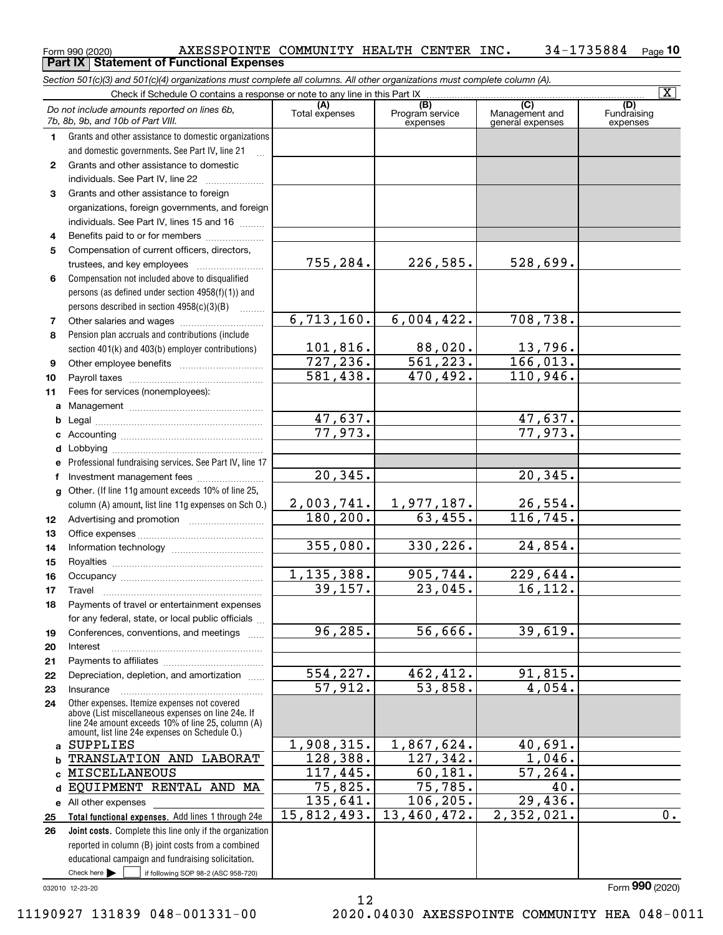|              | Form 990 (2020)<br><b>Part IX   Statement of Functional Expenses</b>                                                                                                                                       | AXESSPOINTE COMMUNITY HEALTH CENTER INC. |                                                 |                                                      | 34-1735884<br>$_{\text{Paqe}}$ 10 |
|--------------|------------------------------------------------------------------------------------------------------------------------------------------------------------------------------------------------------------|------------------------------------------|-------------------------------------------------|------------------------------------------------------|-----------------------------------|
|              | Section 501(c)(3) and 501(c)(4) organizations must complete all columns. All other organizations must complete column (A).                                                                                 |                                          |                                                 |                                                      |                                   |
|              | Check if Schedule O contains a response or note to any line in this Part IX                                                                                                                                |                                          |                                                 |                                                      | $\overline{\mathbf{x}}$           |
|              | Do not include amounts reported on lines 6b,<br>7b, 8b, 9b, and 10b of Part VIII.                                                                                                                          | (A)<br>Total expenses                    | $\overline{(B)}$<br>Program service<br>expenses | $\overline{C}$<br>Management and<br>general expenses | (D)<br>Fundraising<br>expenses    |
| 1.           | Grants and other assistance to domestic organizations<br>and domestic governments. See Part IV, line 21                                                                                                    |                                          |                                                 |                                                      |                                   |
| $\mathbf{2}$ | Grants and other assistance to domestic<br>individuals. See Part IV, line 22<br>$\overline{\phantom{a}}$                                                                                                   |                                          |                                                 |                                                      |                                   |
| 3            | Grants and other assistance to foreign<br>organizations, foreign governments, and foreign<br>individuals. See Part IV, lines 15 and 16                                                                     |                                          |                                                 |                                                      |                                   |
| 4            | Benefits paid to or for members                                                                                                                                                                            |                                          |                                                 |                                                      |                                   |
| 5            | Compensation of current officers, directors,                                                                                                                                                               |                                          |                                                 |                                                      |                                   |
|              | trustees, and key employees                                                                                                                                                                                | 755,284.                                 | 226,585.                                        | 528,699.                                             |                                   |
| 6            | Compensation not included above to disqualified<br>persons (as defined under section 4958(f)(1)) and<br>persons described in section 4958(c)(3)(B)                                                         |                                          |                                                 |                                                      |                                   |
| 7            |                                                                                                                                                                                                            | 6,713,160.                               | 6,004,422.                                      | 708,738.                                             |                                   |
| 8            | Pension plan accruals and contributions (include                                                                                                                                                           |                                          |                                                 |                                                      |                                   |
|              | section 401(k) and 403(b) employer contributions)                                                                                                                                                          | 101,816.                                 | $\frac{88,020}{561,223}$                        | 13,796.                                              |                                   |
| 9            |                                                                                                                                                                                                            | 727, 236.                                |                                                 | 166,013.                                             |                                   |
| 10           |                                                                                                                                                                                                            | $\overline{581,438}$ .                   | 470,492.                                        | 110,946.                                             |                                   |
| 11           | Fees for services (nonemployees):                                                                                                                                                                          |                                          |                                                 |                                                      |                                   |
| а            |                                                                                                                                                                                                            | 47,637.                                  |                                                 |                                                      |                                   |
| b            |                                                                                                                                                                                                            | 77,973.                                  |                                                 | $\frac{47,637.}{77,973.}$                            |                                   |
| с<br>d       |                                                                                                                                                                                                            |                                          |                                                 |                                                      |                                   |
|              | Professional fundraising services. See Part IV, line 17                                                                                                                                                    |                                          |                                                 |                                                      |                                   |
| f            | Investment management fees                                                                                                                                                                                 | 20, 345.                                 |                                                 | 20, 345.                                             |                                   |
| g            | Other. (If line 11g amount exceeds 10% of line 25,                                                                                                                                                         |                                          |                                                 |                                                      |                                   |
|              | column (A) amount, list line 11g expenses on Sch O.)                                                                                                                                                       | 2,003,741.                               | 1,977,187.                                      | 26,554.                                              |                                   |
| 12           |                                                                                                                                                                                                            | 180, 200.                                | 63,455.                                         | 116, 745.                                            |                                   |
| 13           |                                                                                                                                                                                                            |                                          |                                                 |                                                      |                                   |
| 14           |                                                                                                                                                                                                            | 355,080.                                 | 330, 226.                                       | $\overline{24,854}$ .                                |                                   |
| 15           |                                                                                                                                                                                                            |                                          |                                                 |                                                      |                                   |
| 16           |                                                                                                                                                                                                            | 1,135,388.                               | 905,744.                                        | $\overline{229,644}$ .                               |                                   |
| 17           | Travel                                                                                                                                                                                                     | 39,157.                                  | 23,045.                                         | 16, 112.                                             |                                   |
| 18           | Payments of travel or entertainment expenses                                                                                                                                                               |                                          |                                                 |                                                      |                                   |
| 19           | for any federal, state, or local public officials<br>Conferences, conventions, and meetings                                                                                                                | 96, 285.                                 | 56,666.                                         | 39,619.                                              |                                   |
| 20           | Interest                                                                                                                                                                                                   |                                          |                                                 |                                                      |                                   |
| 21           | Depreciation, depletion, and amortization                                                                                                                                                                  | 554, 227.                                | 462, 412.                                       | 91,815.                                              |                                   |
| 22           | Insurance                                                                                                                                                                                                  | $\overline{57,912}$ .                    | 53,858.                                         | 4,054.                                               |                                   |
| 23<br>24     | Other expenses. Itemize expenses not covered<br>above (List miscellaneous expenses on line 24e. If<br>line 24e amount exceeds 10% of line 25, column (A)<br>amount, list line 24e expenses on Schedule O.) |                                          |                                                 |                                                      |                                   |
| a            | SUPPLIES                                                                                                                                                                                                   | 1,908,315.                               | 1,867,624.                                      | 40,691.                                              |                                   |
|              | TRANSLATION AND LABORAT                                                                                                                                                                                    | 128,388.                                 | 127, 342.                                       | 1,046.                                               |                                   |
| c            | MISCELLANEOUS                                                                                                                                                                                              | 117,445.                                 | 60,181.                                         | 57, 264.                                             |                                   |
| d            | EQUIPMENT RENTAL AND MA                                                                                                                                                                                    | 75,825.                                  | 75,785.                                         | 40.                                                  |                                   |
|              | e All other expenses                                                                                                                                                                                       | 135,641.                                 | 106, 205.                                       | 29,436.                                              |                                   |
| 25           | Total functional expenses. Add lines 1 through 24e                                                                                                                                                         | 15,812,493.                              | 13,460,472.                                     | 2,352,021.                                           | $\overline{0}$ .                  |
| 26           | Joint costs. Complete this line only if the organization                                                                                                                                                   |                                          |                                                 |                                                      |                                   |
|              | reported in column (B) joint costs from a combined                                                                                                                                                         |                                          |                                                 |                                                      |                                   |
|              | educational campaign and fundraising solicitation.<br>Check here $\blacktriangleright$<br>if following SOP 98-2 (ASC 958-720)                                                                              |                                          |                                                 |                                                      |                                   |
|              |                                                                                                                                                                                                            |                                          |                                                 |                                                      |                                   |

12

032010 12-23-20

Form (2020) **990**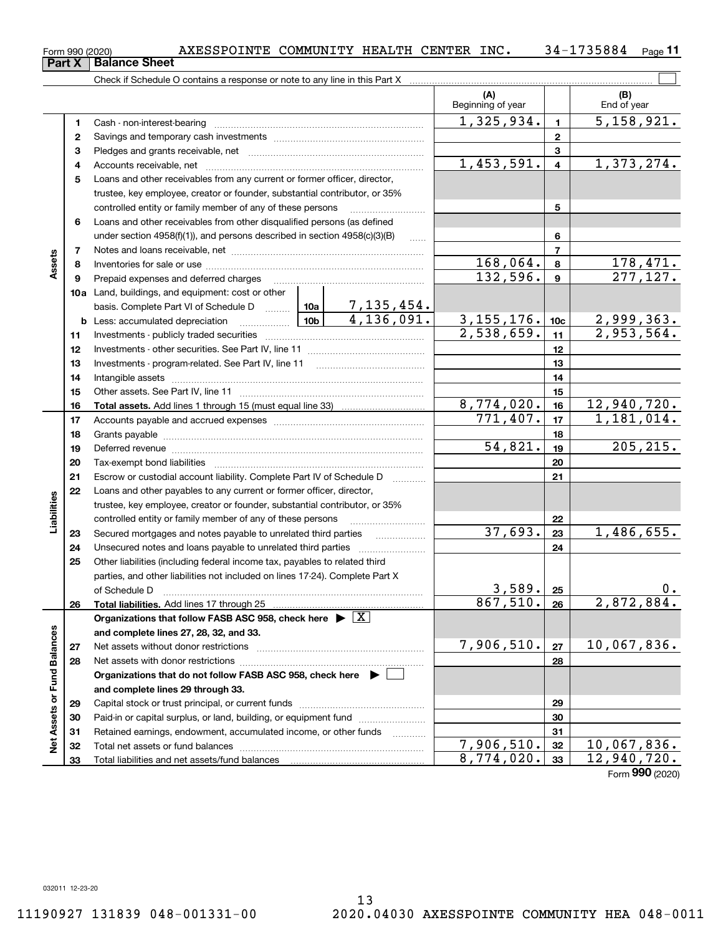$_{\rm Form}$  990 (2020) AXESSPOINTE COMMUNITY HEALTH CENTER INC  $\bullet$  34-1735884  $_{\rm Page}$ 

**Part X Balance Sheet**

|                             |    | Check if Schedule O contains a response or note to any line in this Part X                                                                                                                                                     |         |            |                          |                         |                             |
|-----------------------------|----|--------------------------------------------------------------------------------------------------------------------------------------------------------------------------------------------------------------------------------|---------|------------|--------------------------|-------------------------|-----------------------------|
|                             |    |                                                                                                                                                                                                                                |         |            | (A)<br>Beginning of year |                         | (B)<br>End of year          |
|                             | 1  |                                                                                                                                                                                                                                |         |            | 1,325,934.               | $\mathbf{1}$            | $\overline{5,158,921.}$     |
|                             | 2  |                                                                                                                                                                                                                                |         |            |                          | $\mathbf{2}$            |                             |
|                             | 3  |                                                                                                                                                                                                                                |         |            |                          | 3                       |                             |
|                             | 4  |                                                                                                                                                                                                                                |         |            | 1,453,591.               | $\overline{\mathbf{4}}$ | 1,373,274.                  |
|                             | 5  | Loans and other receivables from any current or former officer, director,                                                                                                                                                      |         |            |                          |                         |                             |
|                             |    | trustee, key employee, creator or founder, substantial contributor, or 35%                                                                                                                                                     |         |            |                          |                         |                             |
|                             |    | controlled entity or family member of any of these persons                                                                                                                                                                     |         |            |                          | 5                       |                             |
|                             | 6  | Loans and other receivables from other disqualified persons (as defined                                                                                                                                                        |         |            |                          |                         |                             |
|                             |    | under section $4958(f)(1)$ , and persons described in section $4958(c)(3)(B)$                                                                                                                                                  |         | 1.1.1.1    |                          | 6                       |                             |
|                             | 7  |                                                                                                                                                                                                                                |         |            |                          | $\overline{7}$          |                             |
| Assets                      | 8  |                                                                                                                                                                                                                                |         |            | 168,064.                 | 8                       | $\frac{178,471.}{277,127.}$ |
|                             | 9  | Prepaid expenses and deferred charges                                                                                                                                                                                          |         |            | 132,596.                 | $\boldsymbol{9}$        |                             |
|                             |    | 10a Land, buildings, and equipment: cost or other                                                                                                                                                                              |         |            |                          |                         |                             |
|                             |    | basis. Complete Part VI of Schedule D  10a   7, 135, 454.                                                                                                                                                                      |         |            |                          |                         |                             |
|                             |    | <u>  10b</u><br><b>b</b> Less: accumulated depreciation                                                                                                                                                                        |         | 4,136,091. | 3, 155, 176.             | 10 <sub>c</sub>         | <u>2,999,363.</u>           |
|                             | 11 |                                                                                                                                                                                                                                |         | 2,538,659. | 11                       | 2,953,564.              |                             |
|                             | 12 |                                                                                                                                                                                                                                |         |            | 12                       |                         |                             |
|                             | 13 |                                                                                                                                                                                                                                |         | 13         |                          |                         |                             |
|                             | 14 |                                                                                                                                                                                                                                |         |            | 14                       |                         |                             |
|                             | 15 |                                                                                                                                                                                                                                |         |            |                          | 15                      |                             |
|                             | 16 |                                                                                                                                                                                                                                |         |            | 8,774,020.               | 16                      | 12,940,720.                 |
|                             | 17 |                                                                                                                                                                                                                                |         |            | 771,407.                 | 17                      | 1,181,014.                  |
|                             | 18 |                                                                                                                                                                                                                                |         |            | 18                       |                         |                             |
|                             | 19 | Deferred revenue manual contracts and contracts are contracted and contract and contract are contracted and contract are contracted and contract are contracted and contract are contracted and contract are contracted and co | 54,821. | 19         | 205, 215.                |                         |                             |
|                             | 20 |                                                                                                                                                                                                                                |         | 20         |                          |                         |                             |
|                             | 21 | Escrow or custodial account liability. Complete Part IV of Schedule D                                                                                                                                                          |         |            | 21                       |                         |                             |
|                             | 22 | Loans and other payables to any current or former officer, director,                                                                                                                                                           |         |            |                          |                         |                             |
| Liabilities                 |    | trustee, key employee, creator or founder, substantial contributor, or 35%                                                                                                                                                     |         |            |                          |                         |                             |
|                             |    | controlled entity or family member of any of these persons                                                                                                                                                                     |         |            |                          | 22                      |                             |
|                             | 23 | Secured mortgages and notes payable to unrelated third parties                                                                                                                                                                 |         |            | 37,693.                  | 23                      | 1,486,655.                  |
|                             | 24 | Unsecured notes and loans payable to unrelated third parties                                                                                                                                                                   |         |            |                          | 24                      |                             |
|                             | 25 | Other liabilities (including federal income tax, payables to related third                                                                                                                                                     |         |            |                          |                         |                             |
|                             |    | parties, and other liabilities not included on lines 17-24). Complete Part X                                                                                                                                                   |         |            |                          |                         |                             |
|                             |    | of Schedule D                                                                                                                                                                                                                  |         |            | 3,589.                   | 25                      | $0 \cdot$                   |
|                             | 26 | Total liabilities. Add lines 17 through 25                                                                                                                                                                                     |         |            | $867,510.$ 26            |                         | 2,872,884.                  |
|                             |    | Organizations that follow FASB ASC 958, check here $\blacktriangleright \boxed{X}$                                                                                                                                             |         |            |                          |                         |                             |
|                             |    | and complete lines 27, 28, 32, and 33.                                                                                                                                                                                         |         |            |                          |                         |                             |
|                             | 27 | Net assets without donor restrictions                                                                                                                                                                                          |         |            | 7,906,510.               | 27                      | 10,067,836.                 |
|                             | 28 |                                                                                                                                                                                                                                |         |            |                          | 28                      |                             |
|                             |    | Organizations that do not follow FASB ASC 958, check here $\blacktriangleright$                                                                                                                                                |         |            |                          |                         |                             |
| Net Assets or Fund Balances |    | and complete lines 29 through 33.                                                                                                                                                                                              |         |            |                          |                         |                             |
|                             | 29 |                                                                                                                                                                                                                                |         |            |                          | 29                      |                             |
|                             | 30 | Paid-in or capital surplus, or land, building, or equipment fund                                                                                                                                                               |         |            |                          | 30                      |                             |
|                             | 31 | Retained earnings, endowment, accumulated income, or other funds                                                                                                                                                               |         |            |                          | 31                      |                             |
|                             | 32 |                                                                                                                                                                                                                                |         |            | 7,906,510.               | 32                      | 10,067,836.                 |
|                             | 33 |                                                                                                                                                                                                                                |         |            | 8,774,020.               | 33                      | 12,940,720.                 |

Form (2020) **990**

 $\overline{\Box}$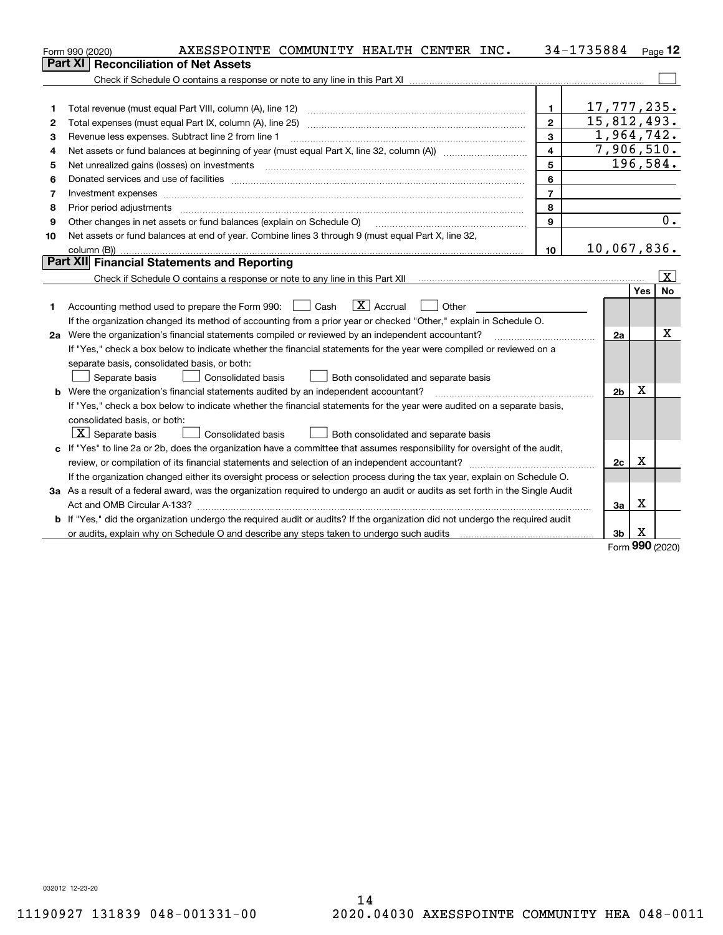|    | AXESSPOINTE COMMUNITY HEALTH CENTER INC.<br>Form 990 (2020)                                                                     |                         | 34-1735884     |     | $_{\text{Page}}$ 12 |
|----|---------------------------------------------------------------------------------------------------------------------------------|-------------------------|----------------|-----|---------------------|
|    | <b>Reconciliation of Net Assets</b><br>Part XI                                                                                  |                         |                |     |                     |
|    |                                                                                                                                 |                         |                |     |                     |
|    |                                                                                                                                 |                         |                |     |                     |
| 1  | Total revenue (must equal Part VIII, column (A), line 12)                                                                       | 1.                      | 17,777,235.    |     |                     |
| 2  | Total expenses (must equal Part IX, column (A), line 25)                                                                        | $\mathbf{z}$            | 15,812,493.    |     |                     |
| 3  | Revenue less expenses. Subtract line 2 from line 1                                                                              | 3                       | 1,964,742.     |     |                     |
| 4  |                                                                                                                                 | $\overline{\mathbf{4}}$ | 7,906,510.     |     |                     |
| 5  | Net unrealized gains (losses) on investments                                                                                    | 5                       |                |     | 196,584.            |
| 6  |                                                                                                                                 | 6                       |                |     |                     |
| 7  | Investment expenses www.communication.com/www.communication.com/www.communication.com/www.com                                   | $\overline{7}$          |                |     |                     |
| 8  | Prior period adjustments [11,11] www.communications.communications.communications.communications.com                            | 8                       |                |     |                     |
| 9  | Other changes in net assets or fund balances (explain on Schedule O)                                                            | 9                       |                |     | 0.                  |
| 10 | Net assets or fund balances at end of year. Combine lines 3 through 9 (must equal Part X, line 32,                              |                         |                |     |                     |
|    |                                                                                                                                 | 10                      | 10,067,836.    |     |                     |
|    | Part XII Financial Statements and Reporting                                                                                     |                         |                |     |                     |
|    |                                                                                                                                 |                         |                |     | $\vert X \vert$     |
|    |                                                                                                                                 |                         |                | Yes | <b>No</b>           |
| 1  | $\boxed{\text{X}}$ Accrual<br>Accounting method used to prepare the Form 990: <u>June</u> Cash<br>Other                         |                         |                |     |                     |
|    | If the organization changed its method of accounting from a prior year or checked "Other," explain in Schedule O.               |                         |                |     |                     |
|    | 2a Were the organization's financial statements compiled or reviewed by an independent accountant?                              |                         | 2a             |     | x                   |
|    | If "Yes," check a box below to indicate whether the financial statements for the year were compiled or reviewed on a            |                         |                |     |                     |
|    | separate basis, consolidated basis, or both:                                                                                    |                         |                |     |                     |
|    | Separate basis<br><b>Consolidated basis</b><br>Both consolidated and separate basis                                             |                         |                |     |                     |
|    | <b>b</b> Were the organization's financial statements audited by an independent accountant?                                     |                         | 2 <sub>b</sub> | Х   |                     |
|    | If "Yes," check a box below to indicate whether the financial statements for the year were audited on a separate basis,         |                         |                |     |                     |
|    | consolidated basis, or both:                                                                                                    |                         |                |     |                     |
|    | $ \mathbf{X} $ Separate basis<br><b>Consolidated basis</b><br>Both consolidated and separate basis                              |                         |                |     |                     |
|    | c If "Yes" to line 2a or 2b, does the organization have a committee that assumes responsibility for oversight of the audit,     |                         |                |     |                     |
|    |                                                                                                                                 |                         | 2c             | x   |                     |
|    | If the organization changed either its oversight process or selection process during the tax year, explain on Schedule O.       |                         |                |     |                     |
|    | 3a As a result of a federal award, was the organization required to undergo an audit or audits as set forth in the Single Audit |                         |                |     |                     |
|    |                                                                                                                                 |                         | За             | х   |                     |
|    | b If "Yes," did the organization undergo the required audit or audits? If the organization did not undergo the required audit   |                         |                |     |                     |
|    |                                                                                                                                 |                         | 3b             | х   |                     |

Form (2020) **990**

032012 12-23-20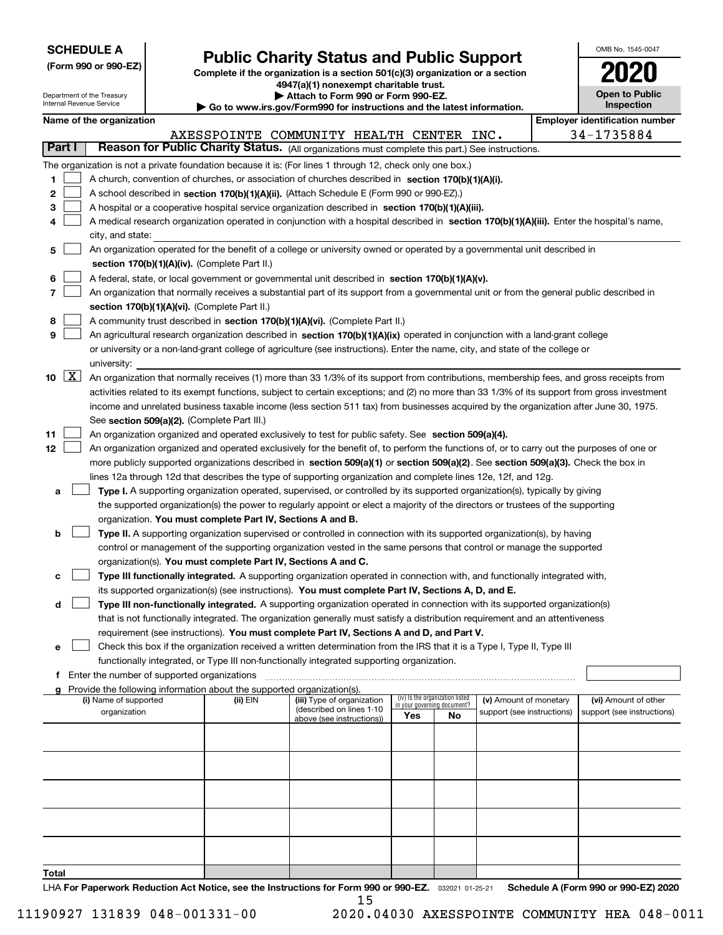| <b>SCHEDULE A</b> |
|-------------------|
|-------------------|

Department of the Treasury Internal Revenue Service

**(Form 990 or 990-EZ)**

# **Public Charity Status and Public Support**

**Complete if the organization is a section 501(c)(3) organization or a section 4947(a)(1) nonexempt charitable trust. | Attach to Form 990 or Form 990-EZ.** 

|  | Go to www.irs.gov/Form990 for instructions and the latest information. |  |
|--|------------------------------------------------------------------------|--|

| OMB No 1545-0047                    |
|-------------------------------------|
| 2020                                |
| <b>Open to Public</b><br>Inspection |

 $\overline{\phantom{a}}$ 

|               |                     |                                                                                                                                              |          | at to move its down to make you to meet and the ratest implifience. |     |                                 |                                                      |  |                                       |  |
|---------------|---------------------|----------------------------------------------------------------------------------------------------------------------------------------------|----------|---------------------------------------------------------------------|-----|---------------------------------|------------------------------------------------------|--|---------------------------------------|--|
|               |                     | Name of the organization                                                                                                                     |          |                                                                     |     |                                 |                                                      |  | <b>Employer identification number</b> |  |
|               |                     |                                                                                                                                              |          | AXESSPOINTE COMMUNITY HEALTH CENTER INC.                            |     |                                 |                                                      |  | 34-1735884                            |  |
| <b>Part I</b> |                     | Reason for Public Charity Status. (All organizations must complete this part.) See instructions.                                             |          |                                                                     |     |                                 |                                                      |  |                                       |  |
|               |                     | The organization is not a private foundation because it is: (For lines 1 through 12, check only one box.)                                    |          |                                                                     |     |                                 |                                                      |  |                                       |  |
| 1             |                     | A church, convention of churches, or association of churches described in section 170(b)(1)(A)(i).                                           |          |                                                                     |     |                                 |                                                      |  |                                       |  |
| 2             |                     | A school described in section 170(b)(1)(A)(ii). (Attach Schedule E (Form 990 or 990-EZ).)                                                    |          |                                                                     |     |                                 |                                                      |  |                                       |  |
| з             |                     | A hospital or a cooperative hospital service organization described in section 170(b)(1)(A)(iii).                                            |          |                                                                     |     |                                 |                                                      |  |                                       |  |
| 4             |                     | A medical research organization operated in conjunction with a hospital described in section 170(b)(1)(A)(iii). Enter the hospital's name,   |          |                                                                     |     |                                 |                                                      |  |                                       |  |
|               |                     | city, and state:                                                                                                                             |          |                                                                     |     |                                 |                                                      |  |                                       |  |
| 5             |                     | An organization operated for the benefit of a college or university owned or operated by a governmental unit described in                    |          |                                                                     |     |                                 |                                                      |  |                                       |  |
|               |                     | section 170(b)(1)(A)(iv). (Complete Part II.)                                                                                                |          |                                                                     |     |                                 |                                                      |  |                                       |  |
| 6             |                     | A federal, state, or local government or governmental unit described in section 170(b)(1)(A)(v).                                             |          |                                                                     |     |                                 |                                                      |  |                                       |  |
| 7             |                     | An organization that normally receives a substantial part of its support from a governmental unit or from the general public described in    |          |                                                                     |     |                                 |                                                      |  |                                       |  |
|               |                     | section 170(b)(1)(A)(vi). (Complete Part II.)                                                                                                |          |                                                                     |     |                                 |                                                      |  |                                       |  |
| 8             |                     | A community trust described in section 170(b)(1)(A)(vi). (Complete Part II.)                                                                 |          |                                                                     |     |                                 |                                                      |  |                                       |  |
| 9             |                     | An agricultural research organization described in section 170(b)(1)(A)(ix) operated in conjunction with a land-grant college                |          |                                                                     |     |                                 |                                                      |  |                                       |  |
|               |                     | or university or a non-land-grant college of agriculture (see instructions). Enter the name, city, and state of the college or               |          |                                                                     |     |                                 |                                                      |  |                                       |  |
|               |                     | university:                                                                                                                                  |          |                                                                     |     |                                 |                                                      |  |                                       |  |
| 10            | $\lfloor x \rfloor$ | An organization that normally receives (1) more than 33 1/3% of its support from contributions, membership fees, and gross receipts from     |          |                                                                     |     |                                 |                                                      |  |                                       |  |
|               |                     | activities related to its exempt functions, subject to certain exceptions; and (2) no more than 33 1/3% of its support from gross investment |          |                                                                     |     |                                 |                                                      |  |                                       |  |
|               |                     | income and unrelated business taxable income (less section 511 tax) from businesses acquired by the organization after June 30, 1975.        |          |                                                                     |     |                                 |                                                      |  |                                       |  |
|               |                     | See section 509(a)(2). (Complete Part III.)                                                                                                  |          |                                                                     |     |                                 |                                                      |  |                                       |  |
| 11            |                     | An organization organized and operated exclusively to test for public safety. See section 509(a)(4).                                         |          |                                                                     |     |                                 |                                                      |  |                                       |  |
| 12            |                     | An organization organized and operated exclusively for the benefit of, to perform the functions of, or to carry out the purposes of one or   |          |                                                                     |     |                                 |                                                      |  |                                       |  |
|               |                     | more publicly supported organizations described in section 509(a)(1) or section 509(a)(2). See section 509(a)(3). Check the box in           |          |                                                                     |     |                                 |                                                      |  |                                       |  |
|               |                     | lines 12a through 12d that describes the type of supporting organization and complete lines 12e, 12f, and 12g.                               |          |                                                                     |     |                                 |                                                      |  |                                       |  |
| а             |                     | Type I. A supporting organization operated, supervised, or controlled by its supported organization(s), typically by giving                  |          |                                                                     |     |                                 |                                                      |  |                                       |  |
|               |                     | the supported organization(s) the power to regularly appoint or elect a majority of the directors or trustees of the supporting              |          |                                                                     |     |                                 |                                                      |  |                                       |  |
|               |                     | organization. You must complete Part IV, Sections A and B.                                                                                   |          |                                                                     |     |                                 |                                                      |  |                                       |  |
| b             |                     | Type II. A supporting organization supervised or controlled in connection with its supported organization(s), by having                      |          |                                                                     |     |                                 |                                                      |  |                                       |  |
|               |                     | control or management of the supporting organization vested in the same persons that control or manage the supported                         |          |                                                                     |     |                                 |                                                      |  |                                       |  |
|               |                     | organization(s). You must complete Part IV, Sections A and C.                                                                                |          |                                                                     |     |                                 |                                                      |  |                                       |  |
| с             |                     | Type III functionally integrated. A supporting organization operated in connection with, and functionally integrated with,                   |          |                                                                     |     |                                 |                                                      |  |                                       |  |
|               |                     | its supported organization(s) (see instructions). You must complete Part IV, Sections A, D, and E.                                           |          |                                                                     |     |                                 |                                                      |  |                                       |  |
| d             |                     | Type III non-functionally integrated. A supporting organization operated in connection with its supported organization(s)                    |          |                                                                     |     |                                 |                                                      |  |                                       |  |
|               |                     | that is not functionally integrated. The organization generally must satisfy a distribution requirement and an attentiveness                 |          |                                                                     |     |                                 |                                                      |  |                                       |  |
|               |                     | requirement (see instructions). You must complete Part IV, Sections A and D, and Part V.                                                     |          |                                                                     |     |                                 |                                                      |  |                                       |  |
| е             |                     | Check this box if the organization received a written determination from the IRS that it is a Type I, Type II, Type III                      |          |                                                                     |     |                                 |                                                      |  |                                       |  |
|               |                     | functionally integrated, or Type III non-functionally integrated supporting organization.                                                    |          |                                                                     |     |                                 |                                                      |  |                                       |  |
| f             |                     | Enter the number of supported organizations                                                                                                  |          |                                                                     |     |                                 |                                                      |  |                                       |  |
|               |                     | Provide the following information about the supported organization(s).<br>(i) Name of supported                                              | (ii) EIN |                                                                     |     | (iv) Is the organization listed |                                                      |  | (vi) Amount of other                  |  |
|               |                     | organization                                                                                                                                 |          | (iii) Type of organization<br>(described on lines 1-10              |     | in your governing document?     | (v) Amount of monetary<br>support (see instructions) |  | support (see instructions)            |  |
|               |                     |                                                                                                                                              |          | above (see instructions))                                           | Yes | No                              |                                                      |  |                                       |  |
|               |                     |                                                                                                                                              |          |                                                                     |     |                                 |                                                      |  |                                       |  |
|               |                     |                                                                                                                                              |          |                                                                     |     |                                 |                                                      |  |                                       |  |
|               |                     |                                                                                                                                              |          |                                                                     |     |                                 |                                                      |  |                                       |  |
|               |                     |                                                                                                                                              |          |                                                                     |     |                                 |                                                      |  |                                       |  |
|               |                     |                                                                                                                                              |          |                                                                     |     |                                 |                                                      |  |                                       |  |
|               |                     |                                                                                                                                              |          |                                                                     |     |                                 |                                                      |  |                                       |  |
|               |                     |                                                                                                                                              |          |                                                                     |     |                                 |                                                      |  |                                       |  |
|               |                     |                                                                                                                                              |          |                                                                     |     |                                 |                                                      |  |                                       |  |
|               |                     |                                                                                                                                              |          |                                                                     |     |                                 |                                                      |  |                                       |  |
| Total         |                     |                                                                                                                                              |          |                                                                     |     |                                 |                                                      |  |                                       |  |

LHA For Paperwork Reduction Act Notice, see the Instructions for Form 990 or 990-EZ. <sub>032021</sub> o1-25-21 Schedule A (Form 990 or 990-EZ) 2020 15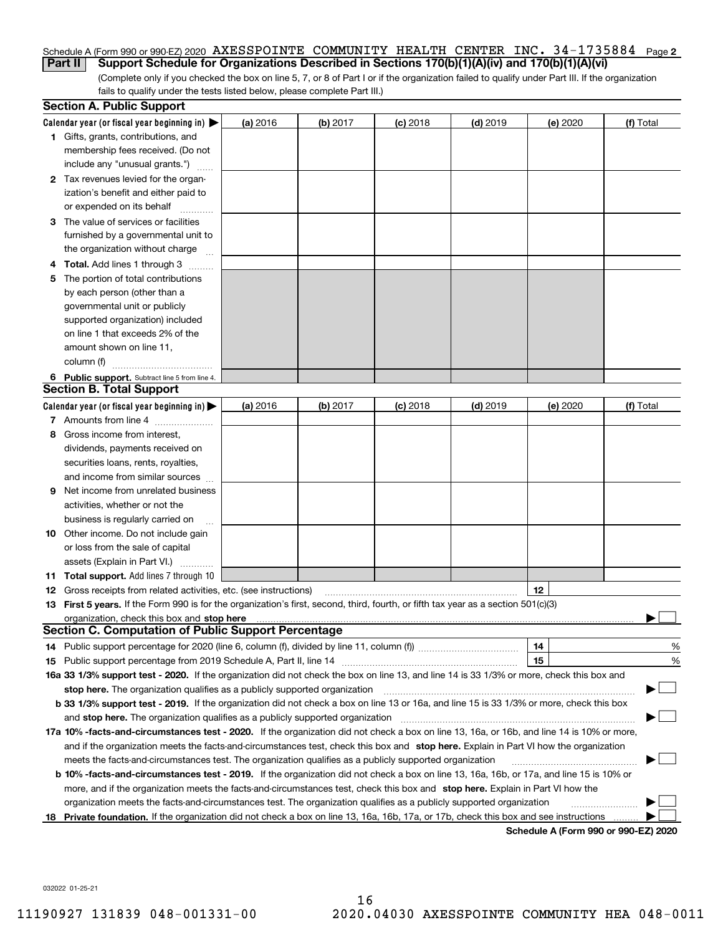## Schedule A (Form 990 or 990-EZ) 2020  $\,$  <code>AXESSPOINTE COMMUNITY HEALTH CENTER INC. 34–1735884  $\,$  Page <code>2</code></code> **Part II** Support Schedule for Organizations Described in Sections 170(b)(1)(A)(iv) and 170(b)(1)(A)(vi)

(Complete only if you checked the box on line 5, 7, or 8 of Part I or if the organization failed to qualify under Part III. If the organization fails to qualify under the tests listed below, please complete Part III.)

|    | <b>Section A. Public Support</b>                                                                                                               |          |          |            |            |          |                                      |
|----|------------------------------------------------------------------------------------------------------------------------------------------------|----------|----------|------------|------------|----------|--------------------------------------|
|    | Calendar year (or fiscal year beginning in) $\blacktriangleright$                                                                              | (a) 2016 | (b) 2017 | $(c)$ 2018 | $(d)$ 2019 | (e) 2020 | (f) Total                            |
|    | <b>1</b> Gifts, grants, contributions, and                                                                                                     |          |          |            |            |          |                                      |
|    | membership fees received. (Do not                                                                                                              |          |          |            |            |          |                                      |
|    | include any "unusual grants.")                                                                                                                 |          |          |            |            |          |                                      |
|    | <b>2</b> Tax revenues levied for the organ-                                                                                                    |          |          |            |            |          |                                      |
|    | ization's benefit and either paid to                                                                                                           |          |          |            |            |          |                                      |
|    | or expended on its behalf                                                                                                                      |          |          |            |            |          |                                      |
|    | 3 The value of services or facilities                                                                                                          |          |          |            |            |          |                                      |
|    | furnished by a governmental unit to                                                                                                            |          |          |            |            |          |                                      |
|    | the organization without charge                                                                                                                |          |          |            |            |          |                                      |
|    | 4 Total. Add lines 1 through 3                                                                                                                 |          |          |            |            |          |                                      |
| 5. | The portion of total contributions                                                                                                             |          |          |            |            |          |                                      |
|    | by each person (other than a                                                                                                                   |          |          |            |            |          |                                      |
|    | governmental unit or publicly                                                                                                                  |          |          |            |            |          |                                      |
|    | supported organization) included                                                                                                               |          |          |            |            |          |                                      |
|    | on line 1 that exceeds 2% of the                                                                                                               |          |          |            |            |          |                                      |
|    | amount shown on line 11,                                                                                                                       |          |          |            |            |          |                                      |
|    | column (f)                                                                                                                                     |          |          |            |            |          |                                      |
|    | 6 Public support. Subtract line 5 from line 4.                                                                                                 |          |          |            |            |          |                                      |
|    | <b>Section B. Total Support</b>                                                                                                                |          |          |            |            |          |                                      |
|    | Calendar year (or fiscal year beginning in)                                                                                                    | (a) 2016 | (b) 2017 | $(c)$ 2018 | $(d)$ 2019 | (e) 2020 | (f) Total                            |
|    | 7 Amounts from line 4                                                                                                                          |          |          |            |            |          |                                      |
|    | 8 Gross income from interest,                                                                                                                  |          |          |            |            |          |                                      |
|    | dividends, payments received on                                                                                                                |          |          |            |            |          |                                      |
|    | securities loans, rents, royalties,                                                                                                            |          |          |            |            |          |                                      |
|    | and income from similar sources                                                                                                                |          |          |            |            |          |                                      |
| 9. | Net income from unrelated business                                                                                                             |          |          |            |            |          |                                      |
|    | activities, whether or not the                                                                                                                 |          |          |            |            |          |                                      |
|    | business is regularly carried on                                                                                                               |          |          |            |            |          |                                      |
|    | <b>10</b> Other income. Do not include gain                                                                                                    |          |          |            |            |          |                                      |
|    | or loss from the sale of capital                                                                                                               |          |          |            |            |          |                                      |
|    | assets (Explain in Part VI.)                                                                                                                   |          |          |            |            |          |                                      |
|    | <b>11 Total support.</b> Add lines 7 through 10                                                                                                |          |          |            |            |          |                                      |
|    | <b>12</b> Gross receipts from related activities, etc. (see instructions)                                                                      |          |          |            |            | 12       |                                      |
|    | 13 First 5 years. If the Form 990 is for the organization's first, second, third, fourth, or fifth tax year as a section 501(c)(3)             |          |          |            |            |          |                                      |
|    | organization, check this box and <b>stop here</b> www.communication.communication.communication.communication.communic                         |          |          |            |            |          |                                      |
|    | <b>Section C. Computation of Public Support Percentage</b>                                                                                     |          |          |            |            |          |                                      |
|    |                                                                                                                                                |          |          |            |            | 14       | %                                    |
|    |                                                                                                                                                |          |          |            |            | 15       | $\%$                                 |
|    | 16a 33 1/3% support test - 2020. If the organization did not check the box on line 13, and line 14 is 33 1/3% or more, check this box and      |          |          |            |            |          |                                      |
|    | stop here. The organization qualifies as a publicly supported organization                                                                     |          |          |            |            |          |                                      |
|    | b 33 1/3% support test - 2019. If the organization did not check a box on line 13 or 16a, and line 15 is 33 1/3% or more, check this box       |          |          |            |            |          |                                      |
|    | and stop here. The organization qualifies as a publicly supported organization                                                                 |          |          |            |            |          |                                      |
|    | 17a 10% -facts-and-circumstances test - 2020. If the organization did not check a box on line 13, 16a, or 16b, and line 14 is 10% or more,     |          |          |            |            |          |                                      |
|    | and if the organization meets the facts-and-circumstances test, check this box and stop here. Explain in Part VI how the organization          |          |          |            |            |          |                                      |
|    | meets the facts-and-circumstances test. The organization qualifies as a publicly supported organization                                        |          |          |            |            |          |                                      |
|    | <b>b 10% -facts-and-circumstances test - 2019.</b> If the organization did not check a box on line 13, 16a, 16b, or 17a, and line 15 is 10% or |          |          |            |            |          |                                      |
|    | more, and if the organization meets the facts-and-circumstances test, check this box and stop here. Explain in Part VI how the                 |          |          |            |            |          |                                      |
|    | organization meets the facts-and-circumstances test. The organization qualifies as a publicly supported organization                           |          |          |            |            |          |                                      |
|    | 18 Private foundation. If the organization did not check a box on line 13, 16a, 16b, 17a, or 17b, check this box and see instructions          |          |          |            |            |          |                                      |
|    |                                                                                                                                                |          |          |            |            |          | Schedule A (Form 990 or 990-F7) 2020 |

**Schedule A (Form 990 or 990-EZ) 2020**

032022 01-25-21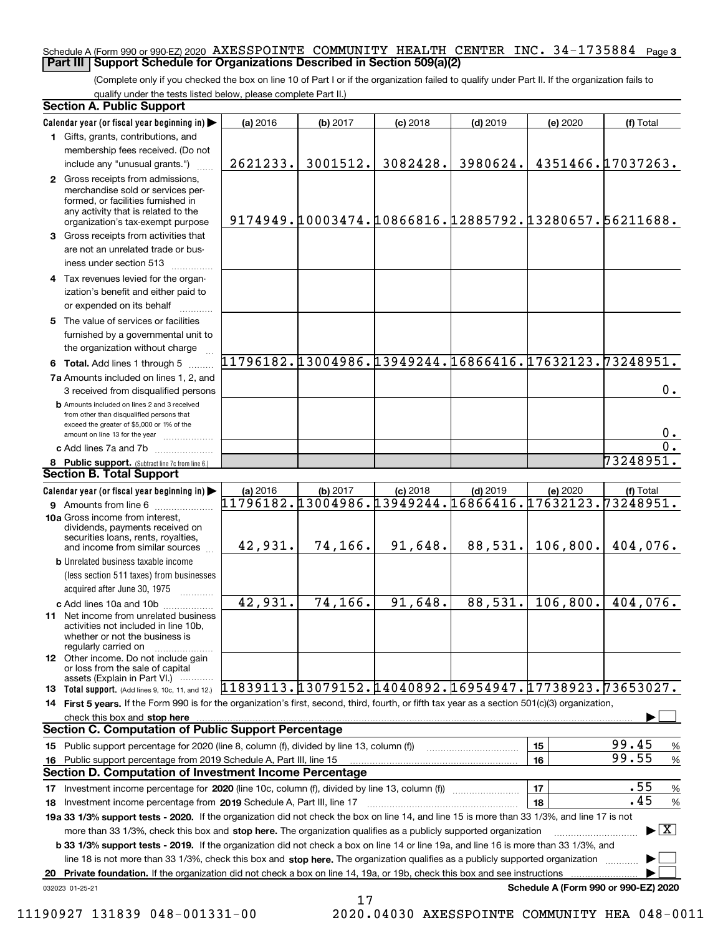## Schedule A (Form 990 or 990-EZ) 2020  $\,$  <code>AXESSPOINTE COMMUNITY HEALTH CENTER INC. 34–1735884  $\,$  Page 3</code> **Part III Support Schedule for Organizations Described in Section 509(a)(2)**

(Complete only if you checked the box on line 10 of Part I or if the organization failed to qualify under Part II. If the organization fails to qualify under the tests listed below, please complete Part II.)

| <b>Section A. Public Support</b>                                                                                                                                                                                                                                 |                                                        |          |                                                        |            |           |                                         |
|------------------------------------------------------------------------------------------------------------------------------------------------------------------------------------------------------------------------------------------------------------------|--------------------------------------------------------|----------|--------------------------------------------------------|------------|-----------|-----------------------------------------|
| Calendar year (or fiscal year beginning in)                                                                                                                                                                                                                      | (a) 2016                                               | (b) 2017 | $(c)$ 2018                                             | $(d)$ 2019 | (e) 2020  | (f) Total                               |
| 1 Gifts, grants, contributions, and                                                                                                                                                                                                                              |                                                        |          |                                                        |            |           |                                         |
| membership fees received. (Do not                                                                                                                                                                                                                                |                                                        |          |                                                        |            |           |                                         |
| include any "unusual grants.")                                                                                                                                                                                                                                   | 2621233.                                               | 3001512. | 3082428.                                               | 3980624.   |           | 4351466.17037263.                       |
| 2 Gross receipts from admissions,<br>merchandise sold or services per-<br>formed, or facilities furnished in<br>any activity that is related to the<br>organization's tax-exempt purpose                                                                         |                                                        |          | 9174949.10003474.10866816.12885792.13280657.56211688.  |            |           |                                         |
| 3 Gross receipts from activities that<br>are not an unrelated trade or bus-<br>iness under section 513                                                                                                                                                           |                                                        |          |                                                        |            |           |                                         |
| 4 Tax revenues levied for the organ-<br>ization's benefit and either paid to<br>or expended on its behalf                                                                                                                                                        |                                                        |          |                                                        |            |           |                                         |
| 5 The value of services or facilities<br>furnished by a governmental unit to<br>the organization without charge                                                                                                                                                  |                                                        |          |                                                        |            |           |                                         |
| 6 Total. Add lines 1 through 5                                                                                                                                                                                                                                   | 11796182.13004986.13949244.16866416.17632123.73248951. |          |                                                        |            |           |                                         |
| 7a Amounts included on lines 1, 2, and                                                                                                                                                                                                                           |                                                        |          |                                                        |            |           |                                         |
| 3 received from disqualified persons                                                                                                                                                                                                                             |                                                        |          |                                                        |            |           | 0.                                      |
| <b>b</b> Amounts included on lines 2 and 3 received<br>from other than disqualified persons that<br>exceed the greater of \$5,000 or 1% of the<br>amount on line 13 for the year                                                                                 |                                                        |          |                                                        |            |           | 0.                                      |
| c Add lines 7a and 7b                                                                                                                                                                                                                                            |                                                        |          |                                                        |            |           | $\overline{0}$ .                        |
| 8 Public support. (Subtract line 7c from line 6.)                                                                                                                                                                                                                |                                                        |          |                                                        |            |           | 73248951.                               |
| <b>Section B. Total Support</b>                                                                                                                                                                                                                                  |                                                        |          |                                                        |            |           |                                         |
| Calendar year (or fiscal year beginning in)                                                                                                                                                                                                                      | (a) 2016                                               | (b) 2017 | $(c)$ 2018                                             | $(d)$ 2019 | (e) 2020  | (f) Total                               |
| 9 Amounts from line 6                                                                                                                                                                                                                                            |                                                        |          | 11796182.13004986.13949244.16866416.17632123.73248951. |            |           |                                         |
| 10a Gross income from interest,<br>dividends, payments received on<br>securities loans, rents, royalties,<br>and income from similar sources                                                                                                                     | 42,931.                                                | 74,166.  | 91,648.                                                | 88,531.    | 106, 800. | 404,076.                                |
| <b>b</b> Unrelated business taxable income                                                                                                                                                                                                                       |                                                        |          |                                                        |            |           |                                         |
| (less section 511 taxes) from businesses                                                                                                                                                                                                                         |                                                        |          |                                                        |            |           |                                         |
| acquired after June 30, 1975                                                                                                                                                                                                                                     |                                                        |          |                                                        |            |           |                                         |
| c Add lines 10a and 10b<br>11 Net income from unrelated business<br>activities not included in line 10b,<br>whether or not the business is<br>regularly carried on                                                                                               | 42,931.                                                | 74,166.  | 91,648.                                                | 88,531.    | 106,800.  | 404,076.                                |
| <b>12</b> Other income. Do not include gain<br>or loss from the sale of capital<br>assets (Explain in Part VI.)                                                                                                                                                  |                                                        |          |                                                        |            |           |                                         |
| 13 Total support. (Add lines 9, 10c, 11, and 12.) [1839113. [13079152. 14040892. [16954947. [17738923. 73653027.                                                                                                                                                 |                                                        |          |                                                        |            |           |                                         |
| 14 First 5 years. If the Form 990 is for the organization's first, second, third, fourth, or fifth tax year as a section 501(c)(3) organization,                                                                                                                 |                                                        |          |                                                        |            |           |                                         |
| check this box and stop here www.allentation.com/material/intervention.com/material/intervention.com/material/                                                                                                                                                   |                                                        |          |                                                        |            |           |                                         |
| <b>Section C. Computation of Public Support Percentage</b>                                                                                                                                                                                                       |                                                        |          |                                                        |            |           |                                         |
| 15 Public support percentage for 2020 (line 8, column (f), divided by line 13, column (f))                                                                                                                                                                       |                                                        |          |                                                        |            | 15        | 99.45<br>$\%$                           |
| 16 Public support percentage from 2019 Schedule A, Part III, line 15                                                                                                                                                                                             |                                                        |          |                                                        |            | 16        | 99.55<br>$\%$                           |
| <b>Section D. Computation of Investment Income Percentage</b>                                                                                                                                                                                                    |                                                        |          |                                                        |            |           | .55                                     |
| 17 Investment income percentage for 2020 (line 10c, column (f), divided by line 13, column (f))                                                                                                                                                                  |                                                        |          |                                                        |            | 17        | $\%$<br>.45                             |
| 18 Investment income percentage from 2019 Schedule A, Part III, line 17                                                                                                                                                                                          |                                                        |          |                                                        |            | 18        | $\%$                                    |
| 19a 33 1/3% support tests - 2020. If the organization did not check the box on line 14, and line 15 is more than 33 1/3%, and line 17 is not                                                                                                                     |                                                        |          |                                                        |            |           | $\blacktriangleright$ $\vert$ X $\vert$ |
| more than 33 1/3%, check this box and stop here. The organization qualifies as a publicly supported organization<br><b>b 33 1/3% support tests - 2019.</b> If the organization did not check a box on line 14 or line 19a, and line 16 is more than 33 1/3%, and |                                                        |          |                                                        |            |           |                                         |
| line 18 is not more than 33 1/3%, check this box and stop here. The organization qualifies as a publicly supported organization                                                                                                                                  |                                                        |          |                                                        |            |           |                                         |
| 20 Private foundation. If the organization did not check a box on line 14, 19a, or 19b, check this box and see instructions                                                                                                                                      |                                                        |          |                                                        |            |           |                                         |
| 032023 01-25-21                                                                                                                                                                                                                                                  |                                                        |          |                                                        |            |           | Schedule A (Form 990 or 990-EZ) 2020    |

<sup>17</sup> 11190927 131839 048-001331-00 2020.04030 AXESSPOINTE COMMUNITY HEA 048-0011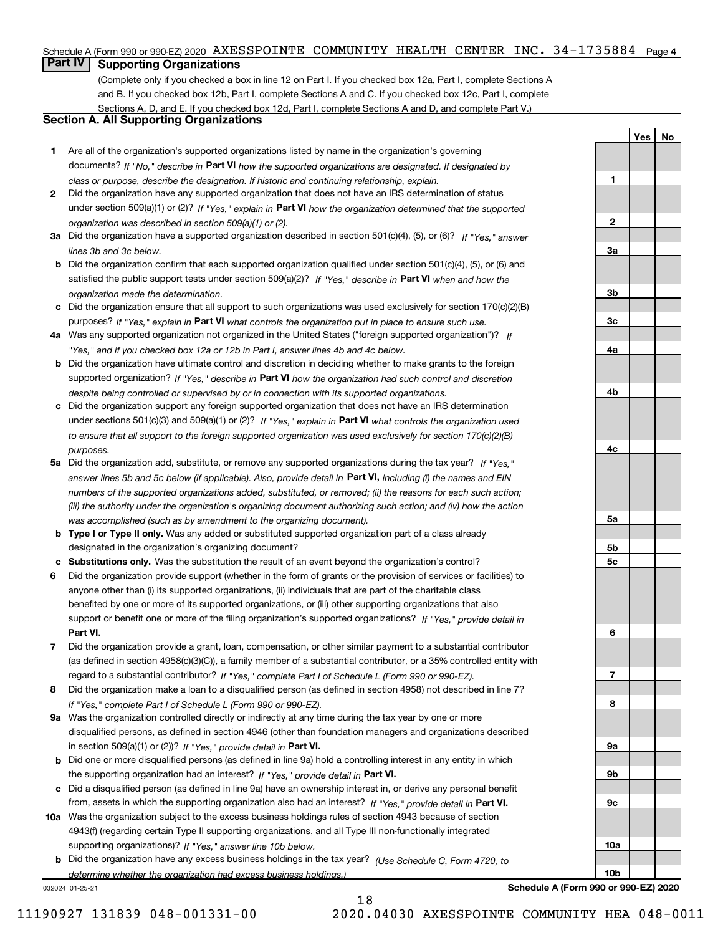## Schedule A (Form 990 or 990-EZ) 2020  $\,$  <code>AXESSPOINTE COMMUNITY HEALTH CENTER INC. 34–1735884  $\,$  Page 4</code>

# **Part IV Supporting Organizations**

(Complete only if you checked a box in line 12 on Part I. If you checked box 12a, Part I, complete Sections A and B. If you checked box 12b, Part I, complete Sections A and C. If you checked box 12c, Part I, complete Sections A, D, and E. If you checked box 12d, Part I, complete Sections A and D, and complete Part V.)

## **Section A. All Supporting Organizations**

- **1** Are all of the organization's supported organizations listed by name in the organization's governing documents? If "No," describe in **Part VI** how the supported organizations are designated. If designated by *class or purpose, describe the designation. If historic and continuing relationship, explain.*
- **2** Did the organization have any supported organization that does not have an IRS determination of status under section 509(a)(1) or (2)? If "Yes," explain in Part VI how the organization determined that the supported *organization was described in section 509(a)(1) or (2).*
- **3a** Did the organization have a supported organization described in section 501(c)(4), (5), or (6)? If "Yes," answer *lines 3b and 3c below.*
- **b** Did the organization confirm that each supported organization qualified under section 501(c)(4), (5), or (6) and satisfied the public support tests under section 509(a)(2)? If "Yes," describe in **Part VI** when and how the *organization made the determination.*
- **c**Did the organization ensure that all support to such organizations was used exclusively for section 170(c)(2)(B) purposes? If "Yes," explain in **Part VI** what controls the organization put in place to ensure such use.
- **4a***If* Was any supported organization not organized in the United States ("foreign supported organization")? *"Yes," and if you checked box 12a or 12b in Part I, answer lines 4b and 4c below.*
- **b** Did the organization have ultimate control and discretion in deciding whether to make grants to the foreign supported organization? If "Yes," describe in **Part VI** how the organization had such control and discretion *despite being controlled or supervised by or in connection with its supported organizations.*
- **c** Did the organization support any foreign supported organization that does not have an IRS determination under sections 501(c)(3) and 509(a)(1) or (2)? If "Yes," explain in **Part VI** what controls the organization used *to ensure that all support to the foreign supported organization was used exclusively for section 170(c)(2)(B) purposes.*
- **5a** Did the organization add, substitute, or remove any supported organizations during the tax year? If "Yes," answer lines 5b and 5c below (if applicable). Also, provide detail in **Part VI,** including (i) the names and EIN *numbers of the supported organizations added, substituted, or removed; (ii) the reasons for each such action; (iii) the authority under the organization's organizing document authorizing such action; and (iv) how the action was accomplished (such as by amendment to the organizing document).*
- **b** Type I or Type II only. Was any added or substituted supported organization part of a class already designated in the organization's organizing document?
- **cSubstitutions only.**  Was the substitution the result of an event beyond the organization's control?
- **6** Did the organization provide support (whether in the form of grants or the provision of services or facilities) to **Part VI.** *If "Yes," provide detail in* support or benefit one or more of the filing organization's supported organizations? anyone other than (i) its supported organizations, (ii) individuals that are part of the charitable class benefited by one or more of its supported organizations, or (iii) other supporting organizations that also
- **7**Did the organization provide a grant, loan, compensation, or other similar payment to a substantial contributor *If "Yes," complete Part I of Schedule L (Form 990 or 990-EZ).* regard to a substantial contributor? (as defined in section 4958(c)(3)(C)), a family member of a substantial contributor, or a 35% controlled entity with
- **8** Did the organization make a loan to a disqualified person (as defined in section 4958) not described in line 7? *If "Yes," complete Part I of Schedule L (Form 990 or 990-EZ).*
- **9a** Was the organization controlled directly or indirectly at any time during the tax year by one or more in section 509(a)(1) or (2))? If "Yes," *provide detail in* <code>Part VI.</code> disqualified persons, as defined in section 4946 (other than foundation managers and organizations described
- **b** Did one or more disqualified persons (as defined in line 9a) hold a controlling interest in any entity in which the supporting organization had an interest? If "Yes," provide detail in P**art VI**.
- **c**Did a disqualified person (as defined in line 9a) have an ownership interest in, or derive any personal benefit from, assets in which the supporting organization also had an interest? If "Yes," provide detail in P**art VI.**
- **10a** Was the organization subject to the excess business holdings rules of section 4943 because of section supporting organizations)? If "Yes," answer line 10b below. 4943(f) (regarding certain Type II supporting organizations, and all Type III non-functionally integrated
- **b** Did the organization have any excess business holdings in the tax year? (Use Schedule C, Form 4720, to *determine whether the organization had excess business holdings.)*

18

032024 01-25-21

**3a3b3c4a4b4c5a 5b5c6789a 9b9c10a**

**YesNo**

**1**

**2**

**Schedule A (Form 990 or 990-EZ) 2020**

**10b**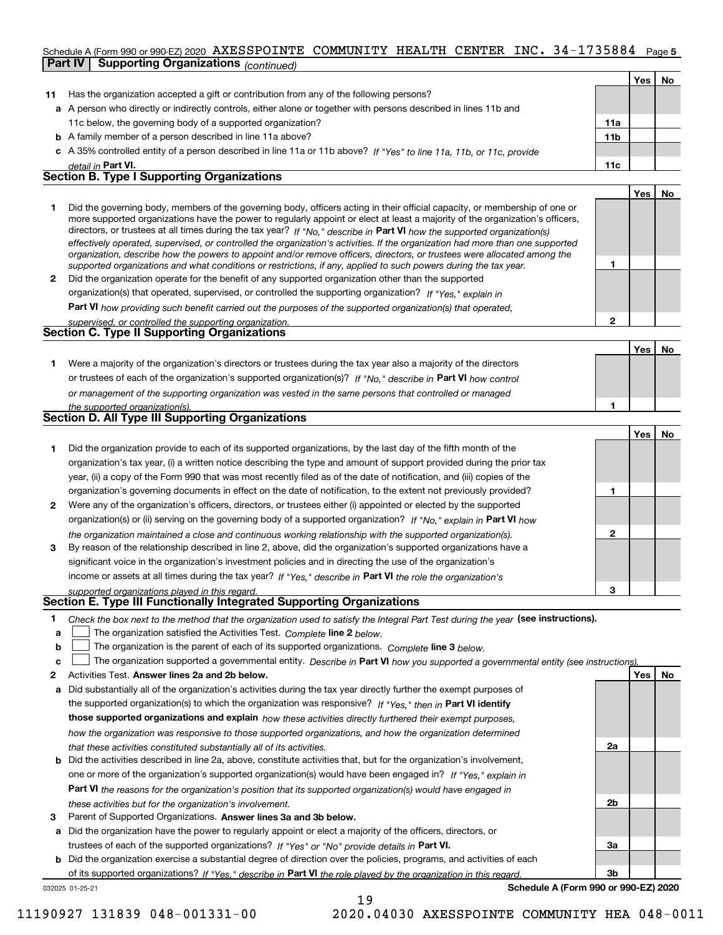### Schedule A (Form 990 or 990-EZ) 2020  $\,$  <code>AXESSPOINTE COMMUNITY HEALTH CENTER INC. 34–1735884  $\,$  Page 5</code> **Part IV Supporting Organizations** *(continued)*

|                |                                                                                                                                                                                                                                                                                                                                                                                                                                                                                                                                                                                                                                                      |                 | Yes        | <b>No</b> |
|----------------|------------------------------------------------------------------------------------------------------------------------------------------------------------------------------------------------------------------------------------------------------------------------------------------------------------------------------------------------------------------------------------------------------------------------------------------------------------------------------------------------------------------------------------------------------------------------------------------------------------------------------------------------------|-----------------|------------|-----------|
| 11             | Has the organization accepted a gift or contribution from any of the following persons?                                                                                                                                                                                                                                                                                                                                                                                                                                                                                                                                                              |                 |            |           |
|                | a A person who directly or indirectly controls, either alone or together with persons described in lines 11b and                                                                                                                                                                                                                                                                                                                                                                                                                                                                                                                                     |                 |            |           |
|                | 11c below, the governing body of a supported organization?                                                                                                                                                                                                                                                                                                                                                                                                                                                                                                                                                                                           | 11a             |            |           |
|                | <b>b</b> A family member of a person described in line 11a above?                                                                                                                                                                                                                                                                                                                                                                                                                                                                                                                                                                                    | 11 <sub>b</sub> |            |           |
|                | c A 35% controlled entity of a person described in line 11a or 11b above? If "Yes" to line 11a, 11b, or 11c, provide                                                                                                                                                                                                                                                                                                                                                                                                                                                                                                                                 |                 |            |           |
|                | detail in Part VI.                                                                                                                                                                                                                                                                                                                                                                                                                                                                                                                                                                                                                                   | 11c             |            |           |
|                | <b>Section B. Type I Supporting Organizations</b>                                                                                                                                                                                                                                                                                                                                                                                                                                                                                                                                                                                                    |                 |            |           |
|                |                                                                                                                                                                                                                                                                                                                                                                                                                                                                                                                                                                                                                                                      |                 | <b>Yes</b> | <b>No</b> |
|                | Did the governing body, members of the governing body, officers acting in their official capacity, or membership of one or<br>more supported organizations have the power to regularly appoint or elect at least a majority of the organization's officers,<br>directors, or trustees at all times during the tax year? If "No," describe in Part VI how the supported organization(s)<br>effectively operated, supervised, or controlled the organization's activities. If the organization had more than one supported<br>organization, describe how the powers to appoint and/or remove officers, directors, or trustees were allocated among the |                 |            |           |
|                | supported organizations and what conditions or restrictions, if any, applied to such powers during the tax year.                                                                                                                                                                                                                                                                                                                                                                                                                                                                                                                                     |                 |            |           |
| $\overline{2}$ | Did the organization operate for the benefit of any supported organization other than the supported                                                                                                                                                                                                                                                                                                                                                                                                                                                                                                                                                  |                 |            |           |
|                | organization(s) that operated, supervised, or controlled the supporting organization? If "Yes." explain in                                                                                                                                                                                                                                                                                                                                                                                                                                                                                                                                           |                 |            |           |
|                | Part VI how providing such benefit carried out the purposes of the supported organization(s) that operated,                                                                                                                                                                                                                                                                                                                                                                                                                                                                                                                                          |                 |            |           |
|                | supervised, or controlled the supporting organization.                                                                                                                                                                                                                                                                                                                                                                                                                                                                                                                                                                                               | $\mathbf{2}$    |            |           |
|                | <b>Section C. Type II Supporting Organizations</b>                                                                                                                                                                                                                                                                                                                                                                                                                                                                                                                                                                                                   |                 |            |           |
|                |                                                                                                                                                                                                                                                                                                                                                                                                                                                                                                                                                                                                                                                      |                 | <b>Yes</b> | No        |
|                | Were a majority of the organization's directors or trustees during the tax year also a majority of the directors                                                                                                                                                                                                                                                                                                                                                                                                                                                                                                                                     |                 |            |           |
|                |                                                                                                                                                                                                                                                                                                                                                                                                                                                                                                                                                                                                                                                      |                 |            |           |

| or trustees of each of the organization's supported organization(s)? If "No." describe in Part VI how control |
|---------------------------------------------------------------------------------------------------------------|
| or management of the supporting organization was vested in the same persons that controlled or managed        |
| the supported organization(s).                                                                                |

|   | Section D. All Type III Supporting Organizations                                                                       |
|---|------------------------------------------------------------------------------------------------------------------------|
|   |                                                                                                                        |
|   | Did the organization provide to each of its supported organizations, by the last day of the fifth month of the         |
|   | organization's tax year, (i) a written notice describing the type and amount of support provided during the prior tax  |
|   | year, (ii) a copy of the Form 990 that was most recently filed as of the date of notification, and (iii) copies of the |
|   | organization's governing documents in effect on the date of notification, to the extent not previously provided?       |
| 2 | Were any of the organization's officers, directors, or trustees either (i) appointed or elected by the supported       |
|   | . N tout and a life and a the communicated and a concentral concentration of the content of the form of the contractor |

| organization(s) or (ii) serving on the governing body of a supported organization? If "No." explain in Part VI how |  |
|--------------------------------------------------------------------------------------------------------------------|--|
| the organization maintained a close and continuous working relationship with the supported organization(s).        |  |
| By reason of the relationship described in line 2, above, did the organization's supported organizations have a    |  |
| significant voice in the organization's investment policies and in directing the use of the organization's         |  |
| income or assets at all times during the tax year? If "Yes," describe in Part VI the role the organization's       |  |

*supported organizations played in this regard.*

## **Section E. Type III Functionally Integrated Supporting Organizations**

- **1**Check the box next to the method that the organization used to satisfy the Integral Part Test during the year (see instructions).
- **alinupy** The organization satisfied the Activities Test. Complete line 2 below.
- **b**The organization is the parent of each of its supported organizations. *Complete* line 3 *below.*  $\mathcal{L}^{\text{max}}$

|  | c $\Box$ The organization supported a governmental entity. Describe in Part VI how you supported a governmental entity (see instructions). |  |  |  |
|--|--------------------------------------------------------------------------------------------------------------------------------------------|--|--|--|
|--|--------------------------------------------------------------------------------------------------------------------------------------------|--|--|--|

19

- **2Answer lines 2a and 2b below. Yes No** Activities Test.
- **a** Did substantially all of the organization's activities during the tax year directly further the exempt purposes of the supported organization(s) to which the organization was responsive? If "Yes," then in **Part VI identify those supported organizations and explain**  *how these activities directly furthered their exempt purposes, how the organization was responsive to those supported organizations, and how the organization determined that these activities constituted substantially all of its activities.*
- **b** Did the activities described in line 2a, above, constitute activities that, but for the organization's involvement, **Part VI**  *the reasons for the organization's position that its supported organization(s) would have engaged in* one or more of the organization's supported organization(s) would have been engaged in? If "Yes," e*xplain in these activities but for the organization's involvement.*
- **3** Parent of Supported Organizations. Answer lines 3a and 3b below.

**a** Did the organization have the power to regularly appoint or elect a majority of the officers, directors, or trustees of each of the supported organizations? If "Yes" or "No" provide details in **Part VI.** 

**b** Did the organization exercise a substantial degree of direction over the policies, programs, and activities of each of its supported organizations? If "Yes," describe in Part VI the role played by the organization in this regard.

032025 01-25-21

**Schedule A (Form 990 or 990-EZ) 2020**

**1**

**1**

**3**

**2a**

**2b**

**3a**

**3b**

**YesNo**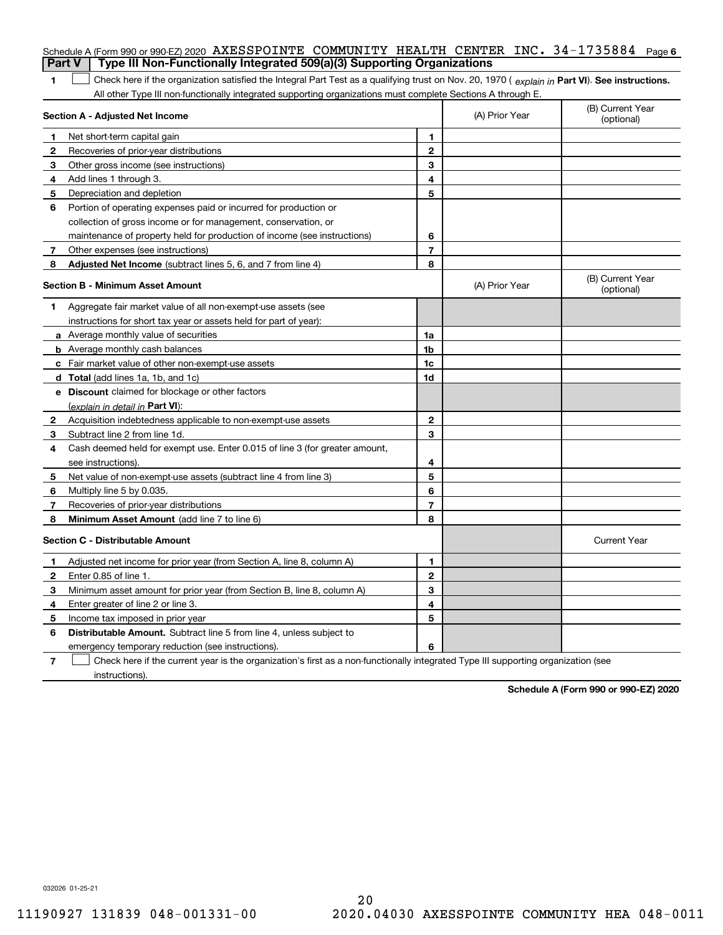| <b>Part V</b> | Schedule A (Form 990 or 990-EZ) 2020 AXESSPOINTE COMMUNITY HEALTH CENTER INC. $34-1735884$ Page 6<br>Type III Non-Functionally Integrated 509(a)(3) Supporting Organizations                                                                                  |                |                |                                |
|---------------|---------------------------------------------------------------------------------------------------------------------------------------------------------------------------------------------------------------------------------------------------------------|----------------|----------------|--------------------------------|
|               |                                                                                                                                                                                                                                                               |                |                |                                |
| 1             | Check here if the organization satisfied the Integral Part Test as a qualifying trust on Nov. 20, 1970 (explain in Part VI). See instructions.<br>All other Type III non-functionally integrated supporting organizations must complete Sections A through E. |                |                |                                |
|               | Section A - Adjusted Net Income                                                                                                                                                                                                                               |                | (A) Prior Year | (B) Current Year<br>(optional) |
| 1             | Net short-term capital gain                                                                                                                                                                                                                                   | 1.             |                |                                |
| 2             | Recoveries of prior-year distributions                                                                                                                                                                                                                        | $\overline{2}$ |                |                                |
| З             | Other gross income (see instructions)                                                                                                                                                                                                                         | 3              |                |                                |
| 4             | Add lines 1 through 3.                                                                                                                                                                                                                                        | 4              |                |                                |
| 5             | Depreciation and depletion                                                                                                                                                                                                                                    | 5              |                |                                |
| 6             | Portion of operating expenses paid or incurred for production or                                                                                                                                                                                              |                |                |                                |
|               | collection of gross income or for management, conservation, or                                                                                                                                                                                                |                |                |                                |
|               | maintenance of property held for production of income (see instructions)                                                                                                                                                                                      | 6              |                |                                |
| 7             | Other expenses (see instructions)                                                                                                                                                                                                                             | $\overline{7}$ |                |                                |
| 8             | Adjusted Net Income (subtract lines 5, 6, and 7 from line 4)                                                                                                                                                                                                  | 8              |                |                                |
|               | <b>Section B - Minimum Asset Amount</b>                                                                                                                                                                                                                       |                | (A) Prior Year | (B) Current Year<br>(optional) |
| 1             | Aggregate fair market value of all non-exempt-use assets (see                                                                                                                                                                                                 |                |                |                                |
|               | instructions for short tax year or assets held for part of year):                                                                                                                                                                                             |                |                |                                |
|               | <b>a</b> Average monthly value of securities                                                                                                                                                                                                                  | 1a             |                |                                |
|               | <b>b</b> Average monthly cash balances                                                                                                                                                                                                                        | 1b             |                |                                |
|               | c Fair market value of other non-exempt-use assets                                                                                                                                                                                                            | 1c             |                |                                |
|               | <b>d</b> Total (add lines 1a, 1b, and 1c)                                                                                                                                                                                                                     | 1d             |                |                                |
|               | <b>e</b> Discount claimed for blockage or other factors                                                                                                                                                                                                       |                |                |                                |
|               | (explain in detail in Part VI):                                                                                                                                                                                                                               |                |                |                                |
| 2             | Acquisition indebtedness applicable to non-exempt-use assets                                                                                                                                                                                                  | $\mathbf{2}$   |                |                                |
| 3             | Subtract line 2 from line 1d.                                                                                                                                                                                                                                 | 3              |                |                                |
| 4             | Cash deemed held for exempt use. Enter 0.015 of line 3 (for greater amount,                                                                                                                                                                                   |                |                |                                |
|               | see instructions).                                                                                                                                                                                                                                            | 4              |                |                                |
| 5             | Net value of non-exempt-use assets (subtract line 4 from line 3)                                                                                                                                                                                              | 5              |                |                                |
| 6             | Multiply line 5 by 0.035.                                                                                                                                                                                                                                     | 6              |                |                                |
| 7             | Recoveries of prior-year distributions                                                                                                                                                                                                                        | $\overline{7}$ |                |                                |
| 8             | Minimum Asset Amount (add line 7 to line 6)                                                                                                                                                                                                                   | 8              |                |                                |
|               | <b>Section C - Distributable Amount</b>                                                                                                                                                                                                                       |                |                | <b>Current Year</b>            |
|               | Adjusted net income for prior year (from Section A, line 8, column A)                                                                                                                                                                                         | 1              |                |                                |
|               | Enter 0.85 of line 1.                                                                                                                                                                                                                                         | 2              |                |                                |
| 3             | Minimum asset amount for prior year (from Section B, line 8, column A)                                                                                                                                                                                        | 3              |                |                                |
| 4             | Enter greater of line 2 or line 3.                                                                                                                                                                                                                            | 4              |                |                                |
| 5             | Income tax imposed in prior year                                                                                                                                                                                                                              | 5              |                |                                |
| 6             | <b>Distributable Amount.</b> Subtract line 5 from line 4, unless subject to                                                                                                                                                                                   |                |                |                                |
|               | emergency temporary reduction (see instructions).                                                                                                                                                                                                             | 6              |                |                                |
| 7             | Check here if the current year is the organization's first as a non-functionally integrated Type III supporting organization (see                                                                                                                             |                |                |                                |

instructions).

**Schedule A (Form 990 or 990-EZ) 2020**

032026 01-25-21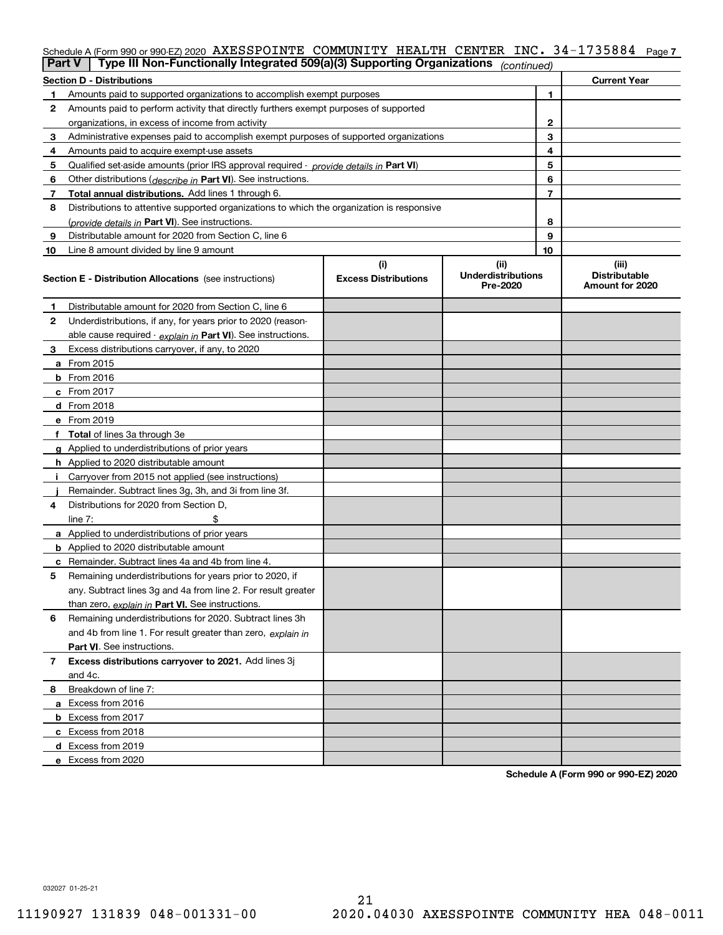|    | Type III Non-Functionally Integrated 509(a)(3) Supporting Organizations<br>Part V          |                                    | (continued)                                   |              |                                                  |
|----|--------------------------------------------------------------------------------------------|------------------------------------|-----------------------------------------------|--------------|--------------------------------------------------|
|    | <b>Section D - Distributions</b>                                                           |                                    |                                               |              | <b>Current Year</b>                              |
| 1. | Amounts paid to supported organizations to accomplish exempt purposes                      |                                    |                                               | 1            |                                                  |
| 2  | Amounts paid to perform activity that directly furthers exempt purposes of supported       |                                    |                                               |              |                                                  |
|    | organizations, in excess of income from activity                                           |                                    |                                               | $\mathbf{2}$ |                                                  |
| 3  | Administrative expenses paid to accomplish exempt purposes of supported organizations      |                                    |                                               | 3            |                                                  |
| 4  | Amounts paid to acquire exempt-use assets                                                  |                                    |                                               | 4            |                                                  |
| 5  | Qualified set-aside amounts (prior IRS approval required - provide details in Part VI)     |                                    |                                               | 5            |                                                  |
| 6  | Other distributions ( <i>describe in</i> Part VI). See instructions.                       |                                    |                                               | 6            |                                                  |
| 7  | Total annual distributions. Add lines 1 through 6.                                         |                                    |                                               | 7            |                                                  |
| 8  | Distributions to attentive supported organizations to which the organization is responsive |                                    |                                               |              |                                                  |
|    | (provide details in Part VI). See instructions.                                            |                                    |                                               | 8            |                                                  |
| 9  | Distributable amount for 2020 from Section C, line 6                                       |                                    |                                               | 9            |                                                  |
| 10 | Line 8 amount divided by line 9 amount                                                     |                                    |                                               | 10           |                                                  |
|    | <b>Section E - Distribution Allocations</b> (see instructions)                             | (i)<br><b>Excess Distributions</b> | (ii)<br><b>Underdistributions</b><br>Pre-2020 |              | (iii)<br><b>Distributable</b><br>Amount for 2020 |
| 1  | Distributable amount for 2020 from Section C, line 6                                       |                                    |                                               |              |                                                  |
| 2  | Underdistributions, if any, for years prior to 2020 (reason-                               |                                    |                                               |              |                                                  |
|    | able cause required - explain in Part VI). See instructions.                               |                                    |                                               |              |                                                  |
| 3  | Excess distributions carryover, if any, to 2020                                            |                                    |                                               |              |                                                  |
|    | a From 2015                                                                                |                                    |                                               |              |                                                  |
|    | <b>b</b> From 2016                                                                         |                                    |                                               |              |                                                  |
|    | c From 2017                                                                                |                                    |                                               |              |                                                  |
|    | d From 2018                                                                                |                                    |                                               |              |                                                  |
|    | e From 2019                                                                                |                                    |                                               |              |                                                  |
|    | f Total of lines 3a through 3e                                                             |                                    |                                               |              |                                                  |
|    | g Applied to underdistributions of prior years                                             |                                    |                                               |              |                                                  |
|    | <b>h</b> Applied to 2020 distributable amount                                              |                                    |                                               |              |                                                  |
| Ť. | Carryover from 2015 not applied (see instructions)                                         |                                    |                                               |              |                                                  |
|    | Remainder. Subtract lines 3g, 3h, and 3i from line 3f.                                     |                                    |                                               |              |                                                  |
| 4  | Distributions for 2020 from Section D.                                                     |                                    |                                               |              |                                                  |
|    | line $7:$                                                                                  |                                    |                                               |              |                                                  |
|    | a Applied to underdistributions of prior years                                             |                                    |                                               |              |                                                  |
|    | <b>b</b> Applied to 2020 distributable amount                                              |                                    |                                               |              |                                                  |
|    | c Remainder. Subtract lines 4a and 4b from line 4.                                         |                                    |                                               |              |                                                  |
| 5  | Remaining underdistributions for years prior to 2020, if                                   |                                    |                                               |              |                                                  |
|    | any. Subtract lines 3g and 4a from line 2. For result greater                              |                                    |                                               |              |                                                  |
|    | than zero, explain in Part VI. See instructions.                                           |                                    |                                               |              |                                                  |
| 6  | Remaining underdistributions for 2020. Subtract lines 3h                                   |                                    |                                               |              |                                                  |
|    | and 4b from line 1. For result greater than zero, explain in                               |                                    |                                               |              |                                                  |
|    | Part VI. See instructions.                                                                 |                                    |                                               |              |                                                  |
| 7  | Excess distributions carryover to 2021. Add lines 3j<br>and 4c.                            |                                    |                                               |              |                                                  |
| 8. | Breakdown of line 7:                                                                       |                                    |                                               |              |                                                  |
|    | a Excess from 2016                                                                         |                                    |                                               |              |                                                  |
|    | <b>b</b> Excess from 2017                                                                  |                                    |                                               |              |                                                  |
|    | c Excess from 2018                                                                         |                                    |                                               |              |                                                  |

Schedule A (Form 990 or 990-EZ) 2020  $\,$  <code>AXESSPOINTE COMMUNITY HEALTH CENTER INC. 34–1735884  $\,$  Page 7</code>

**Schedule A (Form 990 or 990-EZ) 2020**

032027 01-25-21

**d** Excess from 2019 **e**Excess from 2020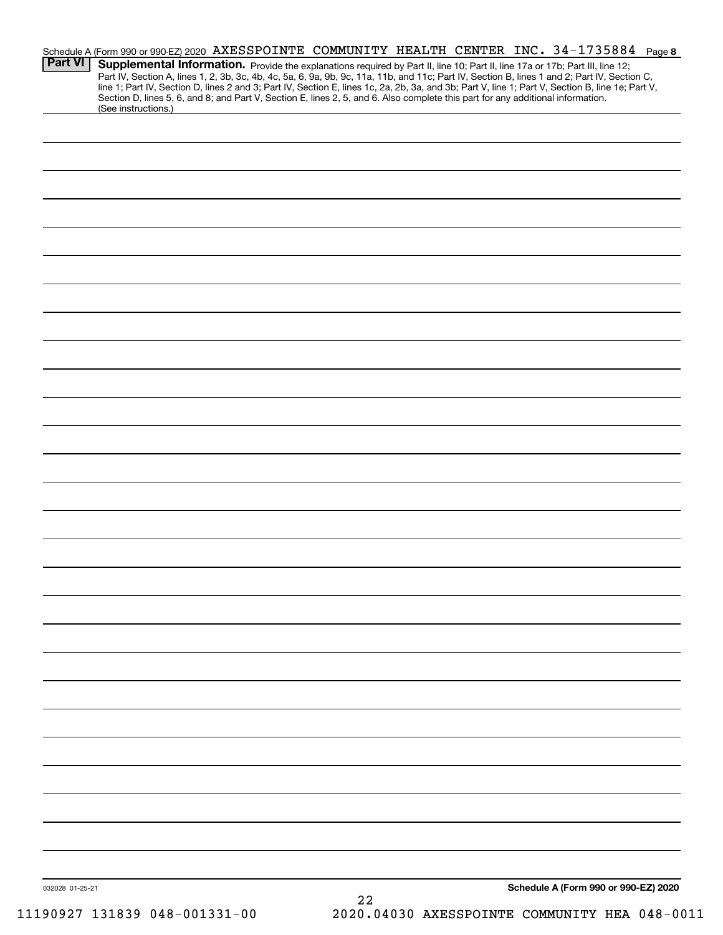| <b>Part VI</b>  | (See instructions.) |    | Schedule A (Form 990 or 990-EZ) 2020 AXESSPOINTE COMMUNITY HEALTH CENTER INC. 34-1735884 Page 8<br>Supplemental Information. Provide the explanations required by Part II, line 10; Part II, line 17a or 17b; Part III, line 12;<br>Part IV, Section A, lines 1, 2, 3b, 3c, 4b, 4c, 5a, 6, 9a, 9b, 9c, 11a, 11b, and 11c; Part IV, Section B, lines 1 and 2; Part IV, Section C,<br>line 1; Part IV, Section D, lines 2 and 3; Part IV, Section E, lines 1c, 2a, 2b, 3a, and 3b; Part V, line 1; Part V, Section B, line 1e; Part V,<br>Section D, lines 5, 6, and 8; and Part V, Section E, lines 2, 5, and 6. Also complete this part for any additional information. |  |
|-----------------|---------------------|----|-------------------------------------------------------------------------------------------------------------------------------------------------------------------------------------------------------------------------------------------------------------------------------------------------------------------------------------------------------------------------------------------------------------------------------------------------------------------------------------------------------------------------------------------------------------------------------------------------------------------------------------------------------------------------|--|
|                 |                     |    |                                                                                                                                                                                                                                                                                                                                                                                                                                                                                                                                                                                                                                                                         |  |
|                 |                     |    |                                                                                                                                                                                                                                                                                                                                                                                                                                                                                                                                                                                                                                                                         |  |
|                 |                     |    |                                                                                                                                                                                                                                                                                                                                                                                                                                                                                                                                                                                                                                                                         |  |
|                 |                     |    |                                                                                                                                                                                                                                                                                                                                                                                                                                                                                                                                                                                                                                                                         |  |
|                 |                     |    |                                                                                                                                                                                                                                                                                                                                                                                                                                                                                                                                                                                                                                                                         |  |
|                 |                     |    |                                                                                                                                                                                                                                                                                                                                                                                                                                                                                                                                                                                                                                                                         |  |
|                 |                     |    |                                                                                                                                                                                                                                                                                                                                                                                                                                                                                                                                                                                                                                                                         |  |
|                 |                     |    |                                                                                                                                                                                                                                                                                                                                                                                                                                                                                                                                                                                                                                                                         |  |
|                 |                     |    |                                                                                                                                                                                                                                                                                                                                                                                                                                                                                                                                                                                                                                                                         |  |
|                 |                     |    |                                                                                                                                                                                                                                                                                                                                                                                                                                                                                                                                                                                                                                                                         |  |
|                 |                     |    |                                                                                                                                                                                                                                                                                                                                                                                                                                                                                                                                                                                                                                                                         |  |
|                 |                     |    |                                                                                                                                                                                                                                                                                                                                                                                                                                                                                                                                                                                                                                                                         |  |
|                 |                     |    |                                                                                                                                                                                                                                                                                                                                                                                                                                                                                                                                                                                                                                                                         |  |
|                 |                     |    |                                                                                                                                                                                                                                                                                                                                                                                                                                                                                                                                                                                                                                                                         |  |
|                 |                     |    |                                                                                                                                                                                                                                                                                                                                                                                                                                                                                                                                                                                                                                                                         |  |
|                 |                     |    |                                                                                                                                                                                                                                                                                                                                                                                                                                                                                                                                                                                                                                                                         |  |
|                 |                     |    |                                                                                                                                                                                                                                                                                                                                                                                                                                                                                                                                                                                                                                                                         |  |
|                 |                     |    |                                                                                                                                                                                                                                                                                                                                                                                                                                                                                                                                                                                                                                                                         |  |
|                 |                     |    |                                                                                                                                                                                                                                                                                                                                                                                                                                                                                                                                                                                                                                                                         |  |
|                 |                     |    |                                                                                                                                                                                                                                                                                                                                                                                                                                                                                                                                                                                                                                                                         |  |
| 032028 01-25-21 |                     | 22 | Schedule A (Form 990 or 990-EZ) 2020                                                                                                                                                                                                                                                                                                                                                                                                                                                                                                                                                                                                                                    |  |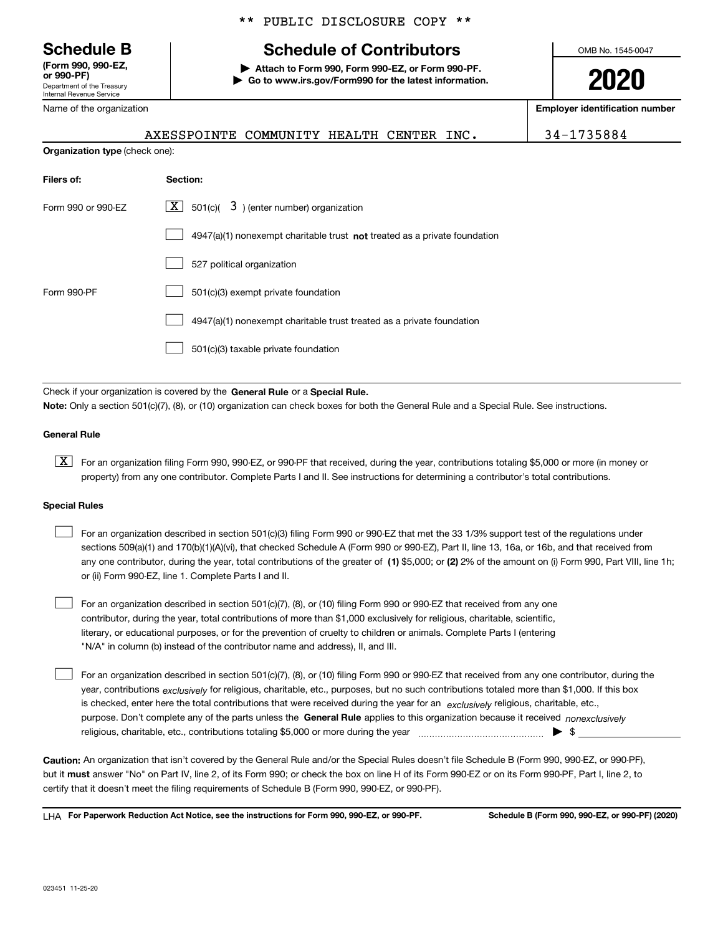Department of the Treasury Internal Revenue Service **(Form 990, 990-EZ, or 990-PF)**

Name of the organization

\*\* PUBLIC DISCLOSURE COPY \*\*

# **Schedule B Schedule of Contributors**

**| Attach to Form 990, Form 990-EZ, or Form 990-PF. | Go to www.irs.gov/Form990 for the latest information.** OMB No. 1545-0047

**2020**

**Employer identification number**

| AXESSPOINTE COMMUNITY HEALTH CENTER INC. |  |  | 34-1735884 |
|------------------------------------------|--|--|------------|
|                                          |  |  |            |

**Organization type** (check one):

| Filers of:         | Section:                                                                  |
|--------------------|---------------------------------------------------------------------------|
| Form 990 or 990-EZ | $\boxed{\textbf{X}}$ 501(c)( 3) (enter number) organization               |
|                    | 4947(a)(1) nonexempt charitable trust not treated as a private foundation |
|                    | 527 political organization                                                |
| Form 990-PF        | 501(c)(3) exempt private foundation                                       |
|                    | 4947(a)(1) nonexempt charitable trust treated as a private foundation     |
|                    | 501(c)(3) taxable private foundation                                      |

Check if your organization is covered by the **General Rule** or a **Special Rule. Note:**  Only a section 501(c)(7), (8), or (10) organization can check boxes for both the General Rule and a Special Rule. See instructions.

## **General Rule**

 $\boxed{\textbf{X}}$  For an organization filing Form 990, 990-EZ, or 990-PF that received, during the year, contributions totaling \$5,000 or more (in money or property) from any one contributor. Complete Parts I and II. See instructions for determining a contributor's total contributions.

### **Special Rules**

| For an organization described in section 501(c)(3) filing Form 990 or 990-EZ that met the 33 1/3% support test of the regulations under               |
|-------------------------------------------------------------------------------------------------------------------------------------------------------|
| sections 509(a)(1) and 170(b)(1)(A)(vi), that checked Schedule A (Form 990 or 990-EZ), Part II, line 13, 16a, or 16b, and that received from          |
| any one contributor, during the year, total contributions of the greater of (1) \$5,000; or (2) 2% of the amount on (i) Form 990, Part VIII, line 1h; |
| or (ii) Form 990-EZ, line 1. Complete Parts I and II.                                                                                                 |

For an organization described in section 501(c)(7), (8), or (10) filing Form 990 or 990-EZ that received from any one contributor, during the year, total contributions of more than \$1,000 exclusively for religious, charitable, scientific, literary, or educational purposes, or for the prevention of cruelty to children or animals. Complete Parts I (entering "N/A" in column (b) instead of the contributor name and address), II, and III.  $\mathcal{L}^{\text{max}}$ 

purpose. Don't complete any of the parts unless the **General Rule** applies to this organization because it received *nonexclusively* year, contributions <sub>exclusively</sub> for religious, charitable, etc., purposes, but no such contributions totaled more than \$1,000. If this box is checked, enter here the total contributions that were received during the year for an  $\;$ exclusively religious, charitable, etc., For an organization described in section 501(c)(7), (8), or (10) filing Form 990 or 990-EZ that received from any one contributor, during the religious, charitable, etc., contributions totaling \$5,000 or more during the year  $\Box$ — $\Box$   $\Box$  $\mathcal{L}^{\text{max}}$ 

**Caution:**  An organization that isn't covered by the General Rule and/or the Special Rules doesn't file Schedule B (Form 990, 990-EZ, or 990-PF),  **must** but it answer "No" on Part IV, line 2, of its Form 990; or check the box on line H of its Form 990-EZ or on its Form 990-PF, Part I, line 2, to certify that it doesn't meet the filing requirements of Schedule B (Form 990, 990-EZ, or 990-PF).

**For Paperwork Reduction Act Notice, see the instructions for Form 990, 990-EZ, or 990-PF. Schedule B (Form 990, 990-EZ, or 990-PF) (2020)** LHA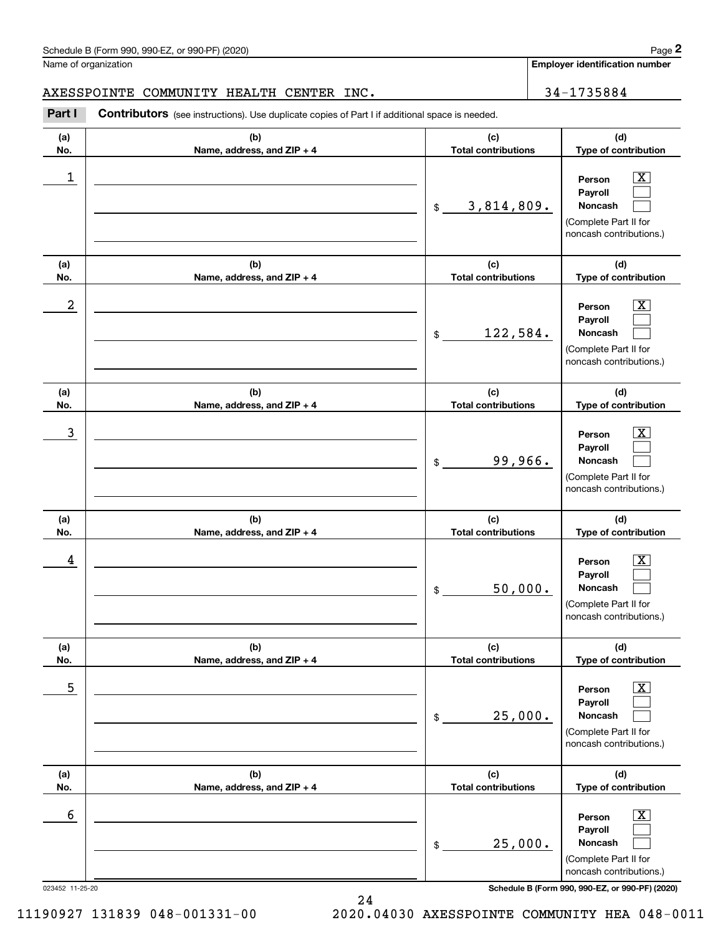Name of organization

**Employer identification number**

AXESSPOINTE COMMUNITY HEALTH CENTER INC.  $\vert$  34-1735884

**(a)No.(b)Name, address, and ZIP + 4 (c)Total contributions (d)Type of contribution PersonPayrollNoncash (a)No.(b)Name, address, and ZIP + 4 (c)Total contributions (d)Type of contribution PersonPayrollNoncash (a)No.(b)Name, address, and ZIP + 4 (c)Total contributions (d)Type of contribution PersonPayrollNoncash (a) No.(b) Name, address, and ZIP + 4 (c) Total contributions (d) Type of contribution PersonPayrollNoncash (a) No.(b) Name, address, and ZIP + 4 (c) Total contributions (d) Type of contribution PersonPayrollNoncash(a) No.(b)Name, address, and ZIP + 4 (c) Total contributions (d)Type of contribution PersonPayrollNoncash Contributors** (see instructions). Use duplicate copies of Part I if additional space is needed. \$(Complete Part II for noncash contributions.) \$(Complete Part II for noncash contributions.) \$(Complete Part II for noncash contributions.) \$(Complete Part II for noncash contributions.) \$(Complete Part II for noncash contributions.) \$(Complete Part II for noncash contributions.) Chedule B (Form 990, 990-EZ, or 990-PF) (2020)<br>Iame of organization<br>**2Part I 2Part I Contributors** (see instructions). Use duplicate copies of Part I if additional space is needed.  $|X|$  $\mathcal{L}^{\text{max}}$  $\mathcal{L}^{\text{max}}$  $\boxed{\text{X}}$  $\mathcal{L}^{\text{max}}$  $\mathcal{L}^{\text{max}}$  $|X|$  $\mathcal{L}^{\text{max}}$  $\mathcal{L}^{\text{max}}$  $\boxed{\text{X}}$  $\mathcal{L}^{\text{max}}$  $\mathcal{L}^{\text{max}}$  $\boxed{\text{X}}$  $\mathcal{L}^{\text{max}}$  $\mathcal{L}^{\text{max}}$  $\boxed{\text{X}}$  $\mathcal{L}^{\text{max}}$  $\mathcal{L}^{\text{max}}$  $\begin{array}{c|c|c|c|c|c} 1 & \hspace{1.5cm} & \hspace{1.5cm} & \hspace{1.5cm} & \hspace{1.5cm} & \hspace{1.5cm} & \hspace{1.5cm} & \hspace{1.5cm} & \hspace{1.5cm} & \hspace{1.5cm} & \hspace{1.5cm} & \hspace{1.5cm} & \hspace{1.5cm} & \hspace{1.5cm} & \hspace{1.5cm} & \hspace{1.5cm} & \hspace{1.5cm} & \hspace{1.5cm} & \hspace{1.5cm} & \hspace{1.5cm} & \hspace{1.5cm} &$ 3,814,809.  $2$  | Person  $\overline{\text{X}}$ 122,584.  $\overline{3}$  | Person  $\overline{X}$ 99,966.  $4$  | Person  $\overline{\text{X}}$ 50,000.  $\sim$  5 | Person X 25,000.  $\sim$  6 | Person X 25,000.

023452 11-25-20 **Schedule B (Form 990, 990-EZ, or 990-PF) (2020)**

11190927 131839 048-001331-00 2020.04030 AXESSPOINTE COMMUNITY HEA 048-0011

24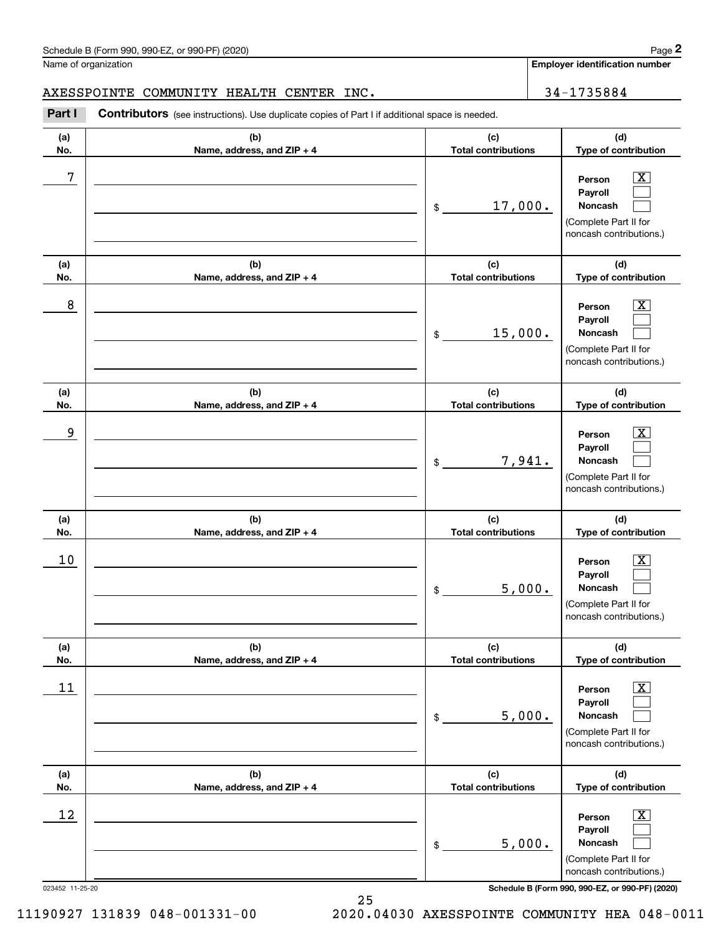# AXESSPOINTE COMMUNITY HEALTH CENTER INC. | 34-1735884

|                 | Schedule B (Form 990, 990-EZ, or 990-PF) (2020)                                                       |                                   |                             | Page 2                                                                                                      |
|-----------------|-------------------------------------------------------------------------------------------------------|-----------------------------------|-----------------------------|-------------------------------------------------------------------------------------------------------------|
|                 | Name of organization                                                                                  |                                   |                             | Employer identification number                                                                              |
|                 | AXESSPOINTE COMMUNITY HEALTH CENTER INC.                                                              |                                   |                             | 34-1735884                                                                                                  |
| Part I          | <b>Contributors</b> (see instructions). Use duplicate copies of Part I if additional space is needed. |                                   |                             |                                                                                                             |
| (a)<br>No.      | (b)<br>Name, address, and ZIP + 4                                                                     | (c)<br><b>Total contributions</b> | (d)<br>Type of contribution |                                                                                                             |
| 7               |                                                                                                       | 17,000.<br>\$                     |                             | $\overline{\mathbf{X}}$<br>Person<br>Payroll<br>Noncash<br>(Complete Part II for<br>noncash contributions.) |
| (a)<br>No.      | (b)<br>Name, address, and ZIP + 4                                                                     | (c)<br><b>Total contributions</b> |                             | (d)<br>Type of contribution                                                                                 |
| 8               |                                                                                                       | 15,000.<br>\$                     |                             | $\overline{\mathbf{X}}$<br>Person<br>Payroll<br>Noncash<br>(Complete Part II for<br>noncash contributions.) |
| (a)<br>No.      | (b)<br>Name, address, and ZIP + 4                                                                     | (c)<br><b>Total contributions</b> |                             | (d)<br>Type of contribution                                                                                 |
| 9               |                                                                                                       | 7,941.<br>\$                      |                             | $\overline{\text{X}}$<br>Person<br>Payroll<br>Noncash<br>(Complete Part II for<br>noncash contributions.)   |
| (a)<br>No.      | (b)<br>Name, address, and ZIP + 4                                                                     | (c)<br><b>Total contributions</b> |                             | (d)<br>Type of contribution                                                                                 |
| 10              |                                                                                                       | 5,000.<br>\$                      |                             | $\mathbf{X}$<br>Person<br>Payroll<br>Noncash<br>(Complete Part II for<br>noncash contributions.)            |
| (a)<br>No.      | (b)<br>Name, address, and ZIP + 4                                                                     | (c)<br><b>Total contributions</b> |                             | (d)<br>Type of contribution                                                                                 |
| 11              |                                                                                                       | 5,000.<br>\$                      |                             | $\overline{\mathbf{X}}$<br>Person<br>Payroll<br>Noncash<br>(Complete Part II for<br>noncash contributions.) |
| (a)<br>No.      | (b)<br>Name, address, and ZIP + 4                                                                     | (c)<br><b>Total contributions</b> |                             | (d)<br>Type of contribution                                                                                 |
| 12              |                                                                                                       | 5,000.<br>\$                      |                             | $\overline{\mathbf{X}}$<br>Person<br>Payroll<br>Noncash<br>(Complete Part II for<br>noncash contributions.) |
| 023452 11-25-20 |                                                                                                       |                                   |                             | Schedule B (Form 990, 990-EZ, or 990-PF) (2020)                                                             |

25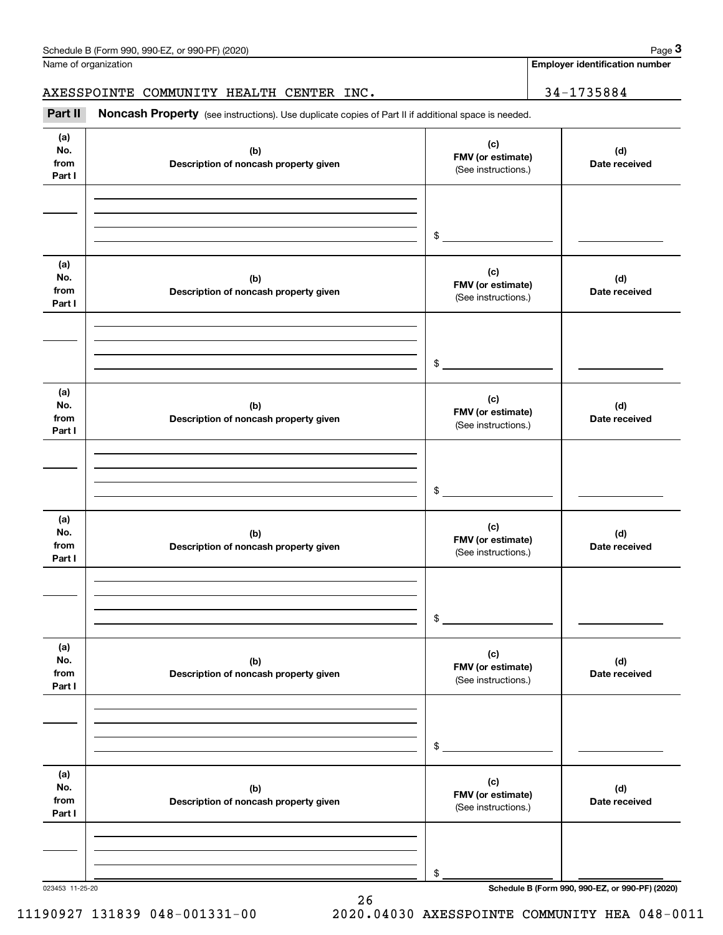**Employer identification number**

Chedule B (Form 990, 990-EZ, or 990-PF) (2020)<br>
lame of organization<br> **34-1735884**<br> **Part II Noncash Property** (see instructions). Use duplicate copies of Part II if additional space is needed. AXESSPOINTE COMMUNITY HEALTH CENTER INC. 24-1735884

| .                            | <b>Torrodorf Troperty</b> (See instructions). Ose duplicate copies of Fart in Fadditional space is riecticu. |                                                 |                      |
|------------------------------|--------------------------------------------------------------------------------------------------------------|-------------------------------------------------|----------------------|
| (a)<br>No.<br>from<br>Part I | (b)<br>Description of noncash property given                                                                 | (c)<br>FMV (or estimate)<br>(See instructions.) | (d)<br>Date received |
|                              |                                                                                                              |                                                 |                      |
|                              |                                                                                                              |                                                 |                      |
|                              |                                                                                                              | \$                                              |                      |
| (a)<br>No.<br>from<br>Part I | (b)<br>Description of noncash property given                                                                 | (c)<br>FMV (or estimate)<br>(See instructions.) | (d)<br>Date received |
|                              |                                                                                                              |                                                 |                      |
|                              |                                                                                                              |                                                 |                      |
|                              |                                                                                                              | $$\tilde{\phantom{a}}$$                         |                      |
| (a)<br>No.<br>from<br>Part I | (b)<br>Description of noncash property given                                                                 | (c)<br>FMV (or estimate)<br>(See instructions.) | (d)<br>Date received |
|                              |                                                                                                              |                                                 |                      |
|                              |                                                                                                              |                                                 |                      |
|                              |                                                                                                              | \$                                              |                      |
| (a)<br>No.<br>from<br>Part I | (b)<br>Description of noncash property given                                                                 | (c)<br>FMV (or estimate)<br>(See instructions.) | (d)<br>Date received |
|                              |                                                                                                              |                                                 |                      |
|                              |                                                                                                              |                                                 |                      |
|                              |                                                                                                              | \$                                              |                      |
| (a)<br>No.<br>from<br>Part I | (b)<br>Description of noncash property given                                                                 | (c)<br>FMV (or estimate)<br>(See instructions.) | (d)<br>Date received |
|                              |                                                                                                              |                                                 |                      |
|                              |                                                                                                              |                                                 |                      |
|                              |                                                                                                              | \$                                              |                      |
| (a)<br>No.<br>from<br>Part I | (b)<br>Description of noncash property given                                                                 | (c)<br>FMV (or estimate)<br>(See instructions.) | (d)<br>Date received |
|                              |                                                                                                              |                                                 |                      |
|                              |                                                                                                              |                                                 |                      |
|                              |                                                                                                              | \$                                              |                      |

26

023453 11-25-20 **Schedule B (Form 990, 990-EZ, or 990-PF) (2020)**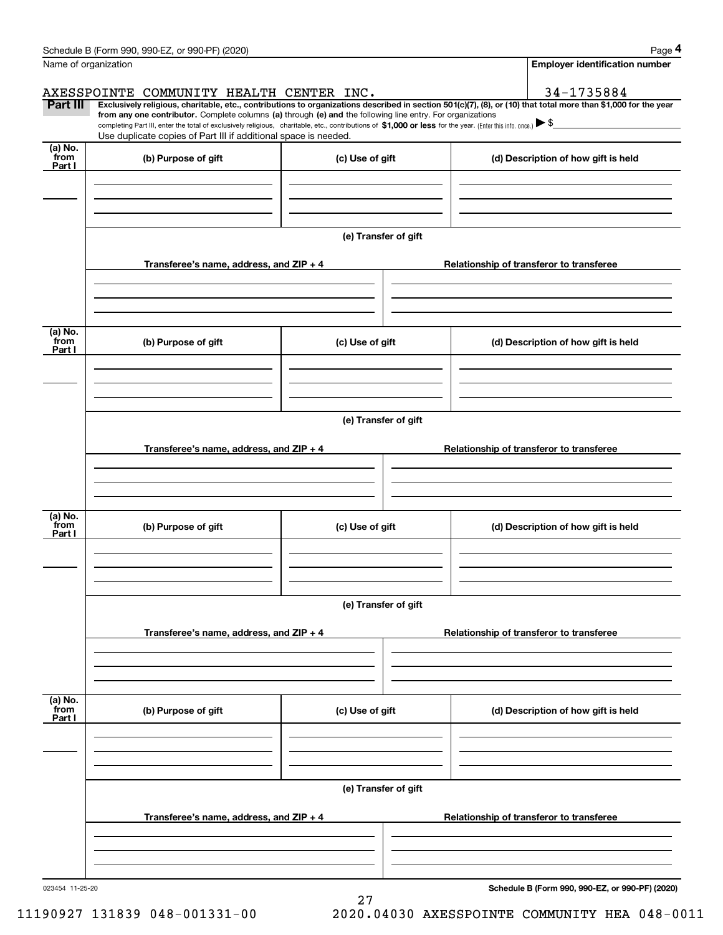|                 | Schedule B (Form 990, 990-EZ, or 990-PF) (2020)                                                                                                                                                                                                                              |                      |  |  | Page 4                                          |  |  |  |
|-----------------|------------------------------------------------------------------------------------------------------------------------------------------------------------------------------------------------------------------------------------------------------------------------------|----------------------|--|--|-------------------------------------------------|--|--|--|
|                 | Name of organization                                                                                                                                                                                                                                                         |                      |  |  | <b>Employer identification number</b>           |  |  |  |
|                 | AXESSPOINTE COMMUNITY HEALTH CENTER INC.                                                                                                                                                                                                                                     |                      |  |  | 34-1735884                                      |  |  |  |
| Part III        | Exclusively religious, charitable, etc., contributions to organizations described in section 501(c)(7), (8), or (10) that total more than \$1,000 for the year<br>from any one contributor. Complete columns (a) through (e) and the following line entry. For organizations |                      |  |  |                                                 |  |  |  |
|                 | completing Part III, enter the total of exclusively religious, charitable, etc., contributions of \$1,000 or less for the year. (Enter this info. once.) $\blacktriangleright$ \$                                                                                            |                      |  |  |                                                 |  |  |  |
| $(a)$ No.       | Use duplicate copies of Part III if additional space is needed.                                                                                                                                                                                                              |                      |  |  |                                                 |  |  |  |
| from<br>Part I  | (b) Purpose of gift                                                                                                                                                                                                                                                          | (c) Use of gift      |  |  | (d) Description of how gift is held             |  |  |  |
|                 |                                                                                                                                                                                                                                                                              |                      |  |  |                                                 |  |  |  |
|                 |                                                                                                                                                                                                                                                                              |                      |  |  |                                                 |  |  |  |
|                 |                                                                                                                                                                                                                                                                              |                      |  |  |                                                 |  |  |  |
|                 |                                                                                                                                                                                                                                                                              | (e) Transfer of gift |  |  |                                                 |  |  |  |
|                 |                                                                                                                                                                                                                                                                              |                      |  |  |                                                 |  |  |  |
|                 | Transferee's name, address, and ZIP + 4                                                                                                                                                                                                                                      |                      |  |  | Relationship of transferor to transferee        |  |  |  |
|                 |                                                                                                                                                                                                                                                                              |                      |  |  |                                                 |  |  |  |
|                 |                                                                                                                                                                                                                                                                              |                      |  |  |                                                 |  |  |  |
| (a) No.         |                                                                                                                                                                                                                                                                              |                      |  |  |                                                 |  |  |  |
| from<br>Part I  | (b) Purpose of gift                                                                                                                                                                                                                                                          | (c) Use of gift      |  |  | (d) Description of how gift is held             |  |  |  |
|                 |                                                                                                                                                                                                                                                                              |                      |  |  |                                                 |  |  |  |
|                 |                                                                                                                                                                                                                                                                              |                      |  |  |                                                 |  |  |  |
|                 |                                                                                                                                                                                                                                                                              |                      |  |  |                                                 |  |  |  |
|                 | (e) Transfer of gift                                                                                                                                                                                                                                                         |                      |  |  |                                                 |  |  |  |
|                 |                                                                                                                                                                                                                                                                              |                      |  |  |                                                 |  |  |  |
|                 | Transferee's name, address, and ZIP + 4                                                                                                                                                                                                                                      |                      |  |  | Relationship of transferor to transferee        |  |  |  |
|                 |                                                                                                                                                                                                                                                                              |                      |  |  |                                                 |  |  |  |
|                 |                                                                                                                                                                                                                                                                              |                      |  |  |                                                 |  |  |  |
| (a) No.<br>from |                                                                                                                                                                                                                                                                              |                      |  |  |                                                 |  |  |  |
| Part I          | (b) Purpose of gift                                                                                                                                                                                                                                                          | (c) Use of gift      |  |  | (d) Description of how gift is held             |  |  |  |
|                 |                                                                                                                                                                                                                                                                              |                      |  |  |                                                 |  |  |  |
|                 |                                                                                                                                                                                                                                                                              |                      |  |  |                                                 |  |  |  |
|                 |                                                                                                                                                                                                                                                                              |                      |  |  |                                                 |  |  |  |
|                 |                                                                                                                                                                                                                                                                              | (e) Transfer of gift |  |  |                                                 |  |  |  |
|                 | Transferee's name, address, and ZIP + 4                                                                                                                                                                                                                                      |                      |  |  | Relationship of transferor to transferee        |  |  |  |
|                 |                                                                                                                                                                                                                                                                              |                      |  |  |                                                 |  |  |  |
|                 |                                                                                                                                                                                                                                                                              |                      |  |  |                                                 |  |  |  |
|                 |                                                                                                                                                                                                                                                                              |                      |  |  |                                                 |  |  |  |
| (a) No.<br>from | (b) Purpose of gift                                                                                                                                                                                                                                                          | (c) Use of gift      |  |  | (d) Description of how gift is held             |  |  |  |
| Part I          |                                                                                                                                                                                                                                                                              |                      |  |  |                                                 |  |  |  |
|                 |                                                                                                                                                                                                                                                                              |                      |  |  |                                                 |  |  |  |
|                 |                                                                                                                                                                                                                                                                              |                      |  |  |                                                 |  |  |  |
|                 | (e) Transfer of gift                                                                                                                                                                                                                                                         |                      |  |  |                                                 |  |  |  |
|                 |                                                                                                                                                                                                                                                                              |                      |  |  |                                                 |  |  |  |
|                 | Transferee's name, address, and $ZIP + 4$                                                                                                                                                                                                                                    |                      |  |  | Relationship of transferor to transferee        |  |  |  |
|                 |                                                                                                                                                                                                                                                                              |                      |  |  |                                                 |  |  |  |
|                 |                                                                                                                                                                                                                                                                              |                      |  |  |                                                 |  |  |  |
|                 |                                                                                                                                                                                                                                                                              |                      |  |  |                                                 |  |  |  |
| 023454 11-25-20 |                                                                                                                                                                                                                                                                              |                      |  |  | Schedule B (Form 990, 990-F7, or 990-PF) (2020) |  |  |  |

27

023454 11-25-20

**Schedule B (Form 990, 990-EZ, or 990-PF) (2020)**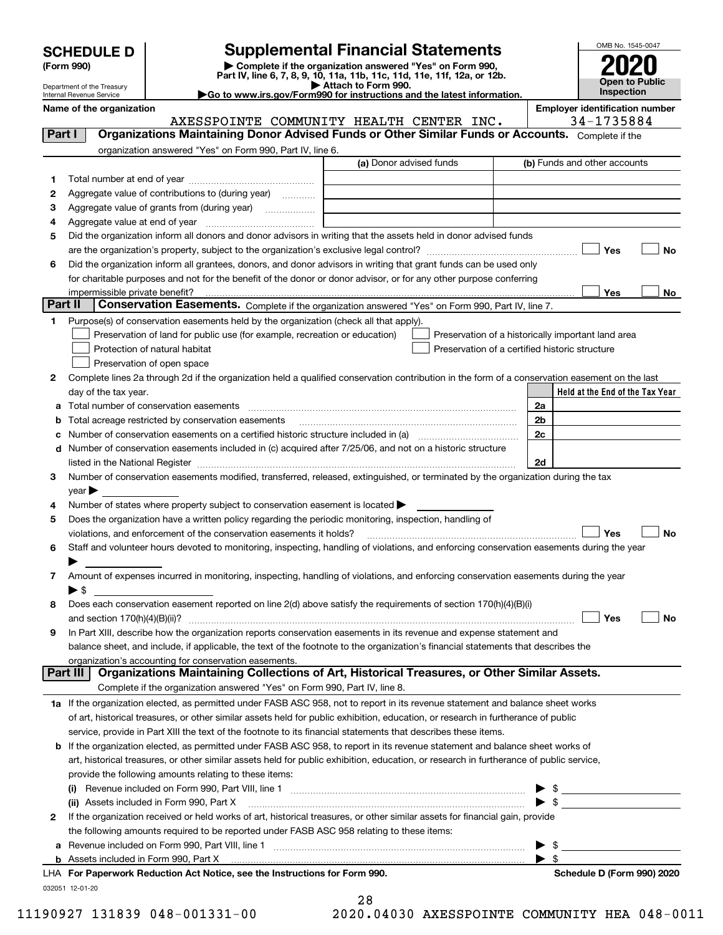Department of the Treasury Internal Revenue Service

# **SCHEDULE D Supplemental Financial Statements**

(Form 990)<br>
Pepartment of the Treasury<br>
Department of the Treasury<br>
Department of the Treasury<br>
Department of the Treasury<br> **Co to www.irs.gov/Form990 for instructions and the latest information.**<br> **Co to www.irs.gov/Form9** 

|  | Go to www.irs.gov/Form990 for instructions and the latest informat |  |  |  |  |
|--|--------------------------------------------------------------------|--|--|--|--|
|  |                                                                    |  |  |  |  |



|  | Name of the organization |
|--|--------------------------|
|--|--------------------------|

**Name of the organization Employer identification number** AXESSPOINTE COMMUNITY HEALTH CENTER INC. | 34-1735884

| organization answered "Yes" on Form 990, Part IV, line 6.<br>(a) Donor advised funds<br>(b) Funds and other accounts<br>1<br>Aggregate value of contributions to (during year)<br>2<br>Aggregate value of grants from (during year)<br>з<br>4<br>Did the organization inform all donors and donor advisors in writing that the assets held in donor advised funds<br>5<br>Yes<br>No<br>Did the organization inform all grantees, donors, and donor advisors in writing that grant funds can be used only<br>6<br>for charitable purposes and not for the benefit of the donor or donor advisor, or for any other purpose conferring<br>Yes<br>impermissible private benefit?<br>No<br>Part II<br>Conservation Easements. Complete if the organization answered "Yes" on Form 990, Part IV, line 7.<br>Purpose(s) of conservation easements held by the organization (check all that apply).<br>1<br>Preservation of land for public use (for example, recreation or education)<br>Preservation of a historically important land area<br>Preservation of a certified historic structure<br>Protection of natural habitat<br>Preservation of open space<br>Complete lines 2a through 2d if the organization held a qualified conservation contribution in the form of a conservation easement on the last<br>2<br>Held at the End of the Tax Year<br>day of the tax year.<br>2a<br>а<br>2 <sub>b</sub><br>Total acreage restricted by conservation easements<br>2c<br>Number of conservation easements on a certified historic structure included in (a) manufacture included in (a)<br>Number of conservation easements included in (c) acquired after 7/25/06, and not on a historic structure<br>d<br>2d<br>Number of conservation easements modified, transferred, released, extinguished, or terminated by the organization during the tax<br>3<br>$year \blacktriangleright$<br>Number of states where property subject to conservation easement is located ><br>4<br>Does the organization have a written policy regarding the periodic monitoring, inspection, handling of<br>5<br>violations, and enforcement of the conservation easements it holds?<br>Yes<br>No<br>Staff and volunteer hours devoted to monitoring, inspecting, handling of violations, and enforcing conservation easements during the year<br>6<br>Amount of expenses incurred in monitoring, inspecting, handling of violations, and enforcing conservation easements during the year<br>7<br>▶ \$<br>Does each conservation easement reported on line 2(d) above satisfy the requirements of section 170(h)(4)(B)(i)<br>8<br>Yes<br>No<br>In Part XIII, describe how the organization reports conservation easements in its revenue and expense statement and<br>9<br>balance sheet, and include, if applicable, the text of the footnote to the organization's financial statements that describes the<br>organization's accounting for conservation easements.<br>Organizations Maintaining Collections of Art, Historical Treasures, or Other Similar Assets.<br>Part III<br>Complete if the organization answered "Yes" on Form 990, Part IV, line 8.<br>1a If the organization elected, as permitted under FASB ASC 958, not to report in its revenue statement and balance sheet works<br>of art, historical treasures, or other similar assets held for public exhibition, education, or research in furtherance of public<br>service, provide in Part XIII the text of the footnote to its financial statements that describes these items.<br>If the organization elected, as permitted under FASB ASC 958, to report in its revenue statement and balance sheet works of<br>b<br>art, historical treasures, or other similar assets held for public exhibition, education, or research in furtherance of public service,<br>provide the following amounts relating to these items:<br>$\blacktriangleright$ \$<br>(ii) Assets included in Form 990, Part X<br>If the organization received or held works of art, historical treasures, or other similar assets for financial gain, provide<br>2<br>the following amounts required to be reported under FASB ASC 958 relating to these items:<br>\$<br>а<br>$\blacktriangleright$ s<br>b Assets incl <u>uded in Form 990, Part X [11] [11] notine in the inclusion of</u> Assets included in Form 990, Part X [11] notine in the increase the set of Assets included in Form 990, Part X [11] notine in the set of the set<br>LHA For Paperwork Reduction Act Notice, see the Instructions for Form 990.<br>Schedule D (Form 990) 2020<br>032051 12-01-20 | Part I | Organizations Maintaining Donor Advised Funds or Other Similar Funds or Accounts. Complete if the |  |
|--------------------------------------------------------------------------------------------------------------------------------------------------------------------------------------------------------------------------------------------------------------------------------------------------------------------------------------------------------------------------------------------------------------------------------------------------------------------------------------------------------------------------------------------------------------------------------------------------------------------------------------------------------------------------------------------------------------------------------------------------------------------------------------------------------------------------------------------------------------------------------------------------------------------------------------------------------------------------------------------------------------------------------------------------------------------------------------------------------------------------------------------------------------------------------------------------------------------------------------------------------------------------------------------------------------------------------------------------------------------------------------------------------------------------------------------------------------------------------------------------------------------------------------------------------------------------------------------------------------------------------------------------------------------------------------------------------------------------------------------------------------------------------------------------------------------------------------------------------------------------------------------------------------------------------------------------------------------------------------------------------------------------------------------------------------------------------------------------------------------------------------------------------------------------------------------------------------------------------------------------------------------------------------------------------------------------------------------------------------------------------------------------------------------------------------------------------------------------------------------------------------------------------------------------------------------------------------------------------------------------------------------------------------------------------------------------------------------------------------------------------------------------------------------------------------------------------------------------------------------------------------------------------------------------------------------------------------------------------------------------------------------------------------------------------------------------------------------------------------------------------------------------------------------------------------------------------------------------------------------------------------------------------------------------------------------------------------------------------------------------------------------------------------------------------------------------------------------------------------------------------------------------------------------------------------------------------------------------------------------------------------------------------------------------------------------------------------------------------------------------------------------------------------------------------------------------------------------------------------------------------------------------------------------------------------------------------------------------------------------------------------------------------------------------------------------------------------------------------------------------------------------------------------------------------------------------------------------------------------------------------------------------------------------------------------------------------------------------------------------------------------------------------------------------------------------------------------------------------------------------------------------------------------------------------------------------------------------------|--------|---------------------------------------------------------------------------------------------------|--|
|                                                                                                                                                                                                                                                                                                                                                                                                                                                                                                                                                                                                                                                                                                                                                                                                                                                                                                                                                                                                                                                                                                                                                                                                                                                                                                                                                                                                                                                                                                                                                                                                                                                                                                                                                                                                                                                                                                                                                                                                                                                                                                                                                                                                                                                                                                                                                                                                                                                                                                                                                                                                                                                                                                                                                                                                                                                                                                                                                                                                                                                                                                                                                                                                                                                                                                                                                                                                                                                                                                                                                                                                                                                                                                                                                                                                                                                                                                                                                                                                                                                                                                                                                                                                                                                                                                                                                                                                                                                                                                                                                                                                  |        |                                                                                                   |  |
|                                                                                                                                                                                                                                                                                                                                                                                                                                                                                                                                                                                                                                                                                                                                                                                                                                                                                                                                                                                                                                                                                                                                                                                                                                                                                                                                                                                                                                                                                                                                                                                                                                                                                                                                                                                                                                                                                                                                                                                                                                                                                                                                                                                                                                                                                                                                                                                                                                                                                                                                                                                                                                                                                                                                                                                                                                                                                                                                                                                                                                                                                                                                                                                                                                                                                                                                                                                                                                                                                                                                                                                                                                                                                                                                                                                                                                                                                                                                                                                                                                                                                                                                                                                                                                                                                                                                                                                                                                                                                                                                                                                                  |        |                                                                                                   |  |
|                                                                                                                                                                                                                                                                                                                                                                                                                                                                                                                                                                                                                                                                                                                                                                                                                                                                                                                                                                                                                                                                                                                                                                                                                                                                                                                                                                                                                                                                                                                                                                                                                                                                                                                                                                                                                                                                                                                                                                                                                                                                                                                                                                                                                                                                                                                                                                                                                                                                                                                                                                                                                                                                                                                                                                                                                                                                                                                                                                                                                                                                                                                                                                                                                                                                                                                                                                                                                                                                                                                                                                                                                                                                                                                                                                                                                                                                                                                                                                                                                                                                                                                                                                                                                                                                                                                                                                                                                                                                                                                                                                                                  |        |                                                                                                   |  |
|                                                                                                                                                                                                                                                                                                                                                                                                                                                                                                                                                                                                                                                                                                                                                                                                                                                                                                                                                                                                                                                                                                                                                                                                                                                                                                                                                                                                                                                                                                                                                                                                                                                                                                                                                                                                                                                                                                                                                                                                                                                                                                                                                                                                                                                                                                                                                                                                                                                                                                                                                                                                                                                                                                                                                                                                                                                                                                                                                                                                                                                                                                                                                                                                                                                                                                                                                                                                                                                                                                                                                                                                                                                                                                                                                                                                                                                                                                                                                                                                                                                                                                                                                                                                                                                                                                                                                                                                                                                                                                                                                                                                  |        |                                                                                                   |  |
|                                                                                                                                                                                                                                                                                                                                                                                                                                                                                                                                                                                                                                                                                                                                                                                                                                                                                                                                                                                                                                                                                                                                                                                                                                                                                                                                                                                                                                                                                                                                                                                                                                                                                                                                                                                                                                                                                                                                                                                                                                                                                                                                                                                                                                                                                                                                                                                                                                                                                                                                                                                                                                                                                                                                                                                                                                                                                                                                                                                                                                                                                                                                                                                                                                                                                                                                                                                                                                                                                                                                                                                                                                                                                                                                                                                                                                                                                                                                                                                                                                                                                                                                                                                                                                                                                                                                                                                                                                                                                                                                                                                                  |        |                                                                                                   |  |
|                                                                                                                                                                                                                                                                                                                                                                                                                                                                                                                                                                                                                                                                                                                                                                                                                                                                                                                                                                                                                                                                                                                                                                                                                                                                                                                                                                                                                                                                                                                                                                                                                                                                                                                                                                                                                                                                                                                                                                                                                                                                                                                                                                                                                                                                                                                                                                                                                                                                                                                                                                                                                                                                                                                                                                                                                                                                                                                                                                                                                                                                                                                                                                                                                                                                                                                                                                                                                                                                                                                                                                                                                                                                                                                                                                                                                                                                                                                                                                                                                                                                                                                                                                                                                                                                                                                                                                                                                                                                                                                                                                                                  |        |                                                                                                   |  |
|                                                                                                                                                                                                                                                                                                                                                                                                                                                                                                                                                                                                                                                                                                                                                                                                                                                                                                                                                                                                                                                                                                                                                                                                                                                                                                                                                                                                                                                                                                                                                                                                                                                                                                                                                                                                                                                                                                                                                                                                                                                                                                                                                                                                                                                                                                                                                                                                                                                                                                                                                                                                                                                                                                                                                                                                                                                                                                                                                                                                                                                                                                                                                                                                                                                                                                                                                                                                                                                                                                                                                                                                                                                                                                                                                                                                                                                                                                                                                                                                                                                                                                                                                                                                                                                                                                                                                                                                                                                                                                                                                                                                  |        |                                                                                                   |  |
|                                                                                                                                                                                                                                                                                                                                                                                                                                                                                                                                                                                                                                                                                                                                                                                                                                                                                                                                                                                                                                                                                                                                                                                                                                                                                                                                                                                                                                                                                                                                                                                                                                                                                                                                                                                                                                                                                                                                                                                                                                                                                                                                                                                                                                                                                                                                                                                                                                                                                                                                                                                                                                                                                                                                                                                                                                                                                                                                                                                                                                                                                                                                                                                                                                                                                                                                                                                                                                                                                                                                                                                                                                                                                                                                                                                                                                                                                                                                                                                                                                                                                                                                                                                                                                                                                                                                                                                                                                                                                                                                                                                                  |        |                                                                                                   |  |
|                                                                                                                                                                                                                                                                                                                                                                                                                                                                                                                                                                                                                                                                                                                                                                                                                                                                                                                                                                                                                                                                                                                                                                                                                                                                                                                                                                                                                                                                                                                                                                                                                                                                                                                                                                                                                                                                                                                                                                                                                                                                                                                                                                                                                                                                                                                                                                                                                                                                                                                                                                                                                                                                                                                                                                                                                                                                                                                                                                                                                                                                                                                                                                                                                                                                                                                                                                                                                                                                                                                                                                                                                                                                                                                                                                                                                                                                                                                                                                                                                                                                                                                                                                                                                                                                                                                                                                                                                                                                                                                                                                                                  |        |                                                                                                   |  |
|                                                                                                                                                                                                                                                                                                                                                                                                                                                                                                                                                                                                                                                                                                                                                                                                                                                                                                                                                                                                                                                                                                                                                                                                                                                                                                                                                                                                                                                                                                                                                                                                                                                                                                                                                                                                                                                                                                                                                                                                                                                                                                                                                                                                                                                                                                                                                                                                                                                                                                                                                                                                                                                                                                                                                                                                                                                                                                                                                                                                                                                                                                                                                                                                                                                                                                                                                                                                                                                                                                                                                                                                                                                                                                                                                                                                                                                                                                                                                                                                                                                                                                                                                                                                                                                                                                                                                                                                                                                                                                                                                                                                  |        |                                                                                                   |  |
|                                                                                                                                                                                                                                                                                                                                                                                                                                                                                                                                                                                                                                                                                                                                                                                                                                                                                                                                                                                                                                                                                                                                                                                                                                                                                                                                                                                                                                                                                                                                                                                                                                                                                                                                                                                                                                                                                                                                                                                                                                                                                                                                                                                                                                                                                                                                                                                                                                                                                                                                                                                                                                                                                                                                                                                                                                                                                                                                                                                                                                                                                                                                                                                                                                                                                                                                                                                                                                                                                                                                                                                                                                                                                                                                                                                                                                                                                                                                                                                                                                                                                                                                                                                                                                                                                                                                                                                                                                                                                                                                                                                                  |        |                                                                                                   |  |
|                                                                                                                                                                                                                                                                                                                                                                                                                                                                                                                                                                                                                                                                                                                                                                                                                                                                                                                                                                                                                                                                                                                                                                                                                                                                                                                                                                                                                                                                                                                                                                                                                                                                                                                                                                                                                                                                                                                                                                                                                                                                                                                                                                                                                                                                                                                                                                                                                                                                                                                                                                                                                                                                                                                                                                                                                                                                                                                                                                                                                                                                                                                                                                                                                                                                                                                                                                                                                                                                                                                                                                                                                                                                                                                                                                                                                                                                                                                                                                                                                                                                                                                                                                                                                                                                                                                                                                                                                                                                                                                                                                                                  |        |                                                                                                   |  |
|                                                                                                                                                                                                                                                                                                                                                                                                                                                                                                                                                                                                                                                                                                                                                                                                                                                                                                                                                                                                                                                                                                                                                                                                                                                                                                                                                                                                                                                                                                                                                                                                                                                                                                                                                                                                                                                                                                                                                                                                                                                                                                                                                                                                                                                                                                                                                                                                                                                                                                                                                                                                                                                                                                                                                                                                                                                                                                                                                                                                                                                                                                                                                                                                                                                                                                                                                                                                                                                                                                                                                                                                                                                                                                                                                                                                                                                                                                                                                                                                                                                                                                                                                                                                                                                                                                                                                                                                                                                                                                                                                                                                  |        |                                                                                                   |  |
|                                                                                                                                                                                                                                                                                                                                                                                                                                                                                                                                                                                                                                                                                                                                                                                                                                                                                                                                                                                                                                                                                                                                                                                                                                                                                                                                                                                                                                                                                                                                                                                                                                                                                                                                                                                                                                                                                                                                                                                                                                                                                                                                                                                                                                                                                                                                                                                                                                                                                                                                                                                                                                                                                                                                                                                                                                                                                                                                                                                                                                                                                                                                                                                                                                                                                                                                                                                                                                                                                                                                                                                                                                                                                                                                                                                                                                                                                                                                                                                                                                                                                                                                                                                                                                                                                                                                                                                                                                                                                                                                                                                                  |        |                                                                                                   |  |
|                                                                                                                                                                                                                                                                                                                                                                                                                                                                                                                                                                                                                                                                                                                                                                                                                                                                                                                                                                                                                                                                                                                                                                                                                                                                                                                                                                                                                                                                                                                                                                                                                                                                                                                                                                                                                                                                                                                                                                                                                                                                                                                                                                                                                                                                                                                                                                                                                                                                                                                                                                                                                                                                                                                                                                                                                                                                                                                                                                                                                                                                                                                                                                                                                                                                                                                                                                                                                                                                                                                                                                                                                                                                                                                                                                                                                                                                                                                                                                                                                                                                                                                                                                                                                                                                                                                                                                                                                                                                                                                                                                                                  |        |                                                                                                   |  |
|                                                                                                                                                                                                                                                                                                                                                                                                                                                                                                                                                                                                                                                                                                                                                                                                                                                                                                                                                                                                                                                                                                                                                                                                                                                                                                                                                                                                                                                                                                                                                                                                                                                                                                                                                                                                                                                                                                                                                                                                                                                                                                                                                                                                                                                                                                                                                                                                                                                                                                                                                                                                                                                                                                                                                                                                                                                                                                                                                                                                                                                                                                                                                                                                                                                                                                                                                                                                                                                                                                                                                                                                                                                                                                                                                                                                                                                                                                                                                                                                                                                                                                                                                                                                                                                                                                                                                                                                                                                                                                                                                                                                  |        |                                                                                                   |  |
|                                                                                                                                                                                                                                                                                                                                                                                                                                                                                                                                                                                                                                                                                                                                                                                                                                                                                                                                                                                                                                                                                                                                                                                                                                                                                                                                                                                                                                                                                                                                                                                                                                                                                                                                                                                                                                                                                                                                                                                                                                                                                                                                                                                                                                                                                                                                                                                                                                                                                                                                                                                                                                                                                                                                                                                                                                                                                                                                                                                                                                                                                                                                                                                                                                                                                                                                                                                                                                                                                                                                                                                                                                                                                                                                                                                                                                                                                                                                                                                                                                                                                                                                                                                                                                                                                                                                                                                                                                                                                                                                                                                                  |        |                                                                                                   |  |
|                                                                                                                                                                                                                                                                                                                                                                                                                                                                                                                                                                                                                                                                                                                                                                                                                                                                                                                                                                                                                                                                                                                                                                                                                                                                                                                                                                                                                                                                                                                                                                                                                                                                                                                                                                                                                                                                                                                                                                                                                                                                                                                                                                                                                                                                                                                                                                                                                                                                                                                                                                                                                                                                                                                                                                                                                                                                                                                                                                                                                                                                                                                                                                                                                                                                                                                                                                                                                                                                                                                                                                                                                                                                                                                                                                                                                                                                                                                                                                                                                                                                                                                                                                                                                                                                                                                                                                                                                                                                                                                                                                                                  |        |                                                                                                   |  |
|                                                                                                                                                                                                                                                                                                                                                                                                                                                                                                                                                                                                                                                                                                                                                                                                                                                                                                                                                                                                                                                                                                                                                                                                                                                                                                                                                                                                                                                                                                                                                                                                                                                                                                                                                                                                                                                                                                                                                                                                                                                                                                                                                                                                                                                                                                                                                                                                                                                                                                                                                                                                                                                                                                                                                                                                                                                                                                                                                                                                                                                                                                                                                                                                                                                                                                                                                                                                                                                                                                                                                                                                                                                                                                                                                                                                                                                                                                                                                                                                                                                                                                                                                                                                                                                                                                                                                                                                                                                                                                                                                                                                  |        |                                                                                                   |  |
|                                                                                                                                                                                                                                                                                                                                                                                                                                                                                                                                                                                                                                                                                                                                                                                                                                                                                                                                                                                                                                                                                                                                                                                                                                                                                                                                                                                                                                                                                                                                                                                                                                                                                                                                                                                                                                                                                                                                                                                                                                                                                                                                                                                                                                                                                                                                                                                                                                                                                                                                                                                                                                                                                                                                                                                                                                                                                                                                                                                                                                                                                                                                                                                                                                                                                                                                                                                                                                                                                                                                                                                                                                                                                                                                                                                                                                                                                                                                                                                                                                                                                                                                                                                                                                                                                                                                                                                                                                                                                                                                                                                                  |        |                                                                                                   |  |
|                                                                                                                                                                                                                                                                                                                                                                                                                                                                                                                                                                                                                                                                                                                                                                                                                                                                                                                                                                                                                                                                                                                                                                                                                                                                                                                                                                                                                                                                                                                                                                                                                                                                                                                                                                                                                                                                                                                                                                                                                                                                                                                                                                                                                                                                                                                                                                                                                                                                                                                                                                                                                                                                                                                                                                                                                                                                                                                                                                                                                                                                                                                                                                                                                                                                                                                                                                                                                                                                                                                                                                                                                                                                                                                                                                                                                                                                                                                                                                                                                                                                                                                                                                                                                                                                                                                                                                                                                                                                                                                                                                                                  |        |                                                                                                   |  |
|                                                                                                                                                                                                                                                                                                                                                                                                                                                                                                                                                                                                                                                                                                                                                                                                                                                                                                                                                                                                                                                                                                                                                                                                                                                                                                                                                                                                                                                                                                                                                                                                                                                                                                                                                                                                                                                                                                                                                                                                                                                                                                                                                                                                                                                                                                                                                                                                                                                                                                                                                                                                                                                                                                                                                                                                                                                                                                                                                                                                                                                                                                                                                                                                                                                                                                                                                                                                                                                                                                                                                                                                                                                                                                                                                                                                                                                                                                                                                                                                                                                                                                                                                                                                                                                                                                                                                                                                                                                                                                                                                                                                  |        |                                                                                                   |  |
|                                                                                                                                                                                                                                                                                                                                                                                                                                                                                                                                                                                                                                                                                                                                                                                                                                                                                                                                                                                                                                                                                                                                                                                                                                                                                                                                                                                                                                                                                                                                                                                                                                                                                                                                                                                                                                                                                                                                                                                                                                                                                                                                                                                                                                                                                                                                                                                                                                                                                                                                                                                                                                                                                                                                                                                                                                                                                                                                                                                                                                                                                                                                                                                                                                                                                                                                                                                                                                                                                                                                                                                                                                                                                                                                                                                                                                                                                                                                                                                                                                                                                                                                                                                                                                                                                                                                                                                                                                                                                                                                                                                                  |        |                                                                                                   |  |
|                                                                                                                                                                                                                                                                                                                                                                                                                                                                                                                                                                                                                                                                                                                                                                                                                                                                                                                                                                                                                                                                                                                                                                                                                                                                                                                                                                                                                                                                                                                                                                                                                                                                                                                                                                                                                                                                                                                                                                                                                                                                                                                                                                                                                                                                                                                                                                                                                                                                                                                                                                                                                                                                                                                                                                                                                                                                                                                                                                                                                                                                                                                                                                                                                                                                                                                                                                                                                                                                                                                                                                                                                                                                                                                                                                                                                                                                                                                                                                                                                                                                                                                                                                                                                                                                                                                                                                                                                                                                                                                                                                                                  |        |                                                                                                   |  |
|                                                                                                                                                                                                                                                                                                                                                                                                                                                                                                                                                                                                                                                                                                                                                                                                                                                                                                                                                                                                                                                                                                                                                                                                                                                                                                                                                                                                                                                                                                                                                                                                                                                                                                                                                                                                                                                                                                                                                                                                                                                                                                                                                                                                                                                                                                                                                                                                                                                                                                                                                                                                                                                                                                                                                                                                                                                                                                                                                                                                                                                                                                                                                                                                                                                                                                                                                                                                                                                                                                                                                                                                                                                                                                                                                                                                                                                                                                                                                                                                                                                                                                                                                                                                                                                                                                                                                                                                                                                                                                                                                                                                  |        |                                                                                                   |  |
|                                                                                                                                                                                                                                                                                                                                                                                                                                                                                                                                                                                                                                                                                                                                                                                                                                                                                                                                                                                                                                                                                                                                                                                                                                                                                                                                                                                                                                                                                                                                                                                                                                                                                                                                                                                                                                                                                                                                                                                                                                                                                                                                                                                                                                                                                                                                                                                                                                                                                                                                                                                                                                                                                                                                                                                                                                                                                                                                                                                                                                                                                                                                                                                                                                                                                                                                                                                                                                                                                                                                                                                                                                                                                                                                                                                                                                                                                                                                                                                                                                                                                                                                                                                                                                                                                                                                                                                                                                                                                                                                                                                                  |        |                                                                                                   |  |
|                                                                                                                                                                                                                                                                                                                                                                                                                                                                                                                                                                                                                                                                                                                                                                                                                                                                                                                                                                                                                                                                                                                                                                                                                                                                                                                                                                                                                                                                                                                                                                                                                                                                                                                                                                                                                                                                                                                                                                                                                                                                                                                                                                                                                                                                                                                                                                                                                                                                                                                                                                                                                                                                                                                                                                                                                                                                                                                                                                                                                                                                                                                                                                                                                                                                                                                                                                                                                                                                                                                                                                                                                                                                                                                                                                                                                                                                                                                                                                                                                                                                                                                                                                                                                                                                                                                                                                                                                                                                                                                                                                                                  |        |                                                                                                   |  |
|                                                                                                                                                                                                                                                                                                                                                                                                                                                                                                                                                                                                                                                                                                                                                                                                                                                                                                                                                                                                                                                                                                                                                                                                                                                                                                                                                                                                                                                                                                                                                                                                                                                                                                                                                                                                                                                                                                                                                                                                                                                                                                                                                                                                                                                                                                                                                                                                                                                                                                                                                                                                                                                                                                                                                                                                                                                                                                                                                                                                                                                                                                                                                                                                                                                                                                                                                                                                                                                                                                                                                                                                                                                                                                                                                                                                                                                                                                                                                                                                                                                                                                                                                                                                                                                                                                                                                                                                                                                                                                                                                                                                  |        |                                                                                                   |  |
|                                                                                                                                                                                                                                                                                                                                                                                                                                                                                                                                                                                                                                                                                                                                                                                                                                                                                                                                                                                                                                                                                                                                                                                                                                                                                                                                                                                                                                                                                                                                                                                                                                                                                                                                                                                                                                                                                                                                                                                                                                                                                                                                                                                                                                                                                                                                                                                                                                                                                                                                                                                                                                                                                                                                                                                                                                                                                                                                                                                                                                                                                                                                                                                                                                                                                                                                                                                                                                                                                                                                                                                                                                                                                                                                                                                                                                                                                                                                                                                                                                                                                                                                                                                                                                                                                                                                                                                                                                                                                                                                                                                                  |        |                                                                                                   |  |
|                                                                                                                                                                                                                                                                                                                                                                                                                                                                                                                                                                                                                                                                                                                                                                                                                                                                                                                                                                                                                                                                                                                                                                                                                                                                                                                                                                                                                                                                                                                                                                                                                                                                                                                                                                                                                                                                                                                                                                                                                                                                                                                                                                                                                                                                                                                                                                                                                                                                                                                                                                                                                                                                                                                                                                                                                                                                                                                                                                                                                                                                                                                                                                                                                                                                                                                                                                                                                                                                                                                                                                                                                                                                                                                                                                                                                                                                                                                                                                                                                                                                                                                                                                                                                                                                                                                                                                                                                                                                                                                                                                                                  |        |                                                                                                   |  |
|                                                                                                                                                                                                                                                                                                                                                                                                                                                                                                                                                                                                                                                                                                                                                                                                                                                                                                                                                                                                                                                                                                                                                                                                                                                                                                                                                                                                                                                                                                                                                                                                                                                                                                                                                                                                                                                                                                                                                                                                                                                                                                                                                                                                                                                                                                                                                                                                                                                                                                                                                                                                                                                                                                                                                                                                                                                                                                                                                                                                                                                                                                                                                                                                                                                                                                                                                                                                                                                                                                                                                                                                                                                                                                                                                                                                                                                                                                                                                                                                                                                                                                                                                                                                                                                                                                                                                                                                                                                                                                                                                                                                  |        |                                                                                                   |  |
|                                                                                                                                                                                                                                                                                                                                                                                                                                                                                                                                                                                                                                                                                                                                                                                                                                                                                                                                                                                                                                                                                                                                                                                                                                                                                                                                                                                                                                                                                                                                                                                                                                                                                                                                                                                                                                                                                                                                                                                                                                                                                                                                                                                                                                                                                                                                                                                                                                                                                                                                                                                                                                                                                                                                                                                                                                                                                                                                                                                                                                                                                                                                                                                                                                                                                                                                                                                                                                                                                                                                                                                                                                                                                                                                                                                                                                                                                                                                                                                                                                                                                                                                                                                                                                                                                                                                                                                                                                                                                                                                                                                                  |        |                                                                                                   |  |
|                                                                                                                                                                                                                                                                                                                                                                                                                                                                                                                                                                                                                                                                                                                                                                                                                                                                                                                                                                                                                                                                                                                                                                                                                                                                                                                                                                                                                                                                                                                                                                                                                                                                                                                                                                                                                                                                                                                                                                                                                                                                                                                                                                                                                                                                                                                                                                                                                                                                                                                                                                                                                                                                                                                                                                                                                                                                                                                                                                                                                                                                                                                                                                                                                                                                                                                                                                                                                                                                                                                                                                                                                                                                                                                                                                                                                                                                                                                                                                                                                                                                                                                                                                                                                                                                                                                                                                                                                                                                                                                                                                                                  |        |                                                                                                   |  |
|                                                                                                                                                                                                                                                                                                                                                                                                                                                                                                                                                                                                                                                                                                                                                                                                                                                                                                                                                                                                                                                                                                                                                                                                                                                                                                                                                                                                                                                                                                                                                                                                                                                                                                                                                                                                                                                                                                                                                                                                                                                                                                                                                                                                                                                                                                                                                                                                                                                                                                                                                                                                                                                                                                                                                                                                                                                                                                                                                                                                                                                                                                                                                                                                                                                                                                                                                                                                                                                                                                                                                                                                                                                                                                                                                                                                                                                                                                                                                                                                                                                                                                                                                                                                                                                                                                                                                                                                                                                                                                                                                                                                  |        |                                                                                                   |  |
|                                                                                                                                                                                                                                                                                                                                                                                                                                                                                                                                                                                                                                                                                                                                                                                                                                                                                                                                                                                                                                                                                                                                                                                                                                                                                                                                                                                                                                                                                                                                                                                                                                                                                                                                                                                                                                                                                                                                                                                                                                                                                                                                                                                                                                                                                                                                                                                                                                                                                                                                                                                                                                                                                                                                                                                                                                                                                                                                                                                                                                                                                                                                                                                                                                                                                                                                                                                                                                                                                                                                                                                                                                                                                                                                                                                                                                                                                                                                                                                                                                                                                                                                                                                                                                                                                                                                                                                                                                                                                                                                                                                                  |        |                                                                                                   |  |
|                                                                                                                                                                                                                                                                                                                                                                                                                                                                                                                                                                                                                                                                                                                                                                                                                                                                                                                                                                                                                                                                                                                                                                                                                                                                                                                                                                                                                                                                                                                                                                                                                                                                                                                                                                                                                                                                                                                                                                                                                                                                                                                                                                                                                                                                                                                                                                                                                                                                                                                                                                                                                                                                                                                                                                                                                                                                                                                                                                                                                                                                                                                                                                                                                                                                                                                                                                                                                                                                                                                                                                                                                                                                                                                                                                                                                                                                                                                                                                                                                                                                                                                                                                                                                                                                                                                                                                                                                                                                                                                                                                                                  |        |                                                                                                   |  |
|                                                                                                                                                                                                                                                                                                                                                                                                                                                                                                                                                                                                                                                                                                                                                                                                                                                                                                                                                                                                                                                                                                                                                                                                                                                                                                                                                                                                                                                                                                                                                                                                                                                                                                                                                                                                                                                                                                                                                                                                                                                                                                                                                                                                                                                                                                                                                                                                                                                                                                                                                                                                                                                                                                                                                                                                                                                                                                                                                                                                                                                                                                                                                                                                                                                                                                                                                                                                                                                                                                                                                                                                                                                                                                                                                                                                                                                                                                                                                                                                                                                                                                                                                                                                                                                                                                                                                                                                                                                                                                                                                                                                  |        |                                                                                                   |  |
|                                                                                                                                                                                                                                                                                                                                                                                                                                                                                                                                                                                                                                                                                                                                                                                                                                                                                                                                                                                                                                                                                                                                                                                                                                                                                                                                                                                                                                                                                                                                                                                                                                                                                                                                                                                                                                                                                                                                                                                                                                                                                                                                                                                                                                                                                                                                                                                                                                                                                                                                                                                                                                                                                                                                                                                                                                                                                                                                                                                                                                                                                                                                                                                                                                                                                                                                                                                                                                                                                                                                                                                                                                                                                                                                                                                                                                                                                                                                                                                                                                                                                                                                                                                                                                                                                                                                                                                                                                                                                                                                                                                                  |        |                                                                                                   |  |
|                                                                                                                                                                                                                                                                                                                                                                                                                                                                                                                                                                                                                                                                                                                                                                                                                                                                                                                                                                                                                                                                                                                                                                                                                                                                                                                                                                                                                                                                                                                                                                                                                                                                                                                                                                                                                                                                                                                                                                                                                                                                                                                                                                                                                                                                                                                                                                                                                                                                                                                                                                                                                                                                                                                                                                                                                                                                                                                                                                                                                                                                                                                                                                                                                                                                                                                                                                                                                                                                                                                                                                                                                                                                                                                                                                                                                                                                                                                                                                                                                                                                                                                                                                                                                                                                                                                                                                                                                                                                                                                                                                                                  |        |                                                                                                   |  |
|                                                                                                                                                                                                                                                                                                                                                                                                                                                                                                                                                                                                                                                                                                                                                                                                                                                                                                                                                                                                                                                                                                                                                                                                                                                                                                                                                                                                                                                                                                                                                                                                                                                                                                                                                                                                                                                                                                                                                                                                                                                                                                                                                                                                                                                                                                                                                                                                                                                                                                                                                                                                                                                                                                                                                                                                                                                                                                                                                                                                                                                                                                                                                                                                                                                                                                                                                                                                                                                                                                                                                                                                                                                                                                                                                                                                                                                                                                                                                                                                                                                                                                                                                                                                                                                                                                                                                                                                                                                                                                                                                                                                  |        |                                                                                                   |  |
|                                                                                                                                                                                                                                                                                                                                                                                                                                                                                                                                                                                                                                                                                                                                                                                                                                                                                                                                                                                                                                                                                                                                                                                                                                                                                                                                                                                                                                                                                                                                                                                                                                                                                                                                                                                                                                                                                                                                                                                                                                                                                                                                                                                                                                                                                                                                                                                                                                                                                                                                                                                                                                                                                                                                                                                                                                                                                                                                                                                                                                                                                                                                                                                                                                                                                                                                                                                                                                                                                                                                                                                                                                                                                                                                                                                                                                                                                                                                                                                                                                                                                                                                                                                                                                                                                                                                                                                                                                                                                                                                                                                                  |        |                                                                                                   |  |
|                                                                                                                                                                                                                                                                                                                                                                                                                                                                                                                                                                                                                                                                                                                                                                                                                                                                                                                                                                                                                                                                                                                                                                                                                                                                                                                                                                                                                                                                                                                                                                                                                                                                                                                                                                                                                                                                                                                                                                                                                                                                                                                                                                                                                                                                                                                                                                                                                                                                                                                                                                                                                                                                                                                                                                                                                                                                                                                                                                                                                                                                                                                                                                                                                                                                                                                                                                                                                                                                                                                                                                                                                                                                                                                                                                                                                                                                                                                                                                                                                                                                                                                                                                                                                                                                                                                                                                                                                                                                                                                                                                                                  |        |                                                                                                   |  |
|                                                                                                                                                                                                                                                                                                                                                                                                                                                                                                                                                                                                                                                                                                                                                                                                                                                                                                                                                                                                                                                                                                                                                                                                                                                                                                                                                                                                                                                                                                                                                                                                                                                                                                                                                                                                                                                                                                                                                                                                                                                                                                                                                                                                                                                                                                                                                                                                                                                                                                                                                                                                                                                                                                                                                                                                                                                                                                                                                                                                                                                                                                                                                                                                                                                                                                                                                                                                                                                                                                                                                                                                                                                                                                                                                                                                                                                                                                                                                                                                                                                                                                                                                                                                                                                                                                                                                                                                                                                                                                                                                                                                  |        |                                                                                                   |  |
|                                                                                                                                                                                                                                                                                                                                                                                                                                                                                                                                                                                                                                                                                                                                                                                                                                                                                                                                                                                                                                                                                                                                                                                                                                                                                                                                                                                                                                                                                                                                                                                                                                                                                                                                                                                                                                                                                                                                                                                                                                                                                                                                                                                                                                                                                                                                                                                                                                                                                                                                                                                                                                                                                                                                                                                                                                                                                                                                                                                                                                                                                                                                                                                                                                                                                                                                                                                                                                                                                                                                                                                                                                                                                                                                                                                                                                                                                                                                                                                                                                                                                                                                                                                                                                                                                                                                                                                                                                                                                                                                                                                                  |        |                                                                                                   |  |
|                                                                                                                                                                                                                                                                                                                                                                                                                                                                                                                                                                                                                                                                                                                                                                                                                                                                                                                                                                                                                                                                                                                                                                                                                                                                                                                                                                                                                                                                                                                                                                                                                                                                                                                                                                                                                                                                                                                                                                                                                                                                                                                                                                                                                                                                                                                                                                                                                                                                                                                                                                                                                                                                                                                                                                                                                                                                                                                                                                                                                                                                                                                                                                                                                                                                                                                                                                                                                                                                                                                                                                                                                                                                                                                                                                                                                                                                                                                                                                                                                                                                                                                                                                                                                                                                                                                                                                                                                                                                                                                                                                                                  |        |                                                                                                   |  |
|                                                                                                                                                                                                                                                                                                                                                                                                                                                                                                                                                                                                                                                                                                                                                                                                                                                                                                                                                                                                                                                                                                                                                                                                                                                                                                                                                                                                                                                                                                                                                                                                                                                                                                                                                                                                                                                                                                                                                                                                                                                                                                                                                                                                                                                                                                                                                                                                                                                                                                                                                                                                                                                                                                                                                                                                                                                                                                                                                                                                                                                                                                                                                                                                                                                                                                                                                                                                                                                                                                                                                                                                                                                                                                                                                                                                                                                                                                                                                                                                                                                                                                                                                                                                                                                                                                                                                                                                                                                                                                                                                                                                  |        |                                                                                                   |  |
|                                                                                                                                                                                                                                                                                                                                                                                                                                                                                                                                                                                                                                                                                                                                                                                                                                                                                                                                                                                                                                                                                                                                                                                                                                                                                                                                                                                                                                                                                                                                                                                                                                                                                                                                                                                                                                                                                                                                                                                                                                                                                                                                                                                                                                                                                                                                                                                                                                                                                                                                                                                                                                                                                                                                                                                                                                                                                                                                                                                                                                                                                                                                                                                                                                                                                                                                                                                                                                                                                                                                                                                                                                                                                                                                                                                                                                                                                                                                                                                                                                                                                                                                                                                                                                                                                                                                                                                                                                                                                                                                                                                                  |        |                                                                                                   |  |
|                                                                                                                                                                                                                                                                                                                                                                                                                                                                                                                                                                                                                                                                                                                                                                                                                                                                                                                                                                                                                                                                                                                                                                                                                                                                                                                                                                                                                                                                                                                                                                                                                                                                                                                                                                                                                                                                                                                                                                                                                                                                                                                                                                                                                                                                                                                                                                                                                                                                                                                                                                                                                                                                                                                                                                                                                                                                                                                                                                                                                                                                                                                                                                                                                                                                                                                                                                                                                                                                                                                                                                                                                                                                                                                                                                                                                                                                                                                                                                                                                                                                                                                                                                                                                                                                                                                                                                                                                                                                                                                                                                                                  |        |                                                                                                   |  |
|                                                                                                                                                                                                                                                                                                                                                                                                                                                                                                                                                                                                                                                                                                                                                                                                                                                                                                                                                                                                                                                                                                                                                                                                                                                                                                                                                                                                                                                                                                                                                                                                                                                                                                                                                                                                                                                                                                                                                                                                                                                                                                                                                                                                                                                                                                                                                                                                                                                                                                                                                                                                                                                                                                                                                                                                                                                                                                                                                                                                                                                                                                                                                                                                                                                                                                                                                                                                                                                                                                                                                                                                                                                                                                                                                                                                                                                                                                                                                                                                                                                                                                                                                                                                                                                                                                                                                                                                                                                                                                                                                                                                  |        |                                                                                                   |  |
|                                                                                                                                                                                                                                                                                                                                                                                                                                                                                                                                                                                                                                                                                                                                                                                                                                                                                                                                                                                                                                                                                                                                                                                                                                                                                                                                                                                                                                                                                                                                                                                                                                                                                                                                                                                                                                                                                                                                                                                                                                                                                                                                                                                                                                                                                                                                                                                                                                                                                                                                                                                                                                                                                                                                                                                                                                                                                                                                                                                                                                                                                                                                                                                                                                                                                                                                                                                                                                                                                                                                                                                                                                                                                                                                                                                                                                                                                                                                                                                                                                                                                                                                                                                                                                                                                                                                                                                                                                                                                                                                                                                                  |        |                                                                                                   |  |
|                                                                                                                                                                                                                                                                                                                                                                                                                                                                                                                                                                                                                                                                                                                                                                                                                                                                                                                                                                                                                                                                                                                                                                                                                                                                                                                                                                                                                                                                                                                                                                                                                                                                                                                                                                                                                                                                                                                                                                                                                                                                                                                                                                                                                                                                                                                                                                                                                                                                                                                                                                                                                                                                                                                                                                                                                                                                                                                                                                                                                                                                                                                                                                                                                                                                                                                                                                                                                                                                                                                                                                                                                                                                                                                                                                                                                                                                                                                                                                                                                                                                                                                                                                                                                                                                                                                                                                                                                                                                                                                                                                                                  |        |                                                                                                   |  |
|                                                                                                                                                                                                                                                                                                                                                                                                                                                                                                                                                                                                                                                                                                                                                                                                                                                                                                                                                                                                                                                                                                                                                                                                                                                                                                                                                                                                                                                                                                                                                                                                                                                                                                                                                                                                                                                                                                                                                                                                                                                                                                                                                                                                                                                                                                                                                                                                                                                                                                                                                                                                                                                                                                                                                                                                                                                                                                                                                                                                                                                                                                                                                                                                                                                                                                                                                                                                                                                                                                                                                                                                                                                                                                                                                                                                                                                                                                                                                                                                                                                                                                                                                                                                                                                                                                                                                                                                                                                                                                                                                                                                  |        |                                                                                                   |  |

28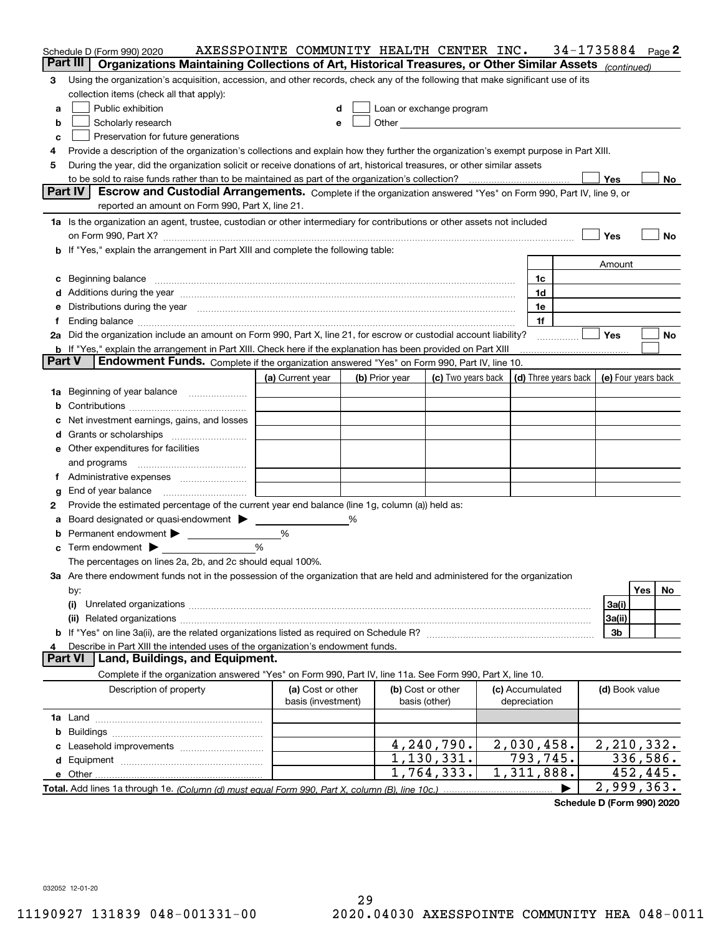|               | 34-1735884<br>AXESSPOINTE COMMUNITY HEALTH CENTER INC.<br>Page 2<br>Schedule D (Form 990) 2020                                       |                    |  |                                                                                                                                                                                                                                |                                                                             |  |                 |                |            |
|---------------|--------------------------------------------------------------------------------------------------------------------------------------|--------------------|--|--------------------------------------------------------------------------------------------------------------------------------------------------------------------------------------------------------------------------------|-----------------------------------------------------------------------------|--|-----------------|----------------|------------|
|               | Organizations Maintaining Collections of Art, Historical Treasures, or Other Similar Assets (continued)<br>Part III                  |                    |  |                                                                                                                                                                                                                                |                                                                             |  |                 |                |            |
| 3             | Using the organization's acquisition, accession, and other records, check any of the following that make significant use of its      |                    |  |                                                                                                                                                                                                                                |                                                                             |  |                 |                |            |
|               | collection items (check all that apply):                                                                                             |                    |  |                                                                                                                                                                                                                                |                                                                             |  |                 |                |            |
| a             | Public exhibition                                                                                                                    | d                  |  | Loan or exchange program                                                                                                                                                                                                       |                                                                             |  |                 |                |            |
| b             | Scholarly research                                                                                                                   | e                  |  | Other and the control of the control of the control of the control of the control of the control of the control of the control of the control of the control of the control of the control of the control of the control of th |                                                                             |  |                 |                |            |
| c             | Preservation for future generations                                                                                                  |                    |  |                                                                                                                                                                                                                                |                                                                             |  |                 |                |            |
| 4             | Provide a description of the organization's collections and explain how they further the organization's exempt purpose in Part XIII. |                    |  |                                                                                                                                                                                                                                |                                                                             |  |                 |                |            |
| 5             | During the year, did the organization solicit or receive donations of art, historical treasures, or other similar assets             |                    |  |                                                                                                                                                                                                                                |                                                                             |  |                 |                |            |
|               |                                                                                                                                      |                    |  |                                                                                                                                                                                                                                |                                                                             |  |                 | Yes            | No         |
|               | Part IV<br>Escrow and Custodial Arrangements. Complete if the organization answered "Yes" on Form 990, Part IV, line 9, or           |                    |  |                                                                                                                                                                                                                                |                                                                             |  |                 |                |            |
|               | reported an amount on Form 990, Part X, line 21.                                                                                     |                    |  |                                                                                                                                                                                                                                |                                                                             |  |                 |                |            |
|               | 1a Is the organization an agent, trustee, custodian or other intermediary for contributions or other assets not included             |                    |  |                                                                                                                                                                                                                                |                                                                             |  |                 |                |            |
|               |                                                                                                                                      |                    |  |                                                                                                                                                                                                                                |                                                                             |  |                 | Yes            | No         |
|               | b If "Yes," explain the arrangement in Part XIII and complete the following table:                                                   |                    |  |                                                                                                                                                                                                                                |                                                                             |  |                 |                |            |
|               |                                                                                                                                      |                    |  |                                                                                                                                                                                                                                |                                                                             |  |                 | Amount         |            |
| c             | Beginning balance <b>contract to the contract of the contract of the contract of the contract of the contract of t</b>               |                    |  |                                                                                                                                                                                                                                |                                                                             |  | 1c<br>1d        |                |            |
| е             |                                                                                                                                      |                    |  |                                                                                                                                                                                                                                |                                                                             |  | 1e              |                |            |
| Ť.            | Distributions during the year measurement contains and all the state of the state of the state of the state of                       |                    |  |                                                                                                                                                                                                                                |                                                                             |  | 1f              |                |            |
|               | 2a Did the organization include an amount on Form 990, Part X, line 21, for escrow or custodial account liability?                   |                    |  |                                                                                                                                                                                                                                |                                                                             |  |                 | <b>Yes</b>     | No         |
|               | b If "Yes," explain the arrangement in Part XIII. Check here if the explanation has been provided on Part XIII                       |                    |  |                                                                                                                                                                                                                                |                                                                             |  |                 |                |            |
| <b>Part V</b> | Endowment Funds. Complete if the organization answered "Yes" on Form 990, Part IV, line 10.                                          |                    |  |                                                                                                                                                                                                                                |                                                                             |  |                 |                |            |
|               |                                                                                                                                      | (a) Current year   |  | (b) Prior year                                                                                                                                                                                                                 | (c) Two years back $\vert$ (d) Three years back $\vert$ (e) Four years back |  |                 |                |            |
|               | 1a Beginning of year balance                                                                                                         |                    |  |                                                                                                                                                                                                                                |                                                                             |  |                 |                |            |
| b             |                                                                                                                                      |                    |  |                                                                                                                                                                                                                                |                                                                             |  |                 |                |            |
|               | Net investment earnings, gains, and losses                                                                                           |                    |  |                                                                                                                                                                                                                                |                                                                             |  |                 |                |            |
| d             |                                                                                                                                      |                    |  |                                                                                                                                                                                                                                |                                                                             |  |                 |                |            |
|               | <b>e</b> Other expenditures for facilities                                                                                           |                    |  |                                                                                                                                                                                                                                |                                                                             |  |                 |                |            |
|               | and programs                                                                                                                         |                    |  |                                                                                                                                                                                                                                |                                                                             |  |                 |                |            |
| Ť.            |                                                                                                                                      |                    |  |                                                                                                                                                                                                                                |                                                                             |  |                 |                |            |
| g             | End of year balance                                                                                                                  |                    |  |                                                                                                                                                                                                                                |                                                                             |  |                 |                |            |
| 2             | Provide the estimated percentage of the current year end balance (line 1g, column (a)) held as:                                      |                    |  |                                                                                                                                                                                                                                |                                                                             |  |                 |                |            |
| а             | Board designated or quasi-endowment >                                                                                                |                    |  |                                                                                                                                                                                                                                |                                                                             |  |                 |                |            |
| b             | Permanent endowment                                                                                                                  | %                  |  |                                                                                                                                                                                                                                |                                                                             |  |                 |                |            |
| c             | Term endowment $\blacktriangleright$                                                                                                 | %                  |  |                                                                                                                                                                                                                                |                                                                             |  |                 |                |            |
|               | The percentages on lines 2a, 2b, and 2c should equal 100%.                                                                           |                    |  |                                                                                                                                                                                                                                |                                                                             |  |                 |                |            |
|               | 3a Are there endowment funds not in the possession of the organization that are held and administered for the organization           |                    |  |                                                                                                                                                                                                                                |                                                                             |  |                 |                |            |
|               | by:                                                                                                                                  |                    |  |                                                                                                                                                                                                                                |                                                                             |  |                 |                | Yes<br>No  |
|               | (i)                                                                                                                                  |                    |  |                                                                                                                                                                                                                                |                                                                             |  |                 | 3a(i)          |            |
|               |                                                                                                                                      |                    |  |                                                                                                                                                                                                                                |                                                                             |  |                 | 3a(ii)         |            |
|               |                                                                                                                                      |                    |  |                                                                                                                                                                                                                                |                                                                             |  |                 | 3b             |            |
| 4             | Describe in Part XIII the intended uses of the organization's endowment funds.<br>Land, Buildings, and Equipment.<br><b>Part VI</b>  |                    |  |                                                                                                                                                                                                                                |                                                                             |  |                 |                |            |
|               |                                                                                                                                      |                    |  |                                                                                                                                                                                                                                |                                                                             |  |                 |                |            |
|               | Complete if the organization answered "Yes" on Form 990, Part IV, line 11a. See Form 990, Part X, line 10.                           | (a) Cost or other  |  |                                                                                                                                                                                                                                |                                                                             |  | (c) Accumulated |                |            |
|               | Description of property                                                                                                              | basis (investment) |  | (b) Cost or other<br>basis (other)                                                                                                                                                                                             |                                                                             |  | depreciation    | (d) Book value |            |
|               |                                                                                                                                      |                    |  |                                                                                                                                                                                                                                |                                                                             |  |                 |                |            |
|               |                                                                                                                                      |                    |  |                                                                                                                                                                                                                                |                                                                             |  |                 |                |            |
| c             |                                                                                                                                      |                    |  |                                                                                                                                                                                                                                | 4,240,790.                                                                  |  | 2,030,458.      |                | 2,210,332. |
|               |                                                                                                                                      |                    |  |                                                                                                                                                                                                                                | 1, 130, 331.                                                                |  | 793,745.        |                | 336,586.   |
|               |                                                                                                                                      |                    |  |                                                                                                                                                                                                                                | 1,764,333.                                                                  |  | 1,311,888.      |                | 452,445.   |
|               |                                                                                                                                      |                    |  |                                                                                                                                                                                                                                |                                                                             |  |                 |                | 2,999,363. |
|               |                                                                                                                                      |                    |  |                                                                                                                                                                                                                                |                                                                             |  |                 |                |            |

**Schedule D (Form 990) 2020**

032052 12-01-20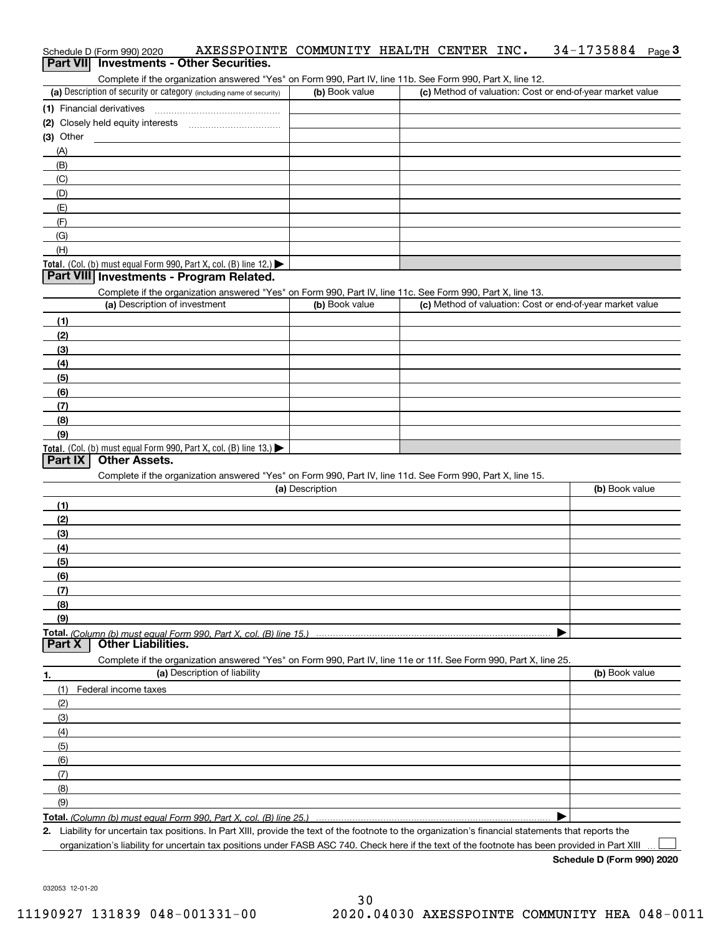| Schedule D (Form 990) 2020 | AXESSPOINTE COMMUNITY HEALTH CENTER INC. |  |  | $34 - 1735884$ Page 3 |  |
|----------------------------|------------------------------------------|--|--|-----------------------|--|
|                            | Part VII Investments - Other Securities. |  |  |                       |  |

Complete if the organization answered "Yes" on Form 990, Part IV, line 11b. See Form 990, Part X, line 12.

| (a) Description of security or category (including name of security)                   | (b) Book value | (c) Method of valuation: Cost or end-of-year market value |
|----------------------------------------------------------------------------------------|----------------|-----------------------------------------------------------|
| (1) Financial derivatives                                                              |                |                                                           |
| (2) Closely held equity interests                                                      |                |                                                           |
| $(3)$ Other                                                                            |                |                                                           |
| (A)                                                                                    |                |                                                           |
| (B)                                                                                    |                |                                                           |
| (C)                                                                                    |                |                                                           |
| (D)                                                                                    |                |                                                           |
| (E)                                                                                    |                |                                                           |
| (F)                                                                                    |                |                                                           |
| (G)                                                                                    |                |                                                           |
| (H)                                                                                    |                |                                                           |
| Total. (Col. (b) must equal Form 990, Part X, col. (B) line 12.) $\blacktriangleright$ |                |                                                           |

### **Part VIII Investments - Program Related.**

Complete if the organization answered "Yes" on Form 990, Part IV, line 11c. See Form 990, Part X, line 13.

| (a) Description of investment                                                          | (b) Book value | (c) Method of valuation: Cost or end-of-year market value |
|----------------------------------------------------------------------------------------|----------------|-----------------------------------------------------------|
| (1)                                                                                    |                |                                                           |
| (2)                                                                                    |                |                                                           |
| $\frac{1}{2}$                                                                          |                |                                                           |
| (4)                                                                                    |                |                                                           |
| (5)                                                                                    |                |                                                           |
| (6)                                                                                    |                |                                                           |
| (7)                                                                                    |                |                                                           |
| (8)                                                                                    |                |                                                           |
| (9)                                                                                    |                |                                                           |
| Total. (Col. (b) must equal Form 990, Part X, col. (B) line 13.) $\blacktriangleright$ |                |                                                           |

## **Part IX Other Assets.**

Complete if the organization answered "Yes" on Form 990, Part IV, line 11d. See Form 990, Part X, line 15.

| (a) Description                                                                                                                           | (b) Book value                                                       |
|-------------------------------------------------------------------------------------------------------------------------------------------|----------------------------------------------------------------------|
| (1)                                                                                                                                       |                                                                      |
| (2)                                                                                                                                       |                                                                      |
| $\qquad \qquad (3)$                                                                                                                       |                                                                      |
| (4)                                                                                                                                       |                                                                      |
| (5)                                                                                                                                       |                                                                      |
| (6)                                                                                                                                       |                                                                      |
| (7)                                                                                                                                       |                                                                      |
| (8)                                                                                                                                       |                                                                      |
| (9)                                                                                                                                       |                                                                      |
|                                                                                                                                           |                                                                      |
| <b>Part X</b> Other Liabilities.                                                                                                          |                                                                      |
| Complete if the organization answered "Yes" on Form 990, Part IV, line 11e or 11f. See Form 990, Part X, line 25.                         |                                                                      |
| $\mathcal{L} = \mathbf{V}$ . The second set of second the field of the second set of the second second set of $\mathcal{L} = \mathcal{L}$ | $\mathbf{A}$ . A $\mathbf{B}$ and the set of the set of $\mathbf{A}$ |

| 1.                | (a) Description of liability | (b) Book value |
|-------------------|------------------------------|----------------|
| (1)               | Federal income taxes         |                |
| (2)               |                              |                |
| (3)               |                              |                |
| (4)               |                              |                |
| (5)               |                              |                |
| (6)               |                              |                |
| $\left( 7\right)$ |                              |                |
| (8)               |                              |                |
| (9)               |                              |                |
|                   |                              |                |

*(Column (b) must equal Form 990, Part X, col. (B) line 25.)* 

**2.**Liability for uncertain tax positions. In Part XIII, provide the text of the footnote to the organization's financial statements that reports the organization's liability for uncertain tax positions under FASB ASC 740. Check here if the text of the footnote has been provided in Part XIII

**Schedule D (Form 990) 2020**

 $\mathcal{L}^{\text{max}}$ 

032053 12-01-20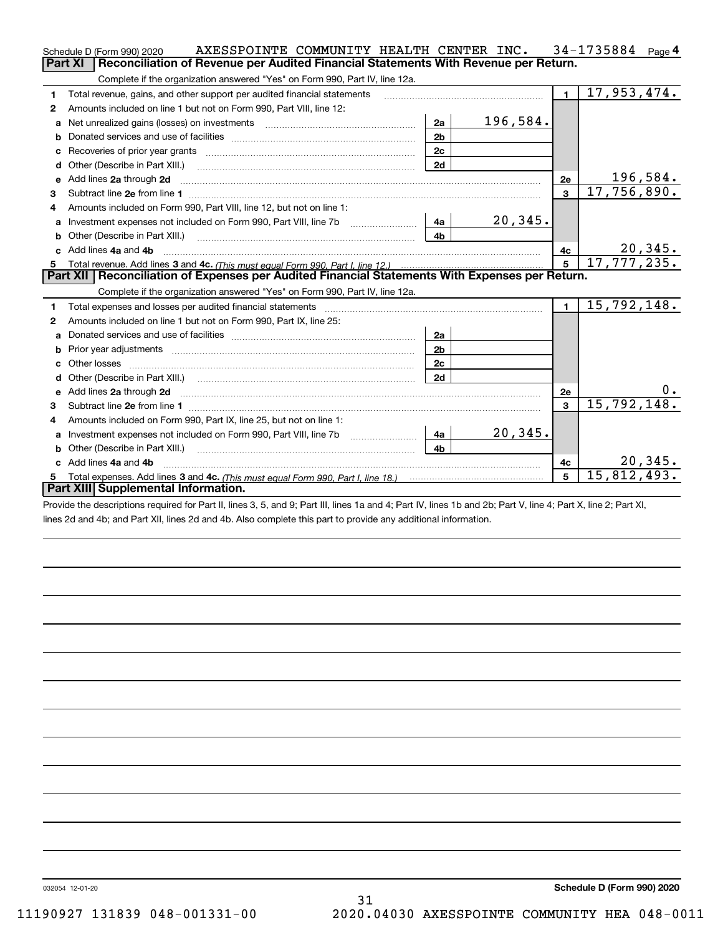|    | AXESSPOINTE COMMUNITY HEALTH CENTER INC.<br>Schedule D (Form 990) 2020                                                     |                |          |                | $34 - 1735884$ Page 4 |
|----|----------------------------------------------------------------------------------------------------------------------------|----------------|----------|----------------|-----------------------|
|    | Reconciliation of Revenue per Audited Financial Statements With Revenue per Return.<br><b>Part XI</b>                      |                |          |                |                       |
|    | Complete if the organization answered "Yes" on Form 990, Part IV, line 12a.                                                |                |          |                |                       |
| 1  | Total revenue, gains, and other support per audited financial statements                                                   |                |          | $\blacksquare$ | 17,953,474.           |
| 2  | Amounts included on line 1 but not on Form 990, Part VIII, line 12:                                                        |                |          |                |                       |
| a  | Net unrealized gains (losses) on investments [11] matter contracts and the unrealized gains (losses) on investments        | 2a             | 196,584. |                |                       |
| b  |                                                                                                                            | 2 <sub>b</sub> |          |                |                       |
|    |                                                                                                                            | 2c             |          |                |                       |
| d  |                                                                                                                            | 2d             |          |                |                       |
| е  | Add lines 2a through 2d                                                                                                    |                |          | 2e             | 196,584.              |
| 3  |                                                                                                                            |                |          | $\mathbf{3}$   | 17,756,890.           |
| 4  | Amounts included on Form 990, Part VIII, line 12, but not on line 1:                                                       |                |          |                |                       |
|    |                                                                                                                            | 4a             | 20, 345. |                |                       |
| b  |                                                                                                                            | 4 <sub>b</sub> |          |                |                       |
|    | c Add lines 4a and 4b                                                                                                      |                |          | 4c             | <u>20,345.</u>        |
|    |                                                                                                                            |                |          | 5              | 17, 777, 235.         |
|    |                                                                                                                            |                |          |                |                       |
|    | Part XII   Reconciliation of Expenses per Audited Financial Statements With Expenses per Return.                           |                |          |                |                       |
|    | Complete if the organization answered "Yes" on Form 990, Part IV, line 12a.                                                |                |          |                |                       |
| 1  | Total expenses and losses per audited financial statements                                                                 |                |          | $\blacksquare$ | 15,792,148.           |
| 2  | Amounts included on line 1 but not on Form 990, Part IX, line 25:                                                          |                |          |                |                       |
| a  |                                                                                                                            | 2a             |          |                |                       |
| b  |                                                                                                                            | 2 <sub>b</sub> |          |                |                       |
| c. |                                                                                                                            | 2c             |          |                |                       |
| d  | Other (Describe in Part XIII.) (COLORGIAL CONSERVISTION) (CONSERVISTION)                                                   | 2d             |          |                |                       |
|    |                                                                                                                            |                |          | 2e             | О.                    |
| 3  | Subtract line 2e from line 1 <b>manufacture in the contract of the 2e</b> from line 1                                      |                |          | 3              | 15,792,148.           |
| 4  | Amounts included on Form 990, Part IX, line 25, but not on line 1:                                                         |                |          |                |                       |
| a  |                                                                                                                            | 4a             | 20, 345. |                |                       |
| b  | Other (Describe in Part XIII.) <b>Construction Contract Construction</b> Chemistry Chemistry Chemistry Chemistry Chemistry | 4 <sub>b</sub> |          |                |                       |
|    | c Add lines 4a and 4b                                                                                                      |                |          | 4c             | 20, 345.              |
|    | Part XIII Supplemental Information.                                                                                        |                |          | 5              | 15,812,493.           |

Provide the descriptions required for Part II, lines 3, 5, and 9; Part III, lines 1a and 4; Part IV, lines 1b and 2b; Part V, line 4; Part X, line 2; Part XI, lines 2d and 4b; and Part XII, lines 2d and 4b. Also complete this part to provide any additional information.

032054 12-01-20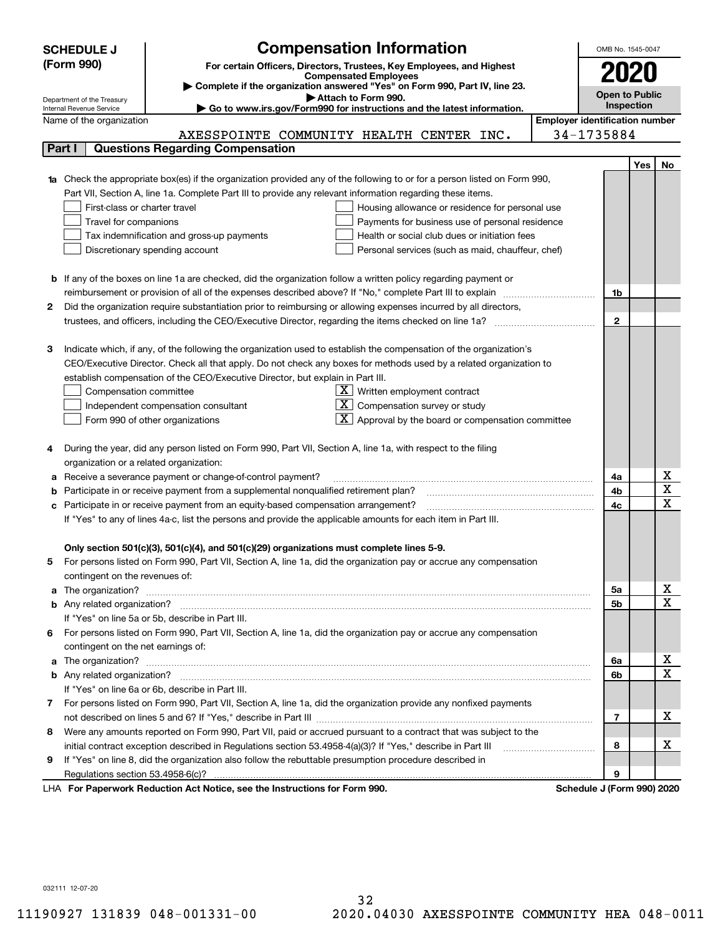|        | <b>SCHEDULE J</b>                                      | <b>Compensation Information</b>                                                                                           |                                       | OMB No. 1545-0047     |                   |                         |
|--------|--------------------------------------------------------|---------------------------------------------------------------------------------------------------------------------------|---------------------------------------|-----------------------|-------------------|-------------------------|
|        | (Form 990)                                             |                                                                                                                           |                                       |                       |                   |                         |
|        |                                                        | For certain Officers, Directors, Trustees, Key Employees, and Highest<br><b>Compensated Employees</b>                     |                                       | 2020                  |                   |                         |
|        |                                                        | Complete if the organization answered "Yes" on Form 990, Part IV, line 23.                                                |                                       |                       |                   |                         |
|        | Department of the Treasury<br>Internal Revenue Service | Attach to Form 990.                                                                                                       |                                       | <b>Open to Public</b> | <b>Inspection</b> |                         |
|        | Name of the organization                               | Go to www.irs.gov/Form990 for instructions and the latest information.                                                    | <b>Employer identification number</b> |                       |                   |                         |
|        |                                                        | AXESSPOINTE COMMUNITY HEALTH CENTER INC.                                                                                  | 34-1735884                            |                       |                   |                         |
| Part I |                                                        | <b>Questions Regarding Compensation</b>                                                                                   |                                       |                       |                   |                         |
|        |                                                        |                                                                                                                           |                                       |                       | Yes               | No                      |
|        |                                                        | 1a Check the appropriate box(es) if the organization provided any of the following to or for a person listed on Form 990, |                                       |                       |                   |                         |
|        |                                                        | Part VII, Section A, line 1a. Complete Part III to provide any relevant information regarding these items.                |                                       |                       |                   |                         |
|        | First-class or charter travel                          | Housing allowance or residence for personal use                                                                           |                                       |                       |                   |                         |
|        | Travel for companions                                  | Payments for business use of personal residence                                                                           |                                       |                       |                   |                         |
|        |                                                        | Tax indemnification and gross-up payments<br>Health or social club dues or initiation fees                                |                                       |                       |                   |                         |
|        |                                                        | Discretionary spending account<br>Personal services (such as maid, chauffeur, chef)                                       |                                       |                       |                   |                         |
|        |                                                        |                                                                                                                           |                                       |                       |                   |                         |
|        |                                                        | <b>b</b> If any of the boxes on line 1a are checked, did the organization follow a written policy regarding payment or    |                                       |                       |                   |                         |
|        |                                                        | reimbursement or provision of all of the expenses described above? If "No," complete Part III to explain                  |                                       | 1b                    |                   |                         |
| 2      |                                                        | Did the organization require substantiation prior to reimbursing or allowing expenses incurred by all directors,          |                                       |                       |                   |                         |
|        |                                                        | trustees, and officers, including the CEO/Executive Director, regarding the items checked on line 1a?                     |                                       | $\mathbf{2}$          |                   |                         |
|        |                                                        |                                                                                                                           |                                       |                       |                   |                         |
| З      |                                                        | Indicate which, if any, of the following the organization used to establish the compensation of the organization's        |                                       |                       |                   |                         |
|        |                                                        | CEO/Executive Director. Check all that apply. Do not check any boxes for methods used by a related organization to        |                                       |                       |                   |                         |
|        |                                                        | establish compensation of the CEO/Executive Director, but explain in Part III.                                            |                                       |                       |                   |                         |
|        | Compensation committee                                 | $X$ Written employment contract                                                                                           |                                       |                       |                   |                         |
|        |                                                        | $X$ Compensation survey or study<br>Independent compensation consultant                                                   |                                       |                       |                   |                         |
|        |                                                        | $\lfloor \underline{X} \rfloor$ Approval by the board or compensation committee<br>Form 990 of other organizations        |                                       |                       |                   |                         |
|        |                                                        |                                                                                                                           |                                       |                       |                   |                         |
|        |                                                        | During the year, did any person listed on Form 990, Part VII, Section A, line 1a, with respect to the filing              |                                       |                       |                   |                         |
|        | organization or a related organization:                |                                                                                                                           |                                       |                       |                   |                         |
| а      |                                                        | Receive a severance payment or change-of-control payment?                                                                 |                                       | 4a                    |                   | х                       |
| b      |                                                        | Participate in or receive payment from a supplemental nonqualified retirement plan?                                       |                                       | 4b                    |                   | $\overline{\texttt{x}}$ |
| с      |                                                        | Participate in or receive payment from an equity-based compensation arrangement?                                          |                                       | 4c                    |                   | $\overline{\text{x}}$   |
|        |                                                        | If "Yes" to any of lines 4a-c, list the persons and provide the applicable amounts for each item in Part III.             |                                       |                       |                   |                         |
|        |                                                        |                                                                                                                           |                                       |                       |                   |                         |
|        |                                                        | Only section 501(c)(3), 501(c)(4), and 501(c)(29) organizations must complete lines 5-9.                                  |                                       |                       |                   |                         |
|        |                                                        | For persons listed on Form 990, Part VII, Section A, line 1a, did the organization pay or accrue any compensation         |                                       |                       |                   |                         |
|        | contingent on the revenues of:                         |                                                                                                                           |                                       |                       |                   |                         |
| а      |                                                        |                                                                                                                           |                                       | 5а                    |                   | x                       |
|        |                                                        |                                                                                                                           |                                       | <b>5b</b>             |                   | $\overline{\text{x}}$   |
|        |                                                        | If "Yes" on line 5a or 5b, describe in Part III.                                                                          |                                       |                       |                   |                         |
| 6.     |                                                        | For persons listed on Form 990, Part VII, Section A, line 1a, did the organization pay or accrue any compensation         |                                       |                       |                   |                         |
|        | contingent on the net earnings of:                     |                                                                                                                           |                                       |                       |                   |                         |
| a      |                                                        |                                                                                                                           |                                       | 6a                    |                   | x                       |
|        |                                                        |                                                                                                                           |                                       | 6b                    |                   | $\overline{\text{x}}$   |
|        |                                                        | If "Yes" on line 6a or 6b, describe in Part III.                                                                          |                                       |                       |                   |                         |
|        |                                                        | 7 For persons listed on Form 990, Part VII, Section A, line 1a, did the organization provide any nonfixed payments        |                                       |                       |                   |                         |
|        |                                                        |                                                                                                                           |                                       | 7                     |                   | х                       |
| 8      |                                                        | Were any amounts reported on Form 990, Part VII, paid or accrued pursuant to a contract that was subject to the           |                                       |                       |                   |                         |
|        |                                                        | initial contract exception described in Regulations section 53.4958-4(a)(3)? If "Yes," describe in Part III               |                                       | 8                     |                   | x                       |
| 9      |                                                        | If "Yes" on line 8, did the organization also follow the rebuttable presumption procedure described in                    |                                       |                       |                   |                         |
|        |                                                        |                                                                                                                           |                                       | 9                     |                   |                         |
|        |                                                        | sucely Deduction Act Nation, one the Instructions for Form 000                                                            | <b>Cohodule I</b> (Found              |                       |                   |                         |

LHA For Paperwork Reduction Act Notice, see the Instructions for Form 990. Schedule J (Form 990) 2020

032111 12-07-20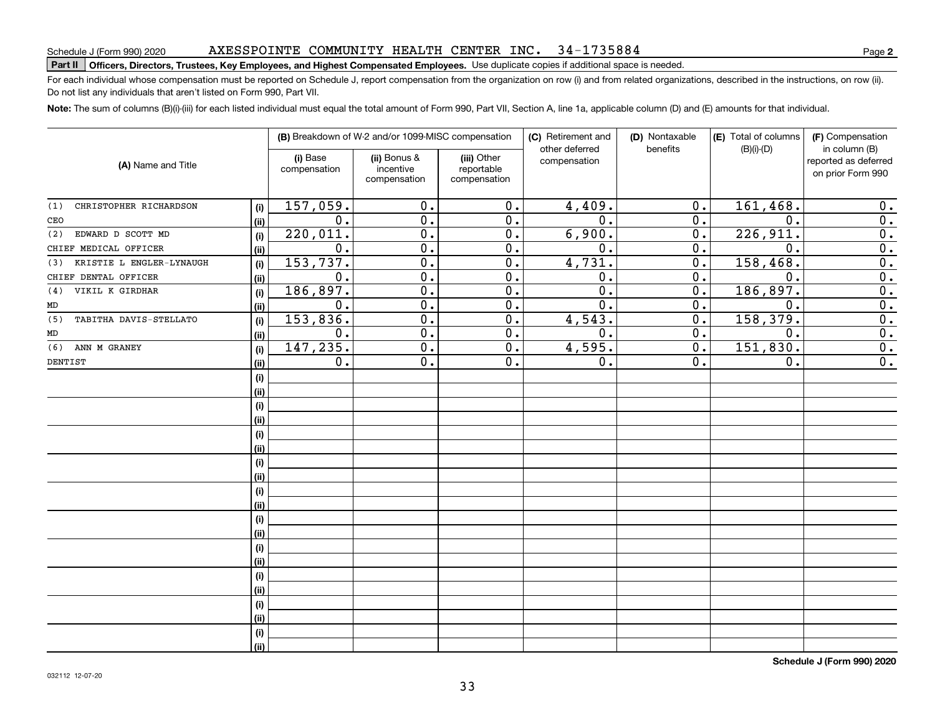### AXESSPOINTE COMMUNITY HEALTH CENTER INC. 34-1735884

# Schedule J (Form 990) 2020 AXESSPOTNTE COMMUNTTY HEALTH CENTER INC 34 – I / 35884<br>Part II | Officers, Directors, Trustees, Key Employees, and Highest Compensated Employees. Use duplicate copies

For each individual whose compensation must be reported on Schedule J, report compensation from the organization on row (i) and from related organizations, described in the instructions, on row (ii). Do not list any individuals that aren't listed on Form 990, Part VII.

**Note:**  The sum of columns (B)(i)-(iii) for each listed individual must equal the total amount of Form 990, Part VII, Section A, line 1a, applicable column (D) and (E) amounts for that individual.

|                                 |      |                          | (B) Breakdown of W-2 and/or 1099-MISC compensation |                                           | (C) Retirement and<br>other deferred | (D) Nontaxable<br>benefits | (E) Total of columns<br>$(B)(i)-(D)$ | (F) Compensation<br>in column (B)         |
|---------------------------------|------|--------------------------|----------------------------------------------------|-------------------------------------------|--------------------------------------|----------------------------|--------------------------------------|-------------------------------------------|
| (A) Name and Title              |      | (i) Base<br>compensation | (ii) Bonus &<br>incentive<br>compensation          | (iii) Other<br>reportable<br>compensation | compensation                         |                            |                                      | reported as deferred<br>on prior Form 990 |
| CHRISTOPHER RICHARDSON<br>(1)   | (i)  | 157,059.                 | 0.                                                 | 0.                                        | 4,409.                               | 0.                         | 161,468.                             | 0.                                        |
| CEO                             | (ii) | 0.                       | 0.                                                 | $\overline{0}$ .                          | $\overline{0}$ .                     | 0.                         | 0.                                   | $\overline{0}$ .                          |
| EDWARD D SCOTT MD<br>(2)        | (i)  | 220,011.                 | $\overline{0}$ .                                   | $\overline{0}$ .                          | 6,900.                               | 0.                         | 226,911.                             | $\overline{0}$ .                          |
| CHIEF MEDICAL OFFICER           | (ii) | $\overline{0}$ .         | $\overline{0}$ .                                   | $\overline{0}$ .                          | $\overline{0}$ .                     | $\overline{0}$ .           | $\mathbf 0$ .                        | $\overline{0}$ .                          |
| KRISTIE L ENGLER-LYNAUGH<br>(3) | (i)  | 153,737.                 | $\overline{0}$ .                                   | $\overline{0}$ .                          | 4,731.                               | $\overline{0}$ .           | 158, 468.                            | $\overline{0}$ .                          |
| CHIEF DENTAL OFFICER            | (ii) | $\overline{0}$ .         | $\overline{0}$ .                                   | $\overline{0}$ .                          | $\overline{0}$ .                     | 0.                         | 0.                                   | $\overline{0}$ .                          |
| VIKIL K GIRDHAR<br>(4)          | (i)  | 186, 897.                | $\overline{0}$ .                                   | $\overline{0}$ .                          | $\overline{0}$ .                     | 0.                         | 186, 897.                            | $\overline{0}$ .                          |
| $\mathop{\mathtt{MD}}$          | (ii) | 0.                       | $\overline{0}$ .                                   | $\overline{0}$ .                          | 0.                                   | 0.                         | 0.                                   | $\overline{0}$ .                          |
| (5)<br>TABITHA DAVIS-STELLATO   | (i)  | 153,836.                 | 0.                                                 | 0.                                        | 4,543.                               | 0.                         | 158,379.                             | $\overline{0}$ .                          |
| MD                              | (ii) | 0.                       | 0.                                                 | 0.                                        | 0.                                   | 0.                         | $\mathbf 0$ .                        | $\overline{0}$ .                          |
| (6)<br>ANN M GRANEY             | (i)  | 147, 235.                | $\overline{0}$ .                                   | $\overline{0}$ .                          | 4,595.                               | $\overline{0}$ .           | 151,830.                             | $\overline{0}$ .                          |
| DENTIST                         | (ii) | 0.                       | $\overline{0}$ .                                   | $\overline{0}$ .                          | 0.                                   | $\overline{0}$ .           | 0.                                   | $\overline{0}$ .                          |
|                                 | (i)  |                          |                                                    |                                           |                                      |                            |                                      |                                           |
|                                 | (ii) |                          |                                                    |                                           |                                      |                            |                                      |                                           |
|                                 | (i)  |                          |                                                    |                                           |                                      |                            |                                      |                                           |
|                                 | (ii) |                          |                                                    |                                           |                                      |                            |                                      |                                           |
|                                 | (i)  |                          |                                                    |                                           |                                      |                            |                                      |                                           |
|                                 | (ii) |                          |                                                    |                                           |                                      |                            |                                      |                                           |
|                                 | (i)  |                          |                                                    |                                           |                                      |                            |                                      |                                           |
|                                 | (ii) |                          |                                                    |                                           |                                      |                            |                                      |                                           |
|                                 | (i)  |                          |                                                    |                                           |                                      |                            |                                      |                                           |
|                                 | (ii) |                          |                                                    |                                           |                                      |                            |                                      |                                           |
|                                 | (i)  |                          |                                                    |                                           |                                      |                            |                                      |                                           |
|                                 | (ii) |                          |                                                    |                                           |                                      |                            |                                      |                                           |
|                                 | (i)  |                          |                                                    |                                           |                                      |                            |                                      |                                           |
|                                 | (ii) |                          |                                                    |                                           |                                      |                            |                                      |                                           |
|                                 | (i)  |                          |                                                    |                                           |                                      |                            |                                      |                                           |
|                                 | (ii) |                          |                                                    |                                           |                                      |                            |                                      |                                           |
|                                 | (i)  |                          |                                                    |                                           |                                      |                            |                                      |                                           |
|                                 | (ii) |                          |                                                    |                                           |                                      |                            |                                      |                                           |
|                                 | (i)  |                          |                                                    |                                           |                                      |                            |                                      |                                           |
|                                 | (ii) |                          |                                                    |                                           |                                      |                            |                                      |                                           |

**Schedule J (Form 990) 2020**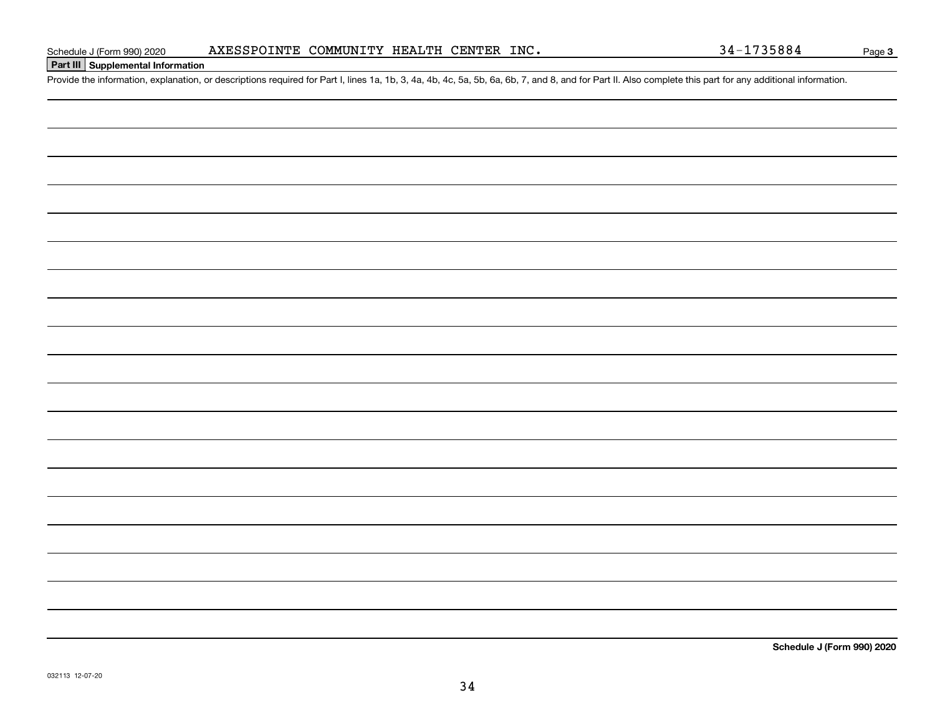# **Part III Supplemental Information**

Schedule J (Form 990) 2020 AXESSPOINTE COMMUNITY HEALTH CENTER INC.<br>Part III Supplemental Information<br>Provide the information, explanation, or descriptions required for Part I, lines 1a, 1b, 3, 4a, 4b, 4c, 5a, 5b, 6a, 6b,

**Schedule J (Form 990) 2020**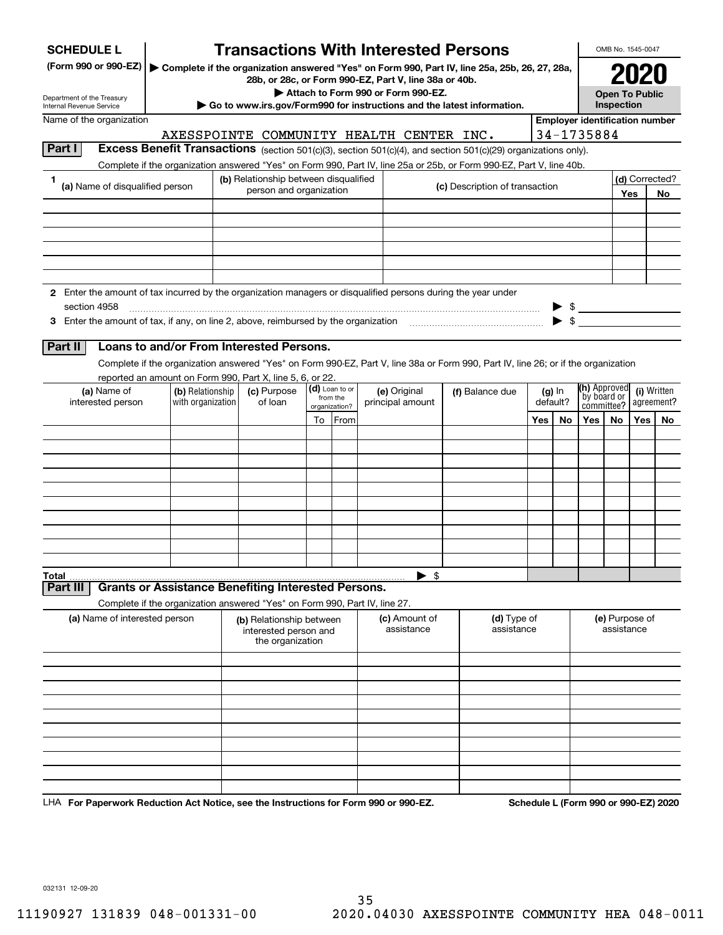| <b>SCHEDULE L</b>                                                                                                                  |                                       | <b>Transactions With Interested Persons</b>                           |                            |                                    |                                                                                               |     |                          |                                       | OMB No. 1545-0047            |      |                           |
|------------------------------------------------------------------------------------------------------------------------------------|---------------------------------------|-----------------------------------------------------------------------|----------------------------|------------------------------------|-----------------------------------------------------------------------------------------------|-----|--------------------------|---------------------------------------|------------------------------|------|---------------------------|
| (Form 990 or 990-EZ)                                                                                                               |                                       | 28b, or 28c, or Form 990-EZ, Part V, line 38a or 40b.                 |                            |                                    | Complete if the organization answered "Yes" on Form 990, Part IV, line 25a, 25b, 26, 27, 28a, |     |                          |                                       |                              | 2021 |                           |
| Department of the Treasury                                                                                                         |                                       |                                                                       |                            | Attach to Form 990 or Form 990-EZ. |                                                                                               |     |                          |                                       | <b>Open To Public</b>        |      |                           |
| Internal Revenue Service                                                                                                           |                                       |                                                                       |                            |                                    | Go to www.irs.gov/Form990 for instructions and the latest information.                        |     |                          |                                       | Inspection                   |      |                           |
| Name of the organization                                                                                                           |                                       |                                                                       |                            |                                    |                                                                                               |     |                          | <b>Employer identification number</b> |                              |      |                           |
|                                                                                                                                    |                                       | AXESSPOINTE COMMUNITY HEALTH CENTER INC.                              |                            |                                    |                                                                                               |     |                          | 34-1735884                            |                              |      |                           |
| Part I<br>Excess Benefit Transactions (section 501(c)(3), section 501(c)(4), and section 501(c)(29) organizations only).           |                                       |                                                                       |                            |                                    |                                                                                               |     |                          |                                       |                              |      |                           |
| Complete if the organization answered "Yes" on Form 990, Part IV, line 25a or 25b, or Form 990-EZ, Part V, line 40b.               |                                       |                                                                       |                            |                                    |                                                                                               |     |                          |                                       |                              |      |                           |
| 1<br>(a) Name of disqualified person                                                                                               |                                       | (b) Relationship between disqualified<br>person and organization      |                            |                                    | (c) Description of transaction                                                                |     |                          |                                       |                              | Yes  | (d) Corrected?<br>No.     |
|                                                                                                                                    |                                       |                                                                       |                            |                                    |                                                                                               |     |                          |                                       |                              |      |                           |
|                                                                                                                                    |                                       |                                                                       |                            |                                    |                                                                                               |     |                          |                                       |                              |      |                           |
|                                                                                                                                    |                                       |                                                                       |                            |                                    |                                                                                               |     |                          |                                       |                              |      |                           |
|                                                                                                                                    |                                       |                                                                       |                            |                                    |                                                                                               |     |                          |                                       |                              |      |                           |
|                                                                                                                                    |                                       |                                                                       |                            |                                    |                                                                                               |     |                          |                                       |                              |      |                           |
|                                                                                                                                    |                                       |                                                                       |                            |                                    |                                                                                               |     |                          |                                       |                              |      |                           |
| 2 Enter the amount of tax incurred by the organization managers or disqualified persons during the year under                      |                                       |                                                                       |                            |                                    |                                                                                               |     |                          |                                       |                              |      |                           |
| section 4958                                                                                                                       |                                       |                                                                       |                            |                                    |                                                                                               |     |                          |                                       |                              |      |                           |
| 3 Enter the amount of tax, if any, on line 2, above, reimbursed by the organization                                                |                                       |                                                                       |                            |                                    |                                                                                               |     | $\blacktriangleright$ \$ |                                       |                              |      |                           |
|                                                                                                                                    |                                       |                                                                       |                            |                                    |                                                                                               |     |                          |                                       |                              |      |                           |
| Loans to and/or From Interested Persons.<br>Part II                                                                                |                                       |                                                                       |                            |                                    |                                                                                               |     |                          |                                       |                              |      |                           |
| Complete if the organization answered "Yes" on Form 990-EZ, Part V, line 38a or Form 990, Part IV, line 26; or if the organization |                                       |                                                                       |                            |                                    |                                                                                               |     |                          |                                       |                              |      |                           |
| reported an amount on Form 990, Part X, line 5, 6, or 22.                                                                          |                                       |                                                                       |                            |                                    |                                                                                               |     |                          | (h) Approved                          |                              |      |                           |
| (a) Name of<br>interested person                                                                                                   | (b) Relationship<br>with organization | (c) Purpose<br>of loan                                                | (d) Loan to or<br>from the | (e) Original<br>principal amount   | (f) Balance due                                                                               |     | $(g)$ In<br>default?     | by board or                           |                              |      | (i) Written<br>agreement? |
|                                                                                                                                    |                                       |                                                                       | organization?              |                                    |                                                                                               |     |                          | committee?                            |                              |      |                           |
|                                                                                                                                    |                                       |                                                                       | To From                    |                                    |                                                                                               | Yes | No                       | Yes                                   | No.                          | Yes  | No.                       |
|                                                                                                                                    |                                       |                                                                       |                            |                                    |                                                                                               |     |                          |                                       |                              |      |                           |
|                                                                                                                                    |                                       |                                                                       |                            |                                    |                                                                                               |     |                          |                                       |                              |      |                           |
|                                                                                                                                    |                                       |                                                                       |                            |                                    |                                                                                               |     |                          |                                       |                              |      |                           |
|                                                                                                                                    |                                       |                                                                       |                            |                                    |                                                                                               |     |                          |                                       |                              |      |                           |
|                                                                                                                                    |                                       |                                                                       |                            |                                    |                                                                                               |     |                          |                                       |                              |      |                           |
|                                                                                                                                    |                                       |                                                                       |                            |                                    |                                                                                               |     |                          |                                       |                              |      |                           |
|                                                                                                                                    |                                       |                                                                       |                            |                                    |                                                                                               |     |                          |                                       |                              |      |                           |
|                                                                                                                                    |                                       |                                                                       |                            |                                    |                                                                                               |     |                          |                                       |                              |      |                           |
|                                                                                                                                    |                                       |                                                                       |                            |                                    |                                                                                               |     |                          |                                       |                              |      |                           |
| Total                                                                                                                              |                                       |                                                                       |                            | $\blacktriangleright$ \$           |                                                                                               |     |                          |                                       |                              |      |                           |
| Part III<br><b>Grants or Assistance Benefiting Interested Persons.</b>                                                             |                                       |                                                                       |                            |                                    |                                                                                               |     |                          |                                       |                              |      |                           |
| Complete if the organization answered "Yes" on Form 990, Part IV, line 27.                                                         |                                       |                                                                       |                            |                                    |                                                                                               |     |                          |                                       |                              |      |                           |
| (a) Name of interested person                                                                                                      |                                       | (b) Relationship between<br>interested person and<br>the organization |                            | (c) Amount of<br>assistance        | (d) Type of<br>assistance                                                                     |     |                          |                                       | (e) Purpose of<br>assistance |      |                           |
|                                                                                                                                    |                                       |                                                                       |                            |                                    |                                                                                               |     |                          |                                       |                              |      |                           |
|                                                                                                                                    |                                       |                                                                       |                            |                                    |                                                                                               |     |                          |                                       |                              |      |                           |
|                                                                                                                                    |                                       |                                                                       |                            |                                    |                                                                                               |     |                          |                                       |                              |      |                           |
|                                                                                                                                    |                                       |                                                                       |                            |                                    |                                                                                               |     |                          |                                       |                              |      |                           |
|                                                                                                                                    |                                       |                                                                       |                            |                                    |                                                                                               |     |                          |                                       |                              |      |                           |
|                                                                                                                                    |                                       |                                                                       |                            |                                    |                                                                                               |     |                          |                                       |                              |      |                           |
|                                                                                                                                    |                                       |                                                                       |                            |                                    |                                                                                               |     |                          |                                       |                              |      |                           |
|                                                                                                                                    |                                       |                                                                       |                            |                                    |                                                                                               |     |                          |                                       |                              |      |                           |
|                                                                                                                                    |                                       |                                                                       |                            |                                    |                                                                                               |     |                          |                                       |                              |      |                           |
|                                                                                                                                    |                                       |                                                                       |                            |                                    |                                                                                               |     |                          |                                       |                              |      |                           |
| LHA For Paperwork Reduction Act Notice, see the Instructions for Form 990 or 990-EZ.                                               |                                       |                                                                       |                            |                                    |                                                                                               |     |                          | Schedule L (Form 990 or 990-EZ) 2020  |                              |      |                           |

032131 12-09-20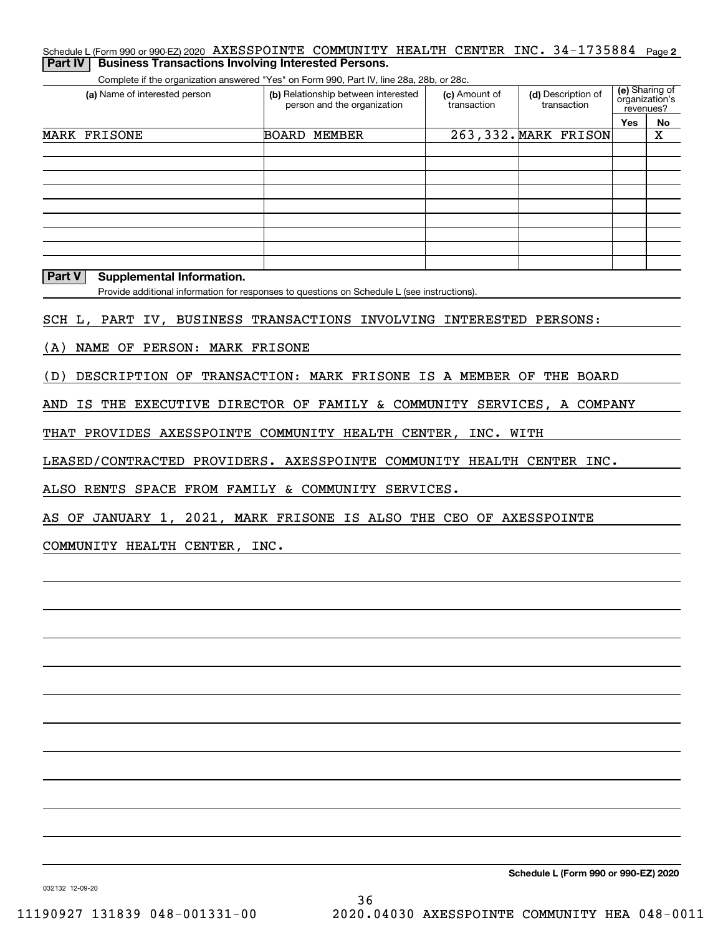## Schedule L (Form 990 or 990-EZ) 2020  $\,$  <code>AXESSPOINTE COMMUNITY HEALTH CENTER INC. 34-1735884  $\,$  Page 2</code> **Part IV | Business Transactions Involving Interested Persons.**

Complete if the organization answered "Yes" on Form 990, Part IV, line 28a, 28b, or 28c.

| (a) Name of interested person | (b) Relationship between interested<br>person and the organization | (c) Amount of<br>transaction | (d) Description of<br>transaction |            | (e) Sharing of<br>organization's<br>revenues? |
|-------------------------------|--------------------------------------------------------------------|------------------------------|-----------------------------------|------------|-----------------------------------------------|
|                               |                                                                    |                              |                                   | <b>Yes</b> | No                                            |
| MARK FRISONE                  | <b>BOARD</b><br>MEMBER                                             |                              | 263,332. MARK FRISON              |            | х                                             |
|                               |                                                                    |                              |                                   |            |                                               |
|                               |                                                                    |                              |                                   |            |                                               |
|                               |                                                                    |                              |                                   |            |                                               |
|                               |                                                                    |                              |                                   |            |                                               |
|                               |                                                                    |                              |                                   |            |                                               |
|                               |                                                                    |                              |                                   |            |                                               |
|                               |                                                                    |                              |                                   |            |                                               |
|                               |                                                                    |                              |                                   |            |                                               |
|                               |                                                                    |                              |                                   |            |                                               |

**Part V Supplemental Information.**

Provide additional information for responses to questions on Schedule L (see instructions).

SCH L, PART IV, BUSINESS TRANSACTIONS INVOLVING INTERESTED PERSONS:

(A) NAME OF PERSON: MARK FRISONE

(D) DESCRIPTION OF TRANSACTION: MARK FRISONE IS A MEMBER OF THE BOARD

AND IS THE EXECUTIVE DIRECTOR OF FAMILY & COMMUNITY SERVICES, A COMPANY

THAT PROVIDES AXESSPOINTE COMMUNITY HEALTH CENTER, INC. WITH

LEASED/CONTRACTED PROVIDERS. AXESSPOINTE COMMUNITY HEALTH CENTER INC.

ALSO RENTS SPACE FROM FAMILY & COMMUNITY SERVICES.

AS OF JANUARY 1, 2021, MARK FRISONE IS ALSO THE CEO OF AXESSPOINTE

COMMUNITY HEALTH CENTER, INC.

**Schedule L (Form 990 or 990-EZ) 2020**

032132 12-09-20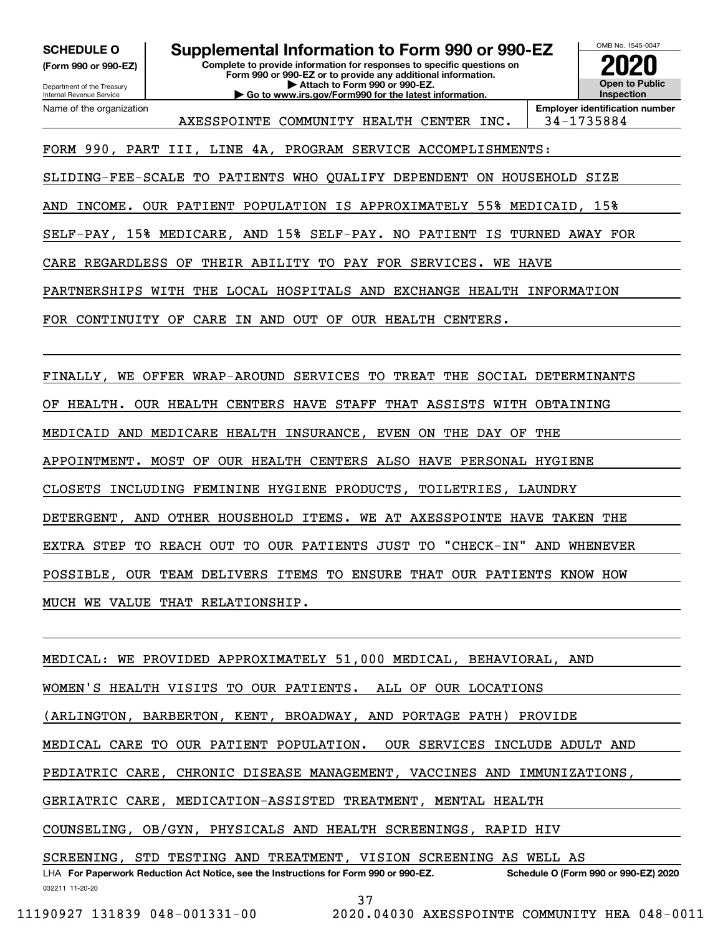**(Form 990 or 990-EZ)**

Department of the Treasury Internal Revenue Service Name of the organization

**SCHEDULE O Supplemental Information to Form 990 or 990-EZ**

**Complete to provide information for responses to specific questions on Form 990 or 990-EZ or to provide any additional information. | Attach to Form 990 or 990-EZ. | Go to www.irs.gov/Form990 for the latest information.**



AXESSPOINTE COMMUNITY HEALTH CENTER INC. | 34-1735884

**Employer identification number**

FORM 990, PART III, LINE 4A, PROGRAM SERVICE ACCOMPLISHMENTS:

SLIDING-FEE-SCALE TO PATIENTS WHO QUALIFY DEPENDENT ON HOUSEHOLD SIZE

AND INCOME. OUR PATIENT POPULATION IS APPROXIMATELY 55% MEDICAID, 15%

SELF-PAY, 15% MEDICARE, AND 15% SELF-PAY. NO PATIENT IS TURNED AWAY FOR

CARE REGARDLESS OF THEIR ABILITY TO PAY FOR SERVICES. WE HAVE

PARTNERSHIPS WITH THE LOCAL HOSPITALS AND EXCHANGE HEALTH INFORMATION

FOR CONTINUITY OF CARE IN AND OUT OF OUR HEALTH CENTERS.

FINALLY, WE OFFER WRAP-AROUND SERVICES TO TREAT THE SOCIAL DETERMINANTS OF HEALTH. OUR HEALTH CENTERS HAVE STAFF THAT ASSISTS WITH OBTAINING MEDICAID AND MEDICARE HEALTH INSURANCE, EVEN ON THE DAY OF THE APPOINTMENT. MOST OF OUR HEALTH CENTERS ALSO HAVE PERSONAL HYGIENE CLOSETS INCLUDING FEMININE HYGIENE PRODUCTS, TOILETRIES, LAUNDRY DETERGENT, AND OTHER HOUSEHOLD ITEMS. WE AT AXESSPOINTE HAVE TAKEN THE EXTRA STEP TO REACH OUT TO OUR PATIENTS JUST TO "CHECK-IN" AND WHENEVER POSSIBLE, OUR TEAM DELIVERS ITEMS TO ENSURE THAT OUR PATIENTS KNOW HOW MUCH WE VALUE THAT RELATIONSHIP.

032211 11-20-20 LHA For Paperwork Reduction Act Notice, see the Instructions for Form 990 or 990-EZ. Schedule O (Form 990 or 990-EZ) 2020 MEDICAL: WE PROVIDED APPROXIMATELY 51,000 MEDICAL, BEHAVIORAL, AND WOMEN'S HEALTH VISITS TO OUR PATIENTS. ALL OF OUR LOCATIONS (ARLINGTON, BARBERTON, KENT, BROADWAY, AND PORTAGE PATH) PROVIDE MEDICAL CARE TO OUR PATIENT POPULATION. OUR SERVICES INCLUDE ADULT AND PEDIATRIC CARE, CHRONIC DISEASE MANAGEMENT, VACCINES AND IMMUNIZATIONS, GERIATRIC CARE, MEDICATION-ASSISTED TREATMENT, MENTAL HEALTH COUNSELING, OB/GYN, PHYSICALS AND HEALTH SCREENINGS, RAPID HIV SCREENING, STD TESTING AND TREATMENT, VISION SCREENING AS WELL AS

37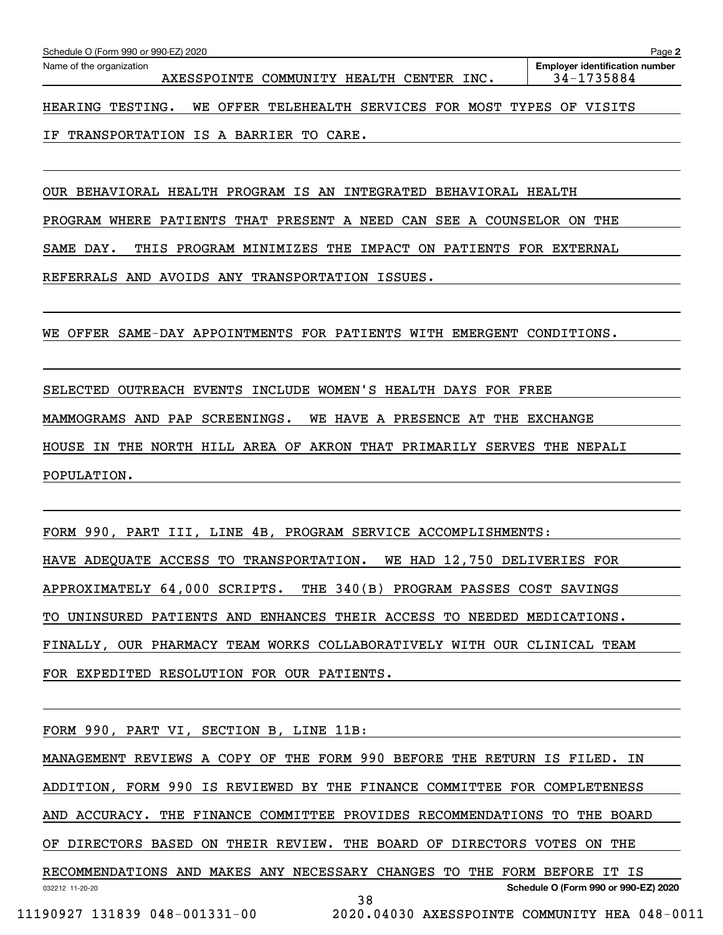IF TRANSPORTATION IS A BARRIER TO CARE.

OUR BEHAVIORAL HEALTH PROGRAM IS AN INTEGRATED BEHAVIORAL HEALTH

PROGRAM WHERE PATIENTS THAT PRESENT A NEED CAN SEE A COUNSELOR ON THE

SAME DAY. THIS PROGRAM MINIMIZES THE IMPACT ON PATIENTS FOR EXTERNAL

REFERRALS AND AVOIDS ANY TRANSPORTATION ISSUES.

WE OFFER SAME-DAY APPOINTMENTS FOR PATIENTS WITH EMERGENT CONDITIONS.

SELECTED OUTREACH EVENTS INCLUDE WOMEN'S HEALTH DAYS FOR FREE MAMMOGRAMS AND PAP SCREENINGS. WE HAVE A PRESENCE AT THE EXCHANGE HOUSE IN THE NORTH HILL AREA OF AKRON THAT PRIMARILY SERVES THE NEPALI POPULATION.

FORM 990, PART III, LINE 4B, PROGRAM SERVICE ACCOMPLISHMENTS: HAVE ADEQUATE ACCESS TO TRANSPORTATION. WE HAD 12,750 DELIVERIES FOR APPROXIMATELY 64,000 SCRIPTS. THE 340(B) PROGRAM PASSES COST SAVINGS TO UNINSURED PATIENTS AND ENHANCES THEIR ACCESS TO NEEDED MEDICATIONS. FINALLY, OUR PHARMACY TEAM WORKS COLLABORATIVELY WITH OUR CLINICAL TEAM FOR EXPEDITED RESOLUTION FOR OUR PATIENTS.

FORM 990, PART VI, SECTION B, LINE 11B:

MANAGEMENT REVIEWS A COPY OF THE FORM 990 BEFORE THE RETURN IS FILED. IN

ADDITION, FORM 990 IS REVIEWED BY THE FINANCE COMMITTEE FOR COMPLETENESS

AND ACCURACY. THE FINANCE COMMITTEE PROVIDES RECOMMENDATIONS TO THE BOARD

OF DIRECTORS BASED ON THEIR REVIEW. THE BOARD OF DIRECTORS VOTES ON THE

032212 11-20-20 **Schedule O (Form 990 or 990-EZ) 2020** RECOMMENDATIONS AND MAKES ANY NECESSARY CHANGES TO THE FORM BEFORE IT IS 38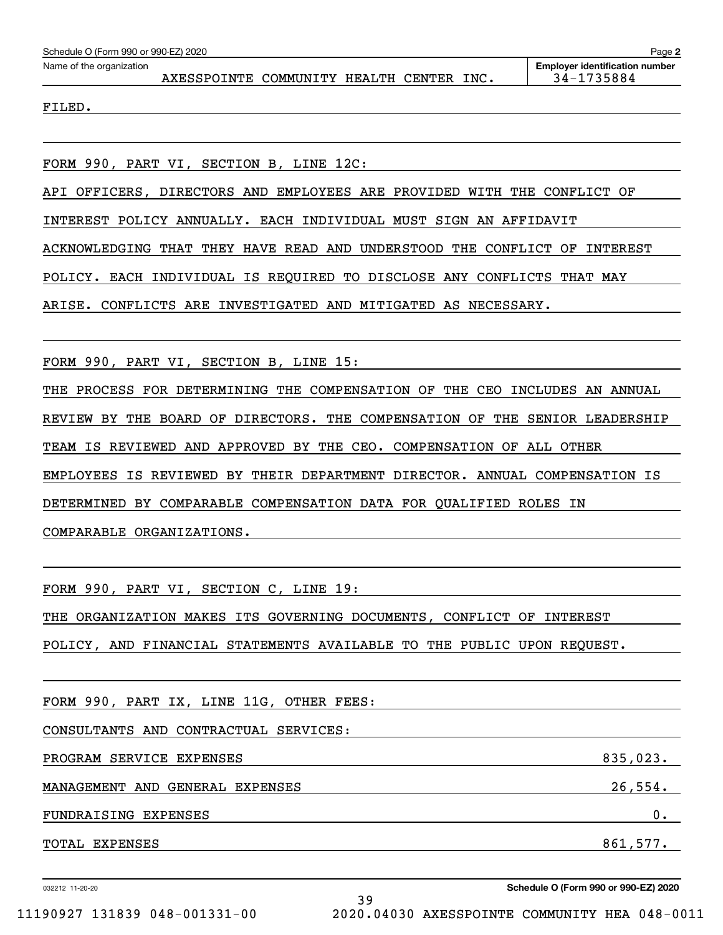| Schedule O (Form 990 or 990-EZ) 2020 |                                          |  |  | Page 2                                              |
|--------------------------------------|------------------------------------------|--|--|-----------------------------------------------------|
| Name of the organization             | AXESSPOINTE COMMUNITY HEALTH CENTER INC. |  |  | <b>Employer identification number</b><br>34-1735884 |
| FILED.                               |                                          |  |  |                                                     |
|                                      |                                          |  |  |                                                     |

FORM 990, PART VI, SECTION B, LINE 12C:

API OFFICERS, DIRECTORS AND EMPLOYEES ARE PROVIDED WITH THE CONFLICT OF

INTEREST POLICY ANNUALLY. EACH INDIVIDUAL MUST SIGN AN AFFIDAVIT

ACKNOWLEDGING THAT THEY HAVE READ AND UNDERSTOOD THE CONFLICT OF INTEREST

POLICY. EACH INDIVIDUAL IS REQUIRED TO DISCLOSE ANY CONFLICTS THAT MAY

ARISE. CONFLICTS ARE INVESTIGATED AND MITIGATED AS NECESSARY.

FORM 990, PART VI, SECTION B, LINE 15:

THE PROCESS FOR DETERMINING THE COMPENSATION OF THE CEO INCLUDES AN ANNUAL REVIEW BY THE BOARD OF DIRECTORS. THE COMPENSATION OF THE SENIOR LEADERSHIP TEAM IS REVIEWED AND APPROVED BY THE CEO. COMPENSATION OF ALL OTHER EMPLOYEES IS REVIEWED BY THEIR DEPARTMENT DIRECTOR. ANNUAL COMPENSATION IS DETERMINED BY COMPARABLE COMPENSATION DATA FOR QUALIFIED ROLES IN COMPARABLE ORGANIZATIONS.

FORM 990, PART VI, SECTION C, LINE 19:

THE ORGANIZATION MAKES ITS GOVERNING DOCUMENTS, CONFLICT OF INTEREST

POLICY, AND FINANCIAL STATEMENTS AVAILABLE TO THE PUBLIC UPON REQUEST.

| FORM 990, PART IX, LINE 11G, OTHER FEES: |          |
|------------------------------------------|----------|
| CONSULTANTS AND CONTRACTUAL SERVICES:    |          |
| PROGRAM SERVICE EXPENSES                 | 835,023. |
| MANAGEMENT AND GENERAL EXPENSES          | 26,554.  |
| FUNDRAISING<br>EXPENSES                  | 0.       |
| <b>TOTAL EXPENSES</b>                    | 861,577. |

39

032212 11-20-20